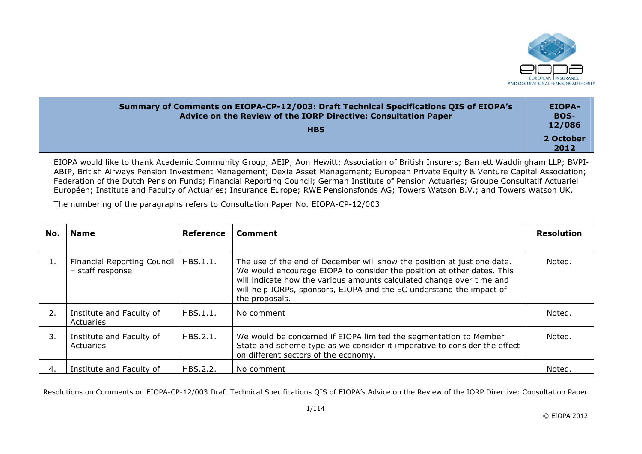

|     |                                                        |                  | Summary of Comments on EIOPA-CP-12/003: Draft Technical Specifications QIS of EIOPA's<br>Advice on the Review of the IORP Directive: Consultation Paper<br><b>HBS</b>                                                                                                                                                                                                                                                                                                                                                                                                                                                                         | <b>EIOPA-</b><br><b>BOS-</b><br>12/086<br>2 October |
|-----|--------------------------------------------------------|------------------|-----------------------------------------------------------------------------------------------------------------------------------------------------------------------------------------------------------------------------------------------------------------------------------------------------------------------------------------------------------------------------------------------------------------------------------------------------------------------------------------------------------------------------------------------------------------------------------------------------------------------------------------------|-----------------------------------------------------|
|     |                                                        |                  | EIOPA would like to thank Academic Community Group; AEIP; Aon Hewitt; Association of British Insurers; Barnett Waddingham LLP; BVPI-<br>ABIP, British Airways Pension Investment Management; Dexia Asset Management; European Private Equity & Venture Capital Association;<br>Federation of the Dutch Pension Funds; Financial Reporting Council; German Institute of Pension Actuaries; Groupe Consultatif Actuariel<br>Européen; Institute and Faculty of Actuaries; Insurance Europe; RWE Pensionsfonds AG; Towers Watson B.V.; and Towers Watson UK.<br>The numbering of the paragraphs refers to Consultation Paper No. EIOPA-CP-12/003 | 2012                                                |
| No. | <b>Name</b>                                            | <b>Reference</b> | <b>Comment</b>                                                                                                                                                                                                                                                                                                                                                                                                                                                                                                                                                                                                                                | <b>Resolution</b>                                   |
| 1.  | <b>Financial Reporting Council</b><br>- staff response | HBS.1.1.         | The use of the end of December will show the position at just one date.<br>We would encourage EIOPA to consider the position at other dates. This<br>will indicate how the various amounts calculated change over time and<br>will help IORPs, sponsors, EIOPA and the EC understand the impact of<br>the proposals.                                                                                                                                                                                                                                                                                                                          | Noted.                                              |
| 2.  | Institute and Faculty of<br>Actuaries                  | HBS.1.1.         | No comment                                                                                                                                                                                                                                                                                                                                                                                                                                                                                                                                                                                                                                    | Noted.                                              |
| 3.  | Institute and Faculty of<br>Actuaries                  | HBS.2.1.         | We would be concerned if EIOPA limited the segmentation to Member<br>State and scheme type as we consider it imperative to consider the effect<br>on different sectors of the economy.                                                                                                                                                                                                                                                                                                                                                                                                                                                        | Noted.                                              |
| 4.  | Institute and Faculty of                               | HBS.2.2.         | No comment                                                                                                                                                                                                                                                                                                                                                                                                                                                                                                                                                                                                                                    | Noted.                                              |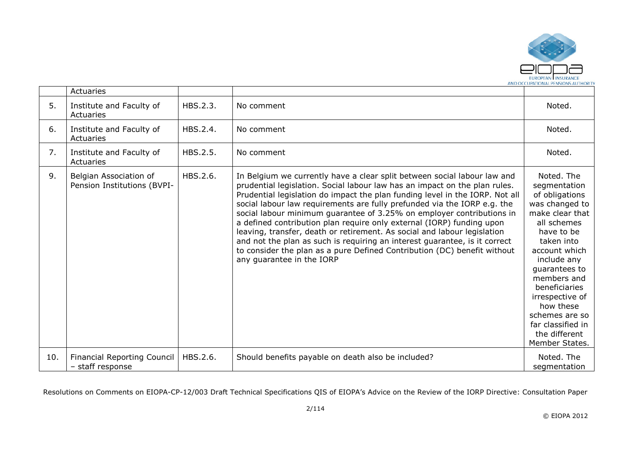

|     | Actuaries                                              |          |                                                                                                                                                                                                                                                                                                                                                                                                                                                                                                                                                                                                                                                                                                                                         |                                                                                                                                                                                                                                                                                                                         |
|-----|--------------------------------------------------------|----------|-----------------------------------------------------------------------------------------------------------------------------------------------------------------------------------------------------------------------------------------------------------------------------------------------------------------------------------------------------------------------------------------------------------------------------------------------------------------------------------------------------------------------------------------------------------------------------------------------------------------------------------------------------------------------------------------------------------------------------------------|-------------------------------------------------------------------------------------------------------------------------------------------------------------------------------------------------------------------------------------------------------------------------------------------------------------------------|
| 5.  | Institute and Faculty of<br>Actuaries                  | HBS.2.3. | No comment                                                                                                                                                                                                                                                                                                                                                                                                                                                                                                                                                                                                                                                                                                                              | Noted.                                                                                                                                                                                                                                                                                                                  |
| 6.  | Institute and Faculty of<br>Actuaries                  | HBS.2.4. | No comment                                                                                                                                                                                                                                                                                                                                                                                                                                                                                                                                                                                                                                                                                                                              | Noted.                                                                                                                                                                                                                                                                                                                  |
| 7.  | Institute and Faculty of<br>Actuaries                  | HBS.2.5. | No comment                                                                                                                                                                                                                                                                                                                                                                                                                                                                                                                                                                                                                                                                                                                              | Noted.                                                                                                                                                                                                                                                                                                                  |
| 9.  | Belgian Association of<br>Pension Institutions (BVPI-  | HBS.2.6. | In Belgium we currently have a clear split between social labour law and<br>prudential legislation. Social labour law has an impact on the plan rules.<br>Prudential legislation do impact the plan funding level in the IORP. Not all<br>social labour law requirements are fully prefunded via the IORP e.g. the<br>social labour minimum guarantee of 3.25% on employer contributions in<br>a defined contribution plan require only external (IORP) funding upon<br>leaving, transfer, death or retirement. As social and labour legislation<br>and not the plan as such is requiring an interest guarantee, is it correct<br>to consider the plan as a pure Defined Contribution (DC) benefit without<br>any guarantee in the IORP | Noted. The<br>segmentation<br>of obligations<br>was changed to<br>make clear that<br>all schemes<br>have to be<br>taken into<br>account which<br>include any<br>guarantees to<br>members and<br>beneficiaries<br>irrespective of<br>how these<br>schemes are so<br>far classified in<br>the different<br>Member States. |
| 10. | <b>Financial Reporting Council</b><br>- staff response | HBS.2.6. | Should benefits payable on death also be included?                                                                                                                                                                                                                                                                                                                                                                                                                                                                                                                                                                                                                                                                                      | Noted. The<br>segmentation                                                                                                                                                                                                                                                                                              |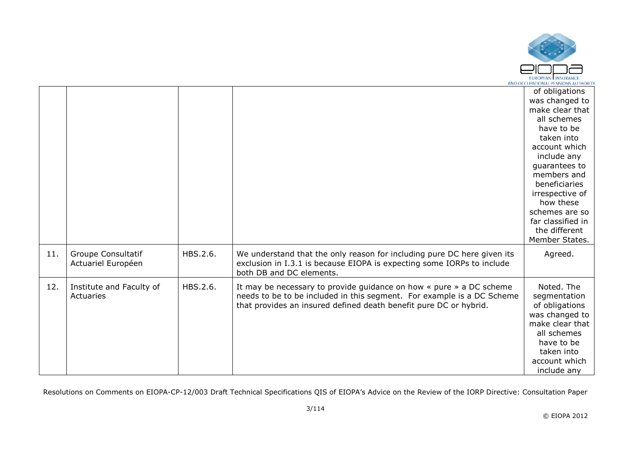

|     |                           |          |                                                                               | of obligations    |
|-----|---------------------------|----------|-------------------------------------------------------------------------------|-------------------|
|     |                           |          |                                                                               | was changed to    |
|     |                           |          |                                                                               | make clear that   |
|     |                           |          |                                                                               | all schemes       |
|     |                           |          |                                                                               | have to be        |
|     |                           |          |                                                                               | taken into        |
|     |                           |          |                                                                               | account which     |
|     |                           |          |                                                                               | include any       |
|     |                           |          |                                                                               | guarantees to     |
|     |                           |          |                                                                               | members and       |
|     |                           |          |                                                                               | beneficiaries     |
|     |                           |          |                                                                               | irrespective of   |
|     |                           |          |                                                                               | how these         |
|     |                           |          |                                                                               | schemes are so    |
|     |                           |          |                                                                               | far classified in |
|     |                           |          |                                                                               | the different     |
|     |                           |          |                                                                               | Member States.    |
| 11. | <b>Groupe Consultatif</b> | HBS.2.6. | We understand that the only reason for including pure DC here given its       | Agreed.           |
|     | Actuariel Européen        |          | exclusion in I.3.1 is because EIOPA is expecting some IORPs to include        |                   |
|     |                           |          | both DB and DC elements.                                                      |                   |
| 12. | Institute and Faculty of  | HBS.2.6. | It may be necessary to provide guidance on how $\ast$ pure $\ast$ a DC scheme | Noted. The        |
|     | Actuaries                 |          | needs to be to be included in this segment. For example is a DC Scheme        | segmentation      |
|     |                           |          | that provides an insured defined death benefit pure DC or hybrid.             | of obligations    |
|     |                           |          |                                                                               | was changed to    |
|     |                           |          |                                                                               | make clear that   |
|     |                           |          |                                                                               | all schemes       |
|     |                           |          |                                                                               | have to be        |
|     |                           |          |                                                                               | taken into        |
|     |                           |          |                                                                               | account which     |
|     |                           |          |                                                                               | include any       |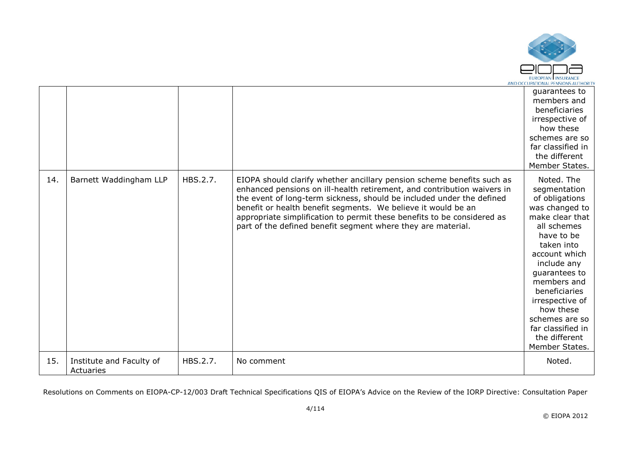

|     |                                       |          |                                                                                                                                                                                                                                                                                                                                                                                                                                        | guarantees to<br>members and<br>beneficiaries<br>irrespective of<br>how these<br>schemes are so<br>far classified in<br>the different<br>Member States.                                                                                                                                                                 |
|-----|---------------------------------------|----------|----------------------------------------------------------------------------------------------------------------------------------------------------------------------------------------------------------------------------------------------------------------------------------------------------------------------------------------------------------------------------------------------------------------------------------------|-------------------------------------------------------------------------------------------------------------------------------------------------------------------------------------------------------------------------------------------------------------------------------------------------------------------------|
| 14. | Barnett Waddingham LLP                | HBS.2.7. | EIOPA should clarify whether ancillary pension scheme benefits such as<br>enhanced pensions on ill-health retirement, and contribution waivers in<br>the event of long-term sickness, should be included under the defined<br>benefit or health benefit segments. We believe it would be an<br>appropriate simplification to permit these benefits to be considered as<br>part of the defined benefit segment where they are material. | Noted. The<br>segmentation<br>of obligations<br>was changed to<br>make clear that<br>all schemes<br>have to be<br>taken into<br>account which<br>include any<br>quarantees to<br>members and<br>beneficiaries<br>irrespective of<br>how these<br>schemes are so<br>far classified in<br>the different<br>Member States. |
| 15. | Institute and Faculty of<br>Actuaries | HBS.2.7. | No comment                                                                                                                                                                                                                                                                                                                                                                                                                             | Noted.                                                                                                                                                                                                                                                                                                                  |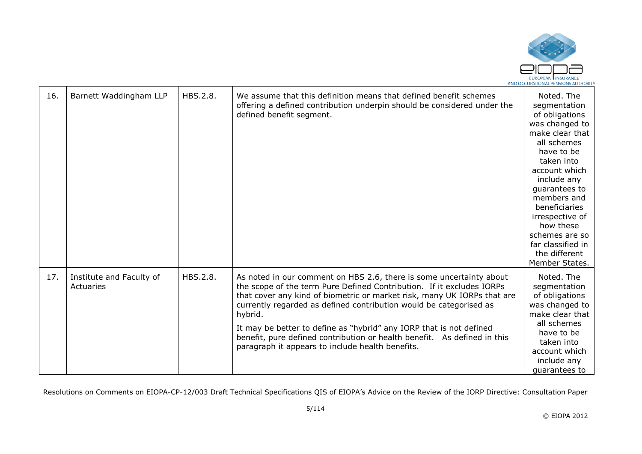

| 16. | Barnett Waddingham LLP                | HBS.2.8. | We assume that this definition means that defined benefit schemes<br>offering a defined contribution underpin should be considered under the<br>defined benefit segment.                                                                                                                                                                                                                                                                                                                                        | Noted. The<br>segmentation<br>of obligations<br>was changed to<br>make clear that<br>all schemes<br>have to be<br>taken into<br>account which<br>include any<br>guarantees to<br>members and<br>beneficiaries<br>irrespective of<br>how these<br>schemes are so<br>far classified in<br>the different<br>Member States. |
|-----|---------------------------------------|----------|-----------------------------------------------------------------------------------------------------------------------------------------------------------------------------------------------------------------------------------------------------------------------------------------------------------------------------------------------------------------------------------------------------------------------------------------------------------------------------------------------------------------|-------------------------------------------------------------------------------------------------------------------------------------------------------------------------------------------------------------------------------------------------------------------------------------------------------------------------|
| 17. | Institute and Faculty of<br>Actuaries | HBS.2.8. | As noted in our comment on HBS 2.6, there is some uncertainty about<br>the scope of the term Pure Defined Contribution. If it excludes IORPs<br>that cover any kind of biometric or market risk, many UK IORPs that are<br>currently regarded as defined contribution would be categorised as<br>hybrid.<br>It may be better to define as "hybrid" any IORP that is not defined<br>benefit, pure defined contribution or health benefit. As defined in this<br>paragraph it appears to include health benefits. | Noted. The<br>segmentation<br>of obligations<br>was changed to<br>make clear that<br>all schemes<br>have to be<br>taken into<br>account which<br>include any<br>quarantees to                                                                                                                                           |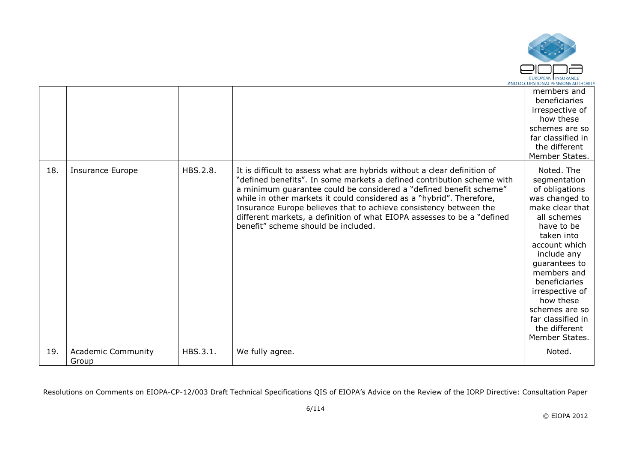

|     |                                    |          |                                                                                                                                                                                                                                                                                                                                                                                                                                                                                         | members and<br>beneficiaries<br>irrespective of<br>how these<br>schemes are so<br>far classified in<br>the different<br>Member States.                                                                                                                                                                                  |
|-----|------------------------------------|----------|-----------------------------------------------------------------------------------------------------------------------------------------------------------------------------------------------------------------------------------------------------------------------------------------------------------------------------------------------------------------------------------------------------------------------------------------------------------------------------------------|-------------------------------------------------------------------------------------------------------------------------------------------------------------------------------------------------------------------------------------------------------------------------------------------------------------------------|
| 18. | <b>Insurance Europe</b>            | HBS.2.8. | It is difficult to assess what are hybrids without a clear definition of<br>"defined benefits". In some markets a defined contribution scheme with<br>a minimum guarantee could be considered a "defined benefit scheme"<br>while in other markets it could considered as a "hybrid". Therefore,<br>Insurance Europe believes that to achieve consistency between the<br>different markets, a definition of what EIOPA assesses to be a "defined<br>benefit" scheme should be included. | Noted. The<br>segmentation<br>of obligations<br>was changed to<br>make clear that<br>all schemes<br>have to be<br>taken into<br>account which<br>include any<br>quarantees to<br>members and<br>beneficiaries<br>irrespective of<br>how these<br>schemes are so<br>far classified in<br>the different<br>Member States. |
| 19. | <b>Academic Community</b><br>Group | HBS.3.1. | We fully agree.                                                                                                                                                                                                                                                                                                                                                                                                                                                                         | Noted.                                                                                                                                                                                                                                                                                                                  |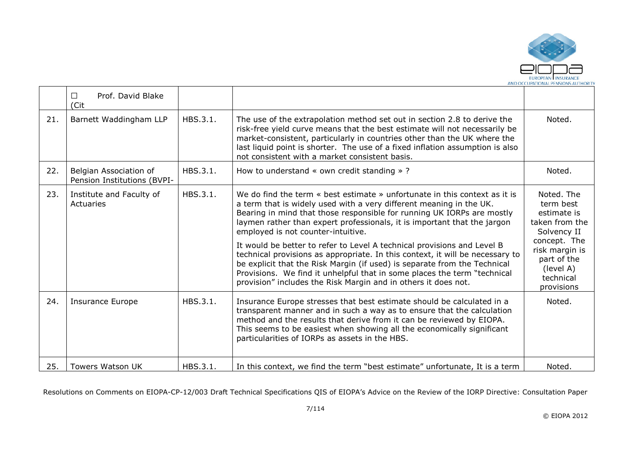

|     | Prof. David Blake<br>П.<br>(Cit                       |          |                                                                                                                                                                                                                                                                                                                                                                                                                                                                                                                                                                                                                                                                                                                                      |                                                                                                                                                                  |
|-----|-------------------------------------------------------|----------|--------------------------------------------------------------------------------------------------------------------------------------------------------------------------------------------------------------------------------------------------------------------------------------------------------------------------------------------------------------------------------------------------------------------------------------------------------------------------------------------------------------------------------------------------------------------------------------------------------------------------------------------------------------------------------------------------------------------------------------|------------------------------------------------------------------------------------------------------------------------------------------------------------------|
| 21. | Barnett Waddingham LLP                                | HBS.3.1. | The use of the extrapolation method set out in section 2.8 to derive the<br>risk-free yield curve means that the best estimate will not necessarily be<br>market-consistent, particularly in countries other than the UK where the<br>last liquid point is shorter. The use of a fixed inflation assumption is also<br>not consistent with a market consistent basis.                                                                                                                                                                                                                                                                                                                                                                | Noted.                                                                                                                                                           |
| 22. | Belgian Association of<br>Pension Institutions (BVPI- | HBS.3.1. | How to understand $\ll$ own credit standing $\gg$ ?                                                                                                                                                                                                                                                                                                                                                                                                                                                                                                                                                                                                                                                                                  | Noted.                                                                                                                                                           |
| 23. | Institute and Faculty of<br>Actuaries                 | HBS.3.1. | We do find the term « best estimate » unfortunate in this context as it is<br>a term that is widely used with a very different meaning in the UK.<br>Bearing in mind that those responsible for running UK IORPs are mostly<br>laymen rather than expert professionals, it is important that the jargon<br>employed is not counter-intuitive.<br>It would be better to refer to Level A technical provisions and Level B<br>technical provisions as appropriate. In this context, it will be necessary to<br>be explicit that the Risk Margin (if used) is separate from the Technical<br>Provisions. We find it unhelpful that in some places the term "technical<br>provision" includes the Risk Margin and in others it does not. | Noted. The<br>term best<br>estimate is<br>taken from the<br>Solvency II<br>concept. The<br>risk margin is<br>part of the<br>(level A)<br>technical<br>provisions |
| 24. | <b>Insurance Europe</b>                               | HBS.3.1. | Insurance Europe stresses that best estimate should be calculated in a<br>transparent manner and in such a way as to ensure that the calculation<br>method and the results that derive from it can be reviewed by EIOPA.<br>This seems to be easiest when showing all the economically significant<br>particularities of IORPs as assets in the HBS.                                                                                                                                                                                                                                                                                                                                                                                 | Noted.                                                                                                                                                           |
| 25. | <b>Towers Watson UK</b>                               | HBS.3.1. | In this context, we find the term "best estimate" unfortunate, It is a term                                                                                                                                                                                                                                                                                                                                                                                                                                                                                                                                                                                                                                                          | Noted.                                                                                                                                                           |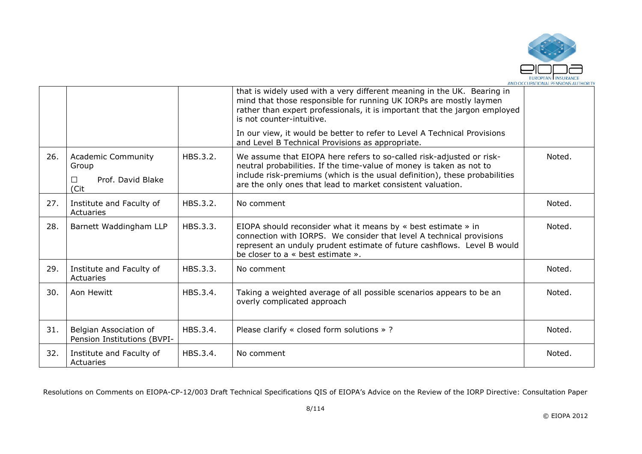

|     |                                                                      |          | that is widely used with a very different meaning in the UK. Bearing in<br>mind that those responsible for running UK IORPs are mostly laymen<br>rather than expert professionals, it is important that the jargon employed<br>is not counter-intuitive.                                  |        |
|-----|----------------------------------------------------------------------|----------|-------------------------------------------------------------------------------------------------------------------------------------------------------------------------------------------------------------------------------------------------------------------------------------------|--------|
|     |                                                                      |          | In our view, it would be better to refer to Level A Technical Provisions<br>and Level B Technical Provisions as appropriate.                                                                                                                                                              |        |
| 26. | <b>Academic Community</b><br>Group<br>Prof. David Blake<br>П<br>(Cit | HBS.3.2. | We assume that EIOPA here refers to so-called risk-adjusted or risk-<br>neutral probabilities. If the time-value of money is taken as not to<br>include risk-premiums (which is the usual definition), these probabilities<br>are the only ones that lead to market consistent valuation. | Noted. |
| 27. | Institute and Faculty of<br>Actuaries                                | HBS.3.2. | No comment                                                                                                                                                                                                                                                                                | Noted. |
| 28. | Barnett Waddingham LLP                                               | HBS.3.3. | EIOPA should reconsider what it means by $\ast$ best estimate $\ast$ in<br>connection with IORPS. We consider that level A technical provisions<br>represent an unduly prudent estimate of future cashflows. Level B would<br>be closer to a « best estimate ».                           | Noted. |
| 29. | Institute and Faculty of<br>Actuaries                                | HBS.3.3. | No comment                                                                                                                                                                                                                                                                                | Noted. |
| 30. | Aon Hewitt                                                           | HBS.3.4. | Taking a weighted average of all possible scenarios appears to be an<br>overly complicated approach                                                                                                                                                                                       | Noted. |
| 31. | Belgian Association of<br>Pension Institutions (BVPI-                | HBS.3.4. | Please clarify « closed form solutions »?                                                                                                                                                                                                                                                 | Noted. |
| 32. | Institute and Faculty of<br>Actuaries                                | HBS.3.4. | No comment                                                                                                                                                                                                                                                                                | Noted. |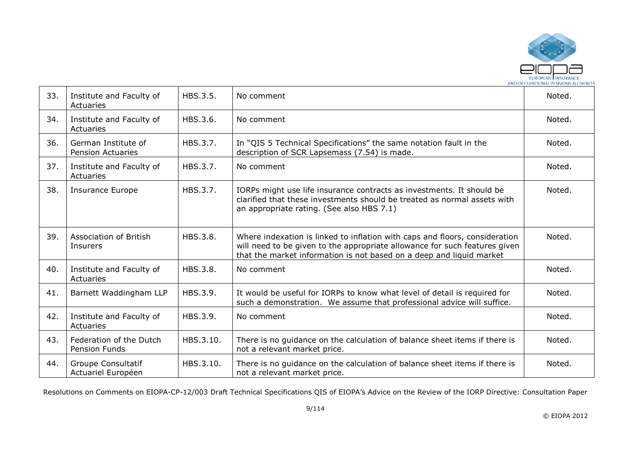

| 33. | Institute and Faculty of<br>Actuaries           | HBS.3.5.  | No comment                                                                                                                                                                                                                        | Noted. |
|-----|-------------------------------------------------|-----------|-----------------------------------------------------------------------------------------------------------------------------------------------------------------------------------------------------------------------------------|--------|
| 34. | Institute and Faculty of<br>Actuaries           | HBS.3.6.  | No comment                                                                                                                                                                                                                        | Noted. |
| 36. | German Institute of<br><b>Pension Actuaries</b> | HBS.3.7.  | In "QIS 5 Technical Specifications" the same notation fault in the<br>description of SCR Lapsemass (7.54) is made.                                                                                                                | Noted. |
| 37. | Institute and Faculty of<br>Actuaries           | HBS.3.7.  | No comment                                                                                                                                                                                                                        | Noted. |
| 38. | <b>Insurance Europe</b>                         | HBS.3.7.  | IORPs might use life insurance contracts as investments. It should be<br>clarified that these investments should be treated as normal assets with<br>an appropriate rating. (See also HBS 7.1)                                    | Noted. |
| 39. | <b>Association of British</b><br>Insurers       | HBS.3.8.  | Where indexation is linked to inflation with caps and floors, consideration<br>will need to be given to the appropriate allowance for such features given<br>that the market information is not based on a deep and liquid market | Noted. |
| 40. | Institute and Faculty of<br>Actuaries           | HBS.3.8.  | No comment                                                                                                                                                                                                                        | Noted. |
| 41. | Barnett Waddingham LLP                          | HBS.3.9.  | It would be useful for IORPs to know what level of detail is required for<br>such a demonstration. We assume that professional advice will suffice.                                                                               | Noted. |
| 42. | Institute and Faculty of<br>Actuaries           | HBS.3.9.  | No comment                                                                                                                                                                                                                        | Noted. |
| 43. | Federation of the Dutch<br>Pension Funds        | HBS.3.10. | There is no guidance on the calculation of balance sheet items if there is<br>not a relevant market price.                                                                                                                        | Noted. |
| 44. | <b>Groupe Consultatif</b><br>Actuariel Européen | HBS.3.10. | There is no guidance on the calculation of balance sheet items if there is<br>not a relevant market price.                                                                                                                        | Noted. |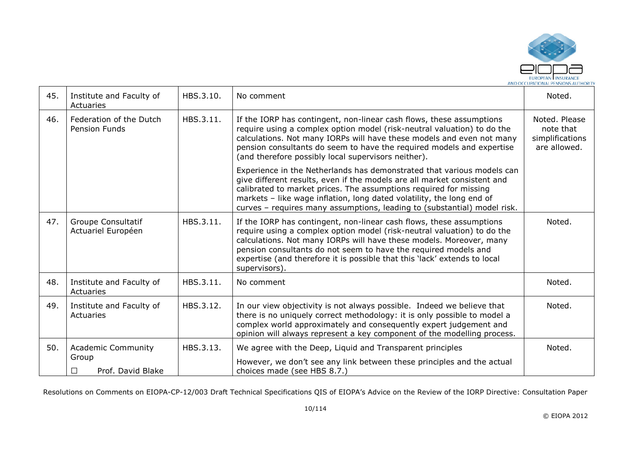

| 45. | Institute and Faculty of<br>Actuaries           | HBS.3.10. | No comment                                                                                                                                                                                                                                                                                                                                                                              | Noted.                                                        |
|-----|-------------------------------------------------|-----------|-----------------------------------------------------------------------------------------------------------------------------------------------------------------------------------------------------------------------------------------------------------------------------------------------------------------------------------------------------------------------------------------|---------------------------------------------------------------|
| 46. | Federation of the Dutch<br><b>Pension Funds</b> | HBS.3.11. | If the IORP has contingent, non-linear cash flows, these assumptions<br>require using a complex option model (risk-neutral valuation) to do the<br>calculations. Not many IORPs will have these models and even not many<br>pension consultants do seem to have the required models and expertise<br>(and therefore possibly local supervisors neither).                                | Noted. Please<br>note that<br>simplifications<br>are allowed. |
|     |                                                 |           | Experience in the Netherlands has demonstrated that various models can<br>give different results, even if the models are all market consistent and<br>calibrated to market prices. The assumptions required for missing<br>markets - like wage inflation, long dated volatility, the long end of<br>curves - requires many assumptions, leading to (substantial) model risk.            |                                                               |
| 47. | <b>Groupe Consultatif</b><br>Actuariel Européen | HBS.3.11. | If the IORP has contingent, non-linear cash flows, these assumptions<br>require using a complex option model (risk-neutral valuation) to do the<br>calculations. Not many IORPs will have these models. Moreover, many<br>pension consultants do not seem to have the required models and<br>expertise (and therefore it is possible that this 'lack' extends to local<br>supervisors). | Noted.                                                        |
| 48. | Institute and Faculty of<br>Actuaries           | HBS.3.11. | No comment                                                                                                                                                                                                                                                                                                                                                                              | Noted.                                                        |
| 49. | Institute and Faculty of<br>Actuaries           | HBS.3.12. | In our view objectivity is not always possible. Indeed we believe that<br>there is no uniquely correct methodology: it is only possible to model a<br>complex world approximately and consequently expert judgement and<br>opinion will always represent a key component of the modelling process.                                                                                      | Noted.                                                        |
| 50. | <b>Academic Community</b>                       | HBS.3.13. | We agree with the Deep, Liquid and Transparent principles                                                                                                                                                                                                                                                                                                                               | Noted.                                                        |
|     | Group<br>Prof. David Blake<br>П                 |           | However, we don't see any link between these principles and the actual<br>choices made (see HBS 8.7.)                                                                                                                                                                                                                                                                                   |                                                               |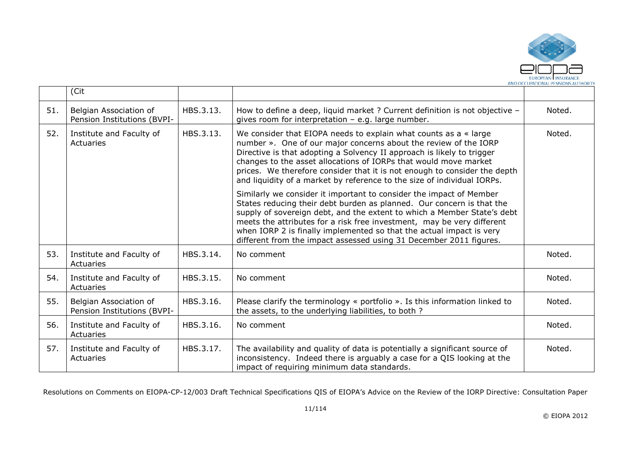

|     | (Cit                                                  |           |                                                                                                                                                                                                                                                                                                                                                                                                                                                 |        |
|-----|-------------------------------------------------------|-----------|-------------------------------------------------------------------------------------------------------------------------------------------------------------------------------------------------------------------------------------------------------------------------------------------------------------------------------------------------------------------------------------------------------------------------------------------------|--------|
| 51. | Belgian Association of<br>Pension Institutions (BVPI- | HBS.3.13. | How to define a deep, liquid market ? Current definition is not objective -<br>gives room for interpretation $-$ e.g. large number.                                                                                                                                                                                                                                                                                                             | Noted. |
| 52. | Institute and Faculty of<br>Actuaries                 | HBS.3.13. | We consider that EIOPA needs to explain what counts as a $\ast$ large<br>number ». One of our major concerns about the review of the IORP<br>Directive is that adopting a Solvency II approach is likely to trigger<br>changes to the asset allocations of IORPs that would move market<br>prices. We therefore consider that it is not enough to consider the depth<br>and liquidity of a market by reference to the size of individual IORPs. | Noted. |
|     |                                                       |           | Similarly we consider it important to consider the impact of Member<br>States reducing their debt burden as planned. Our concern is that the<br>supply of sovereign debt, and the extent to which a Member State's debt<br>meets the attributes for a risk free investment, may be very different<br>when IORP 2 is finally implemented so that the actual impact is very<br>different from the impact assessed using 31 December 2011 figures. |        |
| 53. | Institute and Faculty of<br>Actuaries                 | HBS.3.14. | No comment                                                                                                                                                                                                                                                                                                                                                                                                                                      | Noted. |
| 54. | Institute and Faculty of<br>Actuaries                 | HBS.3.15. | No comment                                                                                                                                                                                                                                                                                                                                                                                                                                      | Noted. |
| 55. | Belgian Association of<br>Pension Institutions (BVPI- | HBS.3.16. | Please clarify the terminology « portfolio ». Is this information linked to<br>the assets, to the underlying liabilities, to both ?                                                                                                                                                                                                                                                                                                             | Noted. |
| 56. | Institute and Faculty of<br>Actuaries                 | HBS.3.16. | No comment                                                                                                                                                                                                                                                                                                                                                                                                                                      | Noted. |
| 57. | Institute and Faculty of<br>Actuaries                 | HBS.3.17. | The availability and quality of data is potentially a significant source of<br>inconsistency. Indeed there is arguably a case for a QIS looking at the<br>impact of requiring minimum data standards.                                                                                                                                                                                                                                           | Noted. |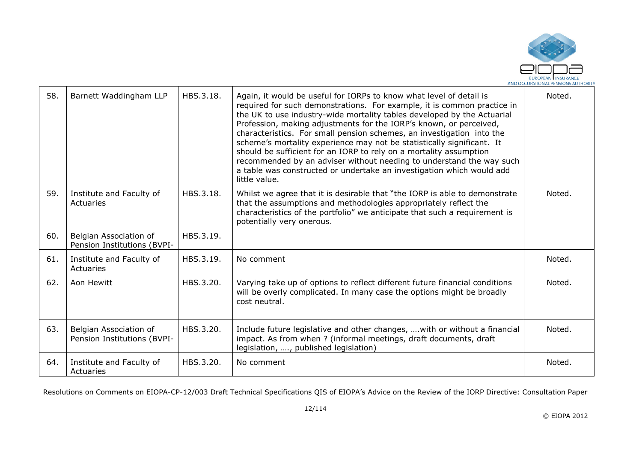

| 58. | Barnett Waddingham LLP                                | HBS.3.18. | Again, it would be useful for IORPs to know what level of detail is<br>required for such demonstrations. For example, it is common practice in<br>the UK to use industry-wide mortality tables developed by the Actuarial<br>Profession, making adjustments for the IORP's known, or perceived,<br>characteristics. For small pension schemes, an investigation into the<br>scheme's mortality experience may not be statistically significant. It<br>should be sufficient for an IORP to rely on a mortality assumption<br>recommended by an adviser without needing to understand the way such<br>a table was constructed or undertake an investigation which would add<br>little value. | Noted. |
|-----|-------------------------------------------------------|-----------|--------------------------------------------------------------------------------------------------------------------------------------------------------------------------------------------------------------------------------------------------------------------------------------------------------------------------------------------------------------------------------------------------------------------------------------------------------------------------------------------------------------------------------------------------------------------------------------------------------------------------------------------------------------------------------------------|--------|
| 59. | Institute and Faculty of<br>Actuaries                 | HBS.3.18. | Whilst we agree that it is desirable that "the IORP is able to demonstrate<br>that the assumptions and methodologies appropriately reflect the<br>characteristics of the portfolio" we anticipate that such a requirement is<br>potentially very onerous.                                                                                                                                                                                                                                                                                                                                                                                                                                  | Noted. |
| 60. | Belgian Association of<br>Pension Institutions (BVPI- | HBS.3.19. |                                                                                                                                                                                                                                                                                                                                                                                                                                                                                                                                                                                                                                                                                            |        |
| 61. | Institute and Faculty of<br>Actuaries                 | HBS.3.19. | No comment                                                                                                                                                                                                                                                                                                                                                                                                                                                                                                                                                                                                                                                                                 | Noted. |
| 62. | Aon Hewitt                                            | HBS.3.20. | Varying take up of options to reflect different future financial conditions<br>will be overly complicated. In many case the options might be broadly<br>cost neutral.                                                                                                                                                                                                                                                                                                                                                                                                                                                                                                                      | Noted. |
| 63. | Belgian Association of<br>Pension Institutions (BVPI- | HBS.3.20. | Include future legislative and other changes,  with or without a financial<br>impact. As from when ? (informal meetings, draft documents, draft<br>legislation, , published legislation)                                                                                                                                                                                                                                                                                                                                                                                                                                                                                                   | Noted. |
| 64. | Institute and Faculty of<br>Actuaries                 | HBS.3.20. | No comment                                                                                                                                                                                                                                                                                                                                                                                                                                                                                                                                                                                                                                                                                 | Noted. |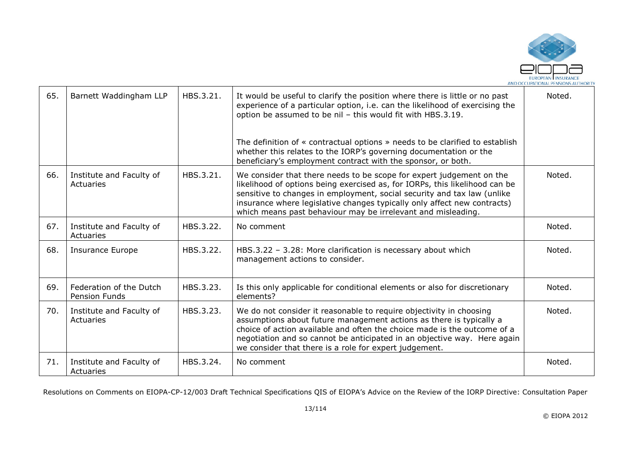

| 65. | Barnett Waddingham LLP                          | HBS.3.21. | It would be useful to clarify the position where there is little or no past<br>experience of a particular option, i.e. can the likelihood of exercising the<br>option be assumed to be nil - this would fit with HBS.3.19.                                                                                                                                                 | Noted. |
|-----|-------------------------------------------------|-----------|----------------------------------------------------------------------------------------------------------------------------------------------------------------------------------------------------------------------------------------------------------------------------------------------------------------------------------------------------------------------------|--------|
|     |                                                 |           | The definition of « contractual options » needs to be clarified to establish<br>whether this relates to the IORP's governing documentation or the<br>beneficiary's employment contract with the sponsor, or both.                                                                                                                                                          |        |
| 66. | Institute and Faculty of<br>Actuaries           | HBS.3.21. | We consider that there needs to be scope for expert judgement on the<br>likelihood of options being exercised as, for IORPs, this likelihood can be<br>sensitive to changes in employment, social security and tax law (unlike<br>insurance where legislative changes typically only affect new contracts)<br>which means past behaviour may be irrelevant and misleading. | Noted. |
| 67. | Institute and Faculty of<br>Actuaries           | HBS.3.22. | No comment                                                                                                                                                                                                                                                                                                                                                                 | Noted. |
| 68. | <b>Insurance Europe</b>                         | HBS.3.22. | HBS.3.22 - 3.28: More clarification is necessary about which<br>management actions to consider.                                                                                                                                                                                                                                                                            | Noted. |
| 69. | Federation of the Dutch<br><b>Pension Funds</b> | HBS.3.23. | Is this only applicable for conditional elements or also for discretionary<br>elements?                                                                                                                                                                                                                                                                                    | Noted. |
| 70. | Institute and Faculty of<br>Actuaries           | HBS.3.23. | We do not consider it reasonable to require objectivity in choosing<br>assumptions about future management actions as there is typically a<br>choice of action available and often the choice made is the outcome of a<br>negotiation and so cannot be anticipated in an objective way. Here again<br>we consider that there is a role for expert judgement.               | Noted. |
| 71. | Institute and Faculty of<br>Actuaries           | HBS.3.24. | No comment                                                                                                                                                                                                                                                                                                                                                                 | Noted. |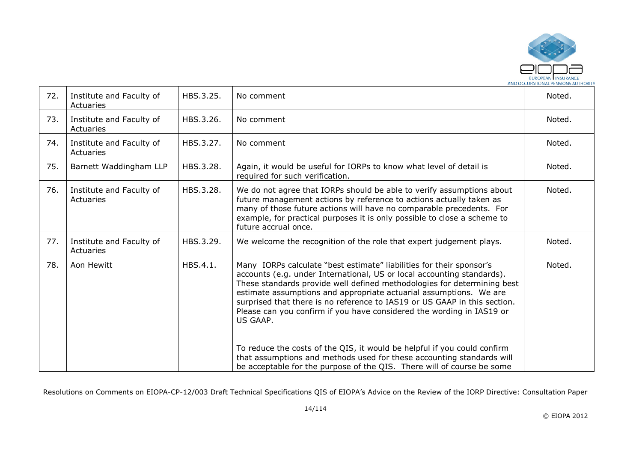

| 72. | Institute and Faculty of<br>Actuaries | HBS.3.25. | No comment                                                                                                                                                                                                                                                                                                                                                                                                                                                                                                                                                                                                                                                                                       | Noted. |
|-----|---------------------------------------|-----------|--------------------------------------------------------------------------------------------------------------------------------------------------------------------------------------------------------------------------------------------------------------------------------------------------------------------------------------------------------------------------------------------------------------------------------------------------------------------------------------------------------------------------------------------------------------------------------------------------------------------------------------------------------------------------------------------------|--------|
| 73. | Institute and Faculty of<br>Actuaries | HBS.3.26. | No comment                                                                                                                                                                                                                                                                                                                                                                                                                                                                                                                                                                                                                                                                                       | Noted. |
| 74. | Institute and Faculty of<br>Actuaries | HBS.3.27. | No comment                                                                                                                                                                                                                                                                                                                                                                                                                                                                                                                                                                                                                                                                                       | Noted. |
| 75. | Barnett Waddingham LLP                | HBS.3.28. | Again, it would be useful for IORPs to know what level of detail is<br>required for such verification.                                                                                                                                                                                                                                                                                                                                                                                                                                                                                                                                                                                           | Noted. |
| 76. | Institute and Faculty of<br>Actuaries | HBS.3.28. | We do not agree that IORPs should be able to verify assumptions about<br>future management actions by reference to actions actually taken as<br>many of those future actions will have no comparable precedents. For<br>example, for practical purposes it is only possible to close a scheme to<br>future accrual once.                                                                                                                                                                                                                                                                                                                                                                         | Noted. |
| 77. | Institute and Faculty of<br>Actuaries | HBS.3.29. | We welcome the recognition of the role that expert judgement plays.                                                                                                                                                                                                                                                                                                                                                                                                                                                                                                                                                                                                                              | Noted. |
| 78. | Aon Hewitt                            | HBS.4.1.  | Many IORPs calculate "best estimate" liabilities for their sponsor's<br>accounts (e.g. under International, US or local accounting standards).<br>These standards provide well defined methodologies for determining best<br>estimate assumptions and appropriate actuarial assumptions. We are<br>surprised that there is no reference to IAS19 or US GAAP in this section.<br>Please can you confirm if you have considered the wording in IAS19 or<br>US GAAP.<br>To reduce the costs of the QIS, it would be helpful if you could confirm<br>that assumptions and methods used for these accounting standards will<br>be acceptable for the purpose of the QIS. There will of course be some | Noted. |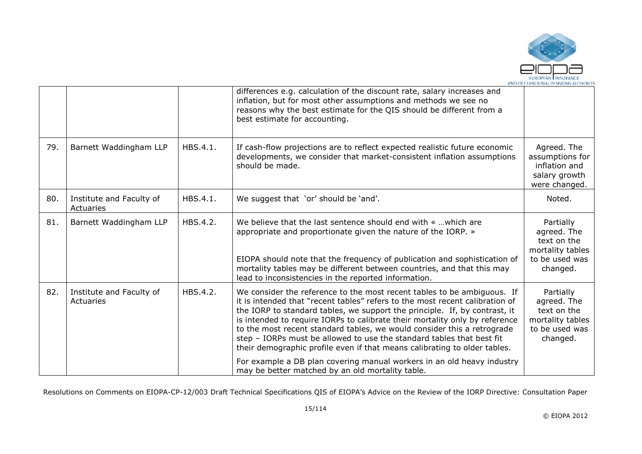

|     |                                       |          | differences e.g. calculation of the discount rate, salary increases and<br>inflation, but for most other assumptions and methods we see no<br>reasons why the best estimate for the QIS should be different from a<br>best estimate for accounting.                                                                                                                                                                                                                                                                                                   |                                                                                           |
|-----|---------------------------------------|----------|-------------------------------------------------------------------------------------------------------------------------------------------------------------------------------------------------------------------------------------------------------------------------------------------------------------------------------------------------------------------------------------------------------------------------------------------------------------------------------------------------------------------------------------------------------|-------------------------------------------------------------------------------------------|
| 79. | Barnett Waddingham LLP                | HBS.4.1. | If cash-flow projections are to reflect expected realistic future economic<br>developments, we consider that market-consistent inflation assumptions<br>should be made.                                                                                                                                                                                                                                                                                                                                                                               | Agreed. The<br>assumptions for<br>inflation and<br>salary growth<br>were changed.         |
| 80. | Institute and Faculty of<br>Actuaries | HBS.4.1. | We suggest that 'or' should be 'and'.                                                                                                                                                                                                                                                                                                                                                                                                                                                                                                                 | Noted.                                                                                    |
| 81. | Barnett Waddingham LLP                | HBS.4.2. | We believe that the last sentence should end with «  which are<br>appropriate and proportionate given the nature of the IORP. »                                                                                                                                                                                                                                                                                                                                                                                                                       | Partially<br>agreed. The<br>text on the<br>mortality tables                               |
|     |                                       |          | EIOPA should note that the frequency of publication and sophistication of<br>mortality tables may be different between countries, and that this may<br>lead to inconsistencies in the reported information.                                                                                                                                                                                                                                                                                                                                           | to be used was<br>changed.                                                                |
| 82. | Institute and Faculty of<br>Actuaries | HBS.4.2. | We consider the reference to the most recent tables to be ambiguous. If<br>it is intended that "recent tables" refers to the most recent calibration of<br>the IORP to standard tables, we support the principle. If, by contrast, it<br>is intended to require IORPs to calibrate their mortality only by reference<br>to the most recent standard tables, we would consider this a retrograde<br>step - IORPs must be allowed to use the standard tables that best fit<br>their demographic profile even if that means calibrating to older tables. | Partially<br>agreed. The<br>text on the<br>mortality tables<br>to be used was<br>changed. |
|     |                                       |          | For example a DB plan covering manual workers in an old heavy industry<br>may be better matched by an old mortality table.                                                                                                                                                                                                                                                                                                                                                                                                                            |                                                                                           |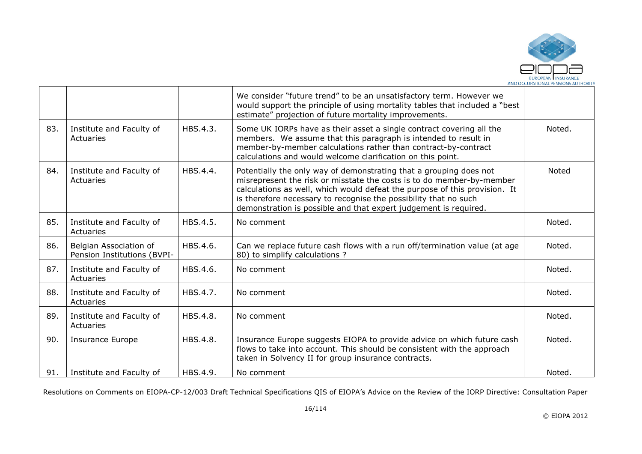

|     |                                                       |          | We consider "future trend" to be an unsatisfactory term. However we<br>would support the principle of using mortality tables that included a "best"<br>estimate" projection of future mortality improvements.                                                                                                                                                     |        |
|-----|-------------------------------------------------------|----------|-------------------------------------------------------------------------------------------------------------------------------------------------------------------------------------------------------------------------------------------------------------------------------------------------------------------------------------------------------------------|--------|
| 83. | Institute and Faculty of<br>Actuaries                 | HBS.4.3. | Some UK IORPs have as their asset a single contract covering all the<br>members. We assume that this paragraph is intended to result in<br>member-by-member calculations rather than contract-by-contract<br>calculations and would welcome clarification on this point.                                                                                          | Noted. |
| 84. | Institute and Faculty of<br>Actuaries                 | HBS.4.4. | Potentially the only way of demonstrating that a grouping does not<br>misrepresent the risk or misstate the costs is to do member-by-member<br>calculations as well, which would defeat the purpose of this provision. It<br>is therefore necessary to recognise the possibility that no such<br>demonstration is possible and that expert judgement is required. | Noted  |
| 85. | Institute and Faculty of<br>Actuaries                 | HBS.4.5. | No comment                                                                                                                                                                                                                                                                                                                                                        | Noted. |
| 86. | Belgian Association of<br>Pension Institutions (BVPI- | HBS.4.6. | Can we replace future cash flows with a run off/termination value (at age<br>80) to simplify calculations?                                                                                                                                                                                                                                                        | Noted. |
| 87. | Institute and Faculty of<br>Actuaries                 | HBS.4.6. | No comment                                                                                                                                                                                                                                                                                                                                                        | Noted. |
| 88. | Institute and Faculty of<br>Actuaries                 | HBS.4.7. | No comment                                                                                                                                                                                                                                                                                                                                                        | Noted. |
| 89. | Institute and Faculty of<br>Actuaries                 | HBS.4.8. | No comment                                                                                                                                                                                                                                                                                                                                                        | Noted. |
| 90. | <b>Insurance Europe</b>                               | HBS.4.8. | Insurance Europe suggests EIOPA to provide advice on which future cash<br>flows to take into account. This should be consistent with the approach<br>taken in Solvency II for group insurance contracts.                                                                                                                                                          | Noted. |
| 91. | Institute and Faculty of                              | HBS.4.9. | No comment                                                                                                                                                                                                                                                                                                                                                        | Noted. |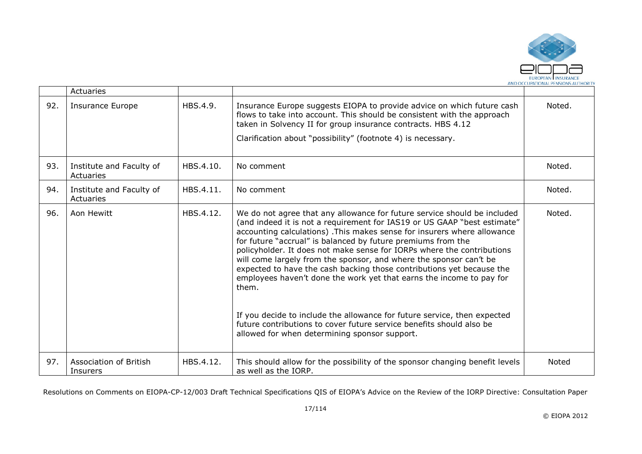

|     | Actuaries                             |           |                                                                                                                                                                                                                                                                                                                                                                                                                                                                                                                                                                                                                                                                                                                                                                                                                |        |
|-----|---------------------------------------|-----------|----------------------------------------------------------------------------------------------------------------------------------------------------------------------------------------------------------------------------------------------------------------------------------------------------------------------------------------------------------------------------------------------------------------------------------------------------------------------------------------------------------------------------------------------------------------------------------------------------------------------------------------------------------------------------------------------------------------------------------------------------------------------------------------------------------------|--------|
| 92. | <b>Insurance Europe</b>               | HBS.4.9.  | Insurance Europe suggests EIOPA to provide advice on which future cash<br>flows to take into account. This should be consistent with the approach<br>taken in Solvency II for group insurance contracts. HBS 4.12<br>Clarification about "possibility" (footnote 4) is necessary.                                                                                                                                                                                                                                                                                                                                                                                                                                                                                                                              | Noted. |
| 93. | Institute and Faculty of<br>Actuaries | HBS.4.10. | No comment                                                                                                                                                                                                                                                                                                                                                                                                                                                                                                                                                                                                                                                                                                                                                                                                     | Noted. |
| 94. | Institute and Faculty of<br>Actuaries | HBS.4.11. | No comment                                                                                                                                                                                                                                                                                                                                                                                                                                                                                                                                                                                                                                                                                                                                                                                                     | Noted. |
| 96. | Aon Hewitt                            | HBS.4.12. | We do not agree that any allowance for future service should be included<br>(and indeed it is not a requirement for IAS19 or US GAAP "best estimate"<br>accounting calculations). This makes sense for insurers where allowance<br>for future "accrual" is balanced by future premiums from the<br>policyholder. It does not make sense for IORPs where the contributions<br>will come largely from the sponsor, and where the sponsor can't be<br>expected to have the cash backing those contributions yet because the<br>employees haven't done the work yet that earns the income to pay for<br>them.<br>If you decide to include the allowance for future service, then expected<br>future contributions to cover future service benefits should also be<br>allowed for when determining sponsor support. | Noted. |
| 97. | Association of British<br>Insurers    | HBS.4.12. | This should allow for the possibility of the sponsor changing benefit levels<br>as well as the IORP.                                                                                                                                                                                                                                                                                                                                                                                                                                                                                                                                                                                                                                                                                                           | Noted  |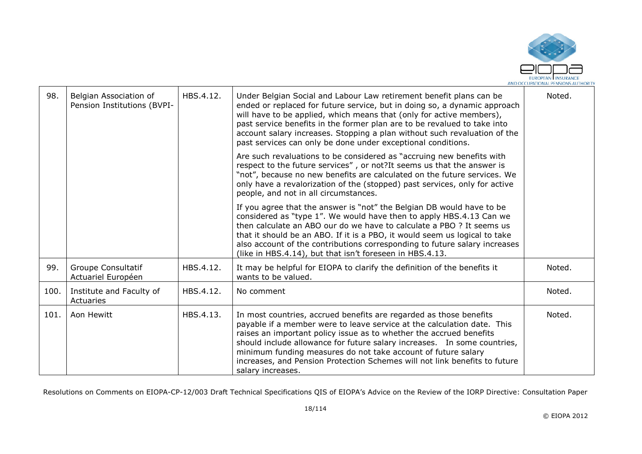

| 98.  | Belgian Association of<br>Pension Institutions (BVPI- | HBS.4.12. | Under Belgian Social and Labour Law retirement benefit plans can be<br>ended or replaced for future service, but in doing so, a dynamic approach<br>will have to be applied, which means that (only for active members),<br>past service benefits in the former plan are to be revalued to take into<br>account salary increases. Stopping a plan without such revaluation of the<br>past services can only be done under exceptional conditions.                     | Noted. |
|------|-------------------------------------------------------|-----------|-----------------------------------------------------------------------------------------------------------------------------------------------------------------------------------------------------------------------------------------------------------------------------------------------------------------------------------------------------------------------------------------------------------------------------------------------------------------------|--------|
|      |                                                       |           | Are such revaluations to be considered as "accruing new benefits with<br>respect to the future services", or not? It seems us that the answer is<br>"not", because no new benefits are calculated on the future services. We<br>only have a revalorization of the (stopped) past services, only for active<br>people, and not in all circumstances.                                                                                                                   |        |
|      |                                                       |           | If you agree that the answer is "not" the Belgian DB would have to be<br>considered as "type 1". We would have then to apply HBS.4.13 Can we<br>then calculate an ABO our do we have to calculate a PBO ? It seems us<br>that it should be an ABO. If it is a PBO, it would seem us logical to take<br>also account of the contributions corresponding to future salary increases<br>(like in HBS.4.14), but that isn't foreseen in HBS.4.13.                         |        |
| 99.  | Groupe Consultatif<br>Actuariel Européen              | HBS.4.12. | It may be helpful for EIOPA to clarify the definition of the benefits it<br>wants to be valued.                                                                                                                                                                                                                                                                                                                                                                       | Noted. |
| 100. | Institute and Faculty of<br>Actuaries                 | HBS.4.12. | No comment                                                                                                                                                                                                                                                                                                                                                                                                                                                            | Noted. |
| 101. | Aon Hewitt                                            | HBS.4.13. | In most countries, accrued benefits are regarded as those benefits<br>payable if a member were to leave service at the calculation date. This<br>raises an important policy issue as to whether the accrued benefits<br>should include allowance for future salary increases.  In some countries,<br>minimum funding measures do not take account of future salary<br>increases, and Pension Protection Schemes will not link benefits to future<br>salary increases. | Noted. |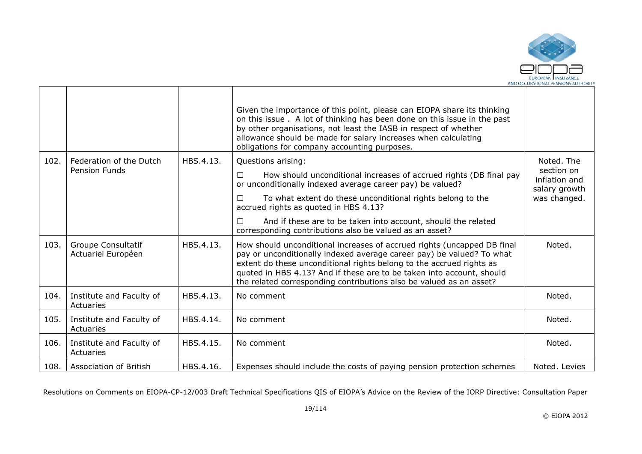

|      |                                                 |           | Given the importance of this point, please can EIOPA share its thinking<br>on this issue. A lot of thinking has been done on this issue in the past<br>by other organisations, not least the IASB in respect of whether<br>allowance should be made for salary increases when calculating<br>obligations for company accounting purposes.                                |                                |
|------|-------------------------------------------------|-----------|--------------------------------------------------------------------------------------------------------------------------------------------------------------------------------------------------------------------------------------------------------------------------------------------------------------------------------------------------------------------------|--------------------------------|
| 102. | Federation of the Dutch<br><b>Pension Funds</b> | HBS.4.13. | Questions arising:                                                                                                                                                                                                                                                                                                                                                       | Noted. The<br>section on       |
|      |                                                 |           | How should unconditional increases of accrued rights (DB final pay<br>$\Box$<br>or unconditionally indexed average career pay) be valued?                                                                                                                                                                                                                                | inflation and<br>salary growth |
|      |                                                 |           | To what extent do these unconditional rights belong to the<br>П<br>accrued rights as quoted in HBS 4.13?                                                                                                                                                                                                                                                                 | was changed.                   |
|      |                                                 |           | And if these are to be taken into account, should the related<br>П.<br>corresponding contributions also be valued as an asset?                                                                                                                                                                                                                                           |                                |
| 103. | Groupe Consultatif<br>Actuariel Européen        | HBS.4.13. | How should unconditional increases of accrued rights (uncapped DB final<br>pay or unconditionally indexed average career pay) be valued? To what<br>extent do these unconditional rights belong to the accrued rights as<br>quoted in HBS 4.13? And if these are to be taken into account, should<br>the related corresponding contributions also be valued as an asset? | Noted.                         |
| 104. | Institute and Faculty of<br>Actuaries           | HBS.4.13. | No comment                                                                                                                                                                                                                                                                                                                                                               | Noted.                         |
| 105. | Institute and Faculty of<br>Actuaries           | HBS.4.14. | No comment                                                                                                                                                                                                                                                                                                                                                               | Noted.                         |
| 106. | Institute and Faculty of<br>Actuaries           | HBS.4.15. | No comment                                                                                                                                                                                                                                                                                                                                                               | Noted.                         |
| 108. | Association of British                          | HBS.4.16. | Expenses should include the costs of paying pension protection schemes                                                                                                                                                                                                                                                                                                   | Noted. Levies                  |

Г

┱

┱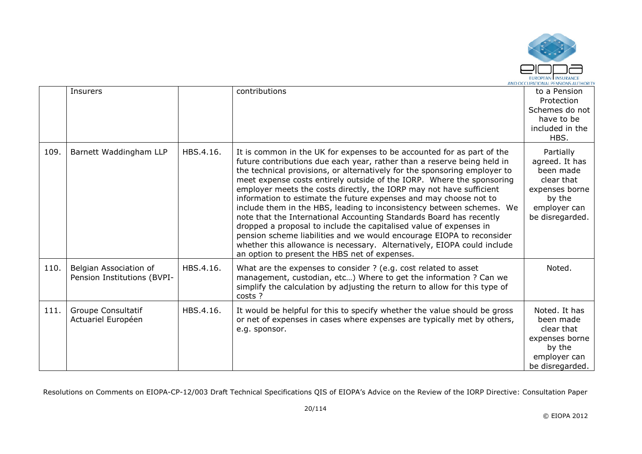

|      | <b>Insurers</b>                                       |           | contributions                                                                                                                                                                                                                                                                                                                                                                                                                                                                                                                                                                                                                                                                                                                                                                                                                                                                  | to a Pension<br>Protection<br>Schemes do not<br>have to be<br>included in the<br>HBS.                                 |
|------|-------------------------------------------------------|-----------|--------------------------------------------------------------------------------------------------------------------------------------------------------------------------------------------------------------------------------------------------------------------------------------------------------------------------------------------------------------------------------------------------------------------------------------------------------------------------------------------------------------------------------------------------------------------------------------------------------------------------------------------------------------------------------------------------------------------------------------------------------------------------------------------------------------------------------------------------------------------------------|-----------------------------------------------------------------------------------------------------------------------|
| 109. | Barnett Waddingham LLP                                | HBS.4.16. | It is common in the UK for expenses to be accounted for as part of the<br>future contributions due each year, rather than a reserve being held in<br>the technical provisions, or alternatively for the sponsoring employer to<br>meet expense costs entirely outside of the IORP. Where the sponsoring<br>employer meets the costs directly, the IORP may not have sufficient<br>information to estimate the future expenses and may choose not to<br>include them in the HBS, leading to inconsistency between schemes. We<br>note that the International Accounting Standards Board has recently<br>dropped a proposal to include the capitalised value of expenses in<br>pension scheme liabilities and we would encourage EIOPA to reconsider<br>whether this allowance is necessary. Alternatively, EIOPA could include<br>an option to present the HBS net of expenses. | Partially<br>agreed. It has<br>been made<br>clear that<br>expenses borne<br>by the<br>employer can<br>be disregarded. |
| 110. | Belgian Association of<br>Pension Institutions (BVPI- | HBS.4.16. | What are the expenses to consider ? (e.g. cost related to asset<br>management, custodian, etc) Where to get the information ? Can we<br>simplify the calculation by adjusting the return to allow for this type of<br>costs ?                                                                                                                                                                                                                                                                                                                                                                                                                                                                                                                                                                                                                                                  | Noted.                                                                                                                |
| 111. | Groupe Consultatif<br>Actuariel Européen              | HBS.4.16. | It would be helpful for this to specify whether the value should be gross<br>or net of expenses in cases where expenses are typically met by others,<br>e.g. sponsor.                                                                                                                                                                                                                                                                                                                                                                                                                                                                                                                                                                                                                                                                                                          | Noted. It has<br>been made<br>clear that<br>expenses borne<br>by the<br>employer can<br>be disregarded.               |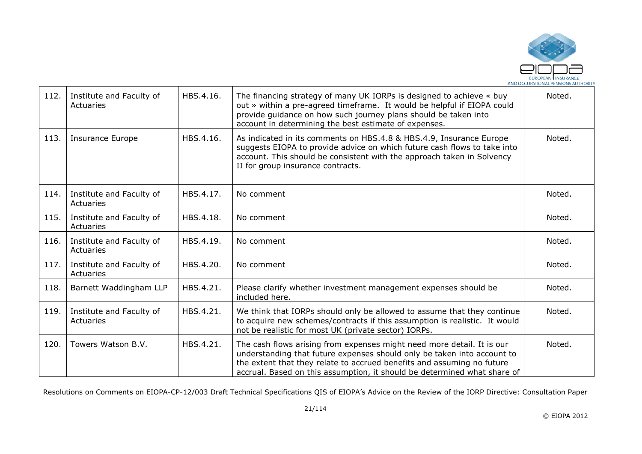

| 112. | Institute and Faculty of<br>Actuaries | HBS.4.16. | The financing strategy of many UK IORPs is designed to achieve « buy<br>out » within a pre-agreed timeframe. It would be helpful if EIOPA could<br>provide guidance on how such journey plans should be taken into<br>account in determining the best estimate of expenses.                             | Noted. |
|------|---------------------------------------|-----------|---------------------------------------------------------------------------------------------------------------------------------------------------------------------------------------------------------------------------------------------------------------------------------------------------------|--------|
| 113. | <b>Insurance Europe</b>               | HBS.4.16. | As indicated in its comments on HBS.4.8 & HBS.4.9, Insurance Europe<br>suggests EIOPA to provide advice on which future cash flows to take into<br>account. This should be consistent with the approach taken in Solvency<br>II for group insurance contracts.                                          | Noted. |
| 114. | Institute and Faculty of<br>Actuaries | HBS.4.17. | No comment                                                                                                                                                                                                                                                                                              | Noted. |
| 115. | Institute and Faculty of<br>Actuaries | HBS.4.18. | No comment                                                                                                                                                                                                                                                                                              | Noted. |
| 116. | Institute and Faculty of<br>Actuaries | HBS.4.19. | No comment                                                                                                                                                                                                                                                                                              | Noted. |
| 117. | Institute and Faculty of<br>Actuaries | HBS.4.20. | No comment                                                                                                                                                                                                                                                                                              | Noted. |
| 118. | Barnett Waddingham LLP                | HBS.4.21. | Please clarify whether investment management expenses should be<br>included here.                                                                                                                                                                                                                       | Noted. |
| 119. | Institute and Faculty of<br>Actuaries | HBS.4.21. | We think that IORPs should only be allowed to assume that they continue<br>to acquire new schemes/contracts if this assumption is realistic. It would<br>not be realistic for most UK (private sector) IORPs.                                                                                           | Noted. |
| 120. | Towers Watson B.V.                    | HBS.4.21. | The cash flows arising from expenses might need more detail. It is our<br>understanding that future expenses should only be taken into account to<br>the extent that they relate to accrued benefits and assuming no future<br>accrual. Based on this assumption, it should be determined what share of | Noted. |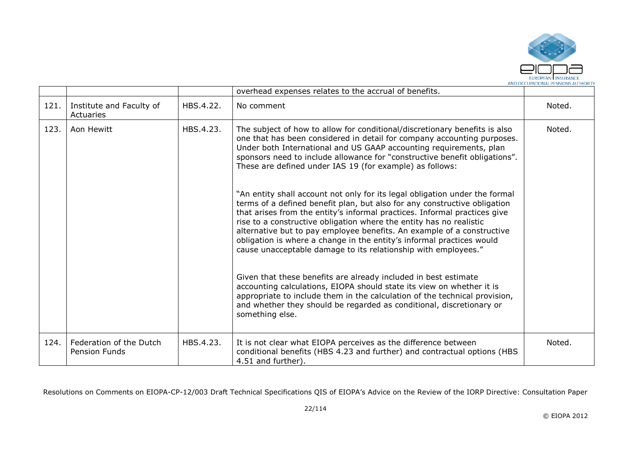

|      |                                          |           | overhead expenses relates to the accrual of benefits.                                                                                                                                                                                                                                                                                                                                                                                                                                                                                                                                                                                                                                                                                                                                                                                                                                                      |        |
|------|------------------------------------------|-----------|------------------------------------------------------------------------------------------------------------------------------------------------------------------------------------------------------------------------------------------------------------------------------------------------------------------------------------------------------------------------------------------------------------------------------------------------------------------------------------------------------------------------------------------------------------------------------------------------------------------------------------------------------------------------------------------------------------------------------------------------------------------------------------------------------------------------------------------------------------------------------------------------------------|--------|
| 121. | Institute and Faculty of<br>Actuaries    | HBS.4.22. | No comment                                                                                                                                                                                                                                                                                                                                                                                                                                                                                                                                                                                                                                                                                                                                                                                                                                                                                                 | Noted. |
| 123. | Aon Hewitt                               | HBS.4.23. | The subject of how to allow for conditional/discretionary benefits is also<br>one that has been considered in detail for company accounting purposes.<br>Under both International and US GAAP accounting requirements, plan<br>sponsors need to include allowance for "constructive benefit obligations".<br>These are defined under IAS 19 (for example) as follows:<br>"An entity shall account not only for its legal obligation under the formal<br>terms of a defined benefit plan, but also for any constructive obligation<br>that arises from the entity's informal practices. Informal practices give<br>rise to a constructive obligation where the entity has no realistic<br>alternative but to pay employee benefits. An example of a constructive<br>obligation is where a change in the entity's informal practices would<br>cause unacceptable damage to its relationship with employees." | Noted. |
|      |                                          |           | Given that these benefits are already included in best estimate<br>accounting calculations, EIOPA should state its view on whether it is<br>appropriate to include them in the calculation of the technical provision,<br>and whether they should be regarded as conditional, discretionary or<br>something else.                                                                                                                                                                                                                                                                                                                                                                                                                                                                                                                                                                                          |        |
| 124. | Federation of the Dutch<br>Pension Funds | HBS.4.23. | It is not clear what EIOPA perceives as the difference between<br>conditional benefits (HBS 4.23 and further) and contractual options (HBS<br>4.51 and further).                                                                                                                                                                                                                                                                                                                                                                                                                                                                                                                                                                                                                                                                                                                                           | Noted. |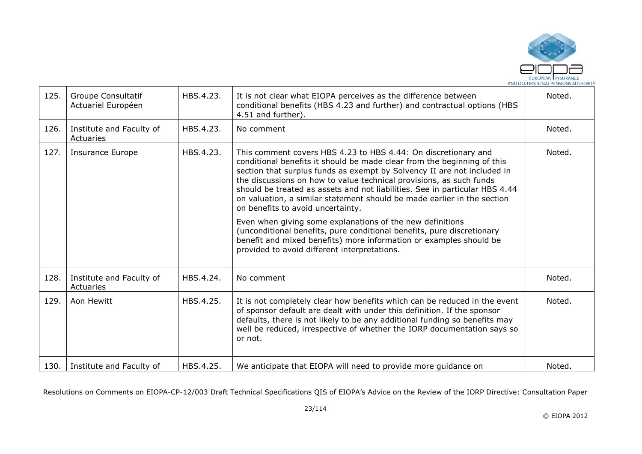

| 125. | Groupe Consultatif<br>Actuariel Européen | HBS.4.23. | It is not clear what EIOPA perceives as the difference between<br>conditional benefits (HBS 4.23 and further) and contractual options (HBS<br>4.51 and further).                                                                                                                                                                                                                                                                                                                           | Noted. |
|------|------------------------------------------|-----------|--------------------------------------------------------------------------------------------------------------------------------------------------------------------------------------------------------------------------------------------------------------------------------------------------------------------------------------------------------------------------------------------------------------------------------------------------------------------------------------------|--------|
| 126. | Institute and Faculty of<br>Actuaries    | HBS.4.23. | No comment                                                                                                                                                                                                                                                                                                                                                                                                                                                                                 | Noted. |
| 127. | Insurance Europe                         | HBS.4.23. | This comment covers HBS 4.23 to HBS 4.44: On discretionary and<br>conditional benefits it should be made clear from the beginning of this<br>section that surplus funds as exempt by Solvency II are not included in<br>the discussions on how to value technical provisions, as such funds<br>should be treated as assets and not liabilities. See in particular HBS 4.44<br>on valuation, a similar statement should be made earlier in the section<br>on benefits to avoid uncertainty. | Noted. |
|      |                                          |           | Even when giving some explanations of the new definitions<br>(unconditional benefits, pure conditional benefits, pure discretionary<br>benefit and mixed benefits) more information or examples should be<br>provided to avoid different interpretations.                                                                                                                                                                                                                                  |        |
| 128. | Institute and Faculty of<br>Actuaries    | HBS.4.24. | No comment                                                                                                                                                                                                                                                                                                                                                                                                                                                                                 | Noted. |
| 129. | Aon Hewitt                               | HBS.4.25. | It is not completely clear how benefits which can be reduced in the event<br>of sponsor default are dealt with under this definition. If the sponsor<br>defaults, there is not likely to be any additional funding so benefits may<br>well be reduced, irrespective of whether the IORP documentation says so<br>or not.                                                                                                                                                                   | Noted. |
| 130. | Institute and Faculty of                 | HBS.4.25. | We anticipate that EIOPA will need to provide more guidance on                                                                                                                                                                                                                                                                                                                                                                                                                             | Noted. |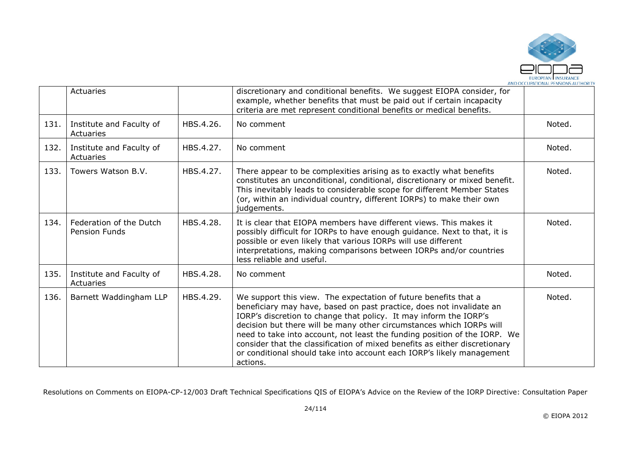

|      | Actuaries                                       |           | discretionary and conditional benefits. We suggest EIOPA consider, for<br>example, whether benefits that must be paid out if certain incapacity<br>criteria are met represent conditional benefits or medical benefits.                                                                                                                                                                                                                                                                                                              |        |
|------|-------------------------------------------------|-----------|--------------------------------------------------------------------------------------------------------------------------------------------------------------------------------------------------------------------------------------------------------------------------------------------------------------------------------------------------------------------------------------------------------------------------------------------------------------------------------------------------------------------------------------|--------|
| 131. | Institute and Faculty of<br>Actuaries           | HBS.4.26. | No comment                                                                                                                                                                                                                                                                                                                                                                                                                                                                                                                           | Noted. |
| 132. | Institute and Faculty of<br>Actuaries           | HBS.4.27. | No comment                                                                                                                                                                                                                                                                                                                                                                                                                                                                                                                           | Noted. |
| 133. | Towers Watson B.V.                              | HBS.4.27. | There appear to be complexities arising as to exactly what benefits<br>constitutes an unconditional, conditional, discretionary or mixed benefit.<br>This inevitably leads to considerable scope for different Member States<br>(or, within an individual country, different IORPs) to make their own<br>judgements.                                                                                                                                                                                                                 | Noted. |
| 134. | Federation of the Dutch<br><b>Pension Funds</b> | HBS.4.28. | It is clear that EIOPA members have different views. This makes it<br>possibly difficult for IORPs to have enough guidance. Next to that, it is<br>possible or even likely that various IORPs will use different<br>interpretations, making comparisons between IORPs and/or countries<br>less reliable and useful.                                                                                                                                                                                                                  | Noted. |
| 135. | Institute and Faculty of<br>Actuaries           | HBS.4.28. | No comment                                                                                                                                                                                                                                                                                                                                                                                                                                                                                                                           | Noted. |
| 136. | Barnett Waddingham LLP                          | HBS.4.29. | We support this view. The expectation of future benefits that a<br>beneficiary may have, based on past practice, does not invalidate an<br>IORP's discretion to change that policy. It may inform the IORP's<br>decision but there will be many other circumstances which IORPs will<br>need to take into account, not least the funding position of the IORP. We<br>consider that the classification of mixed benefits as either discretionary<br>or conditional should take into account each IORP's likely management<br>actions. | Noted. |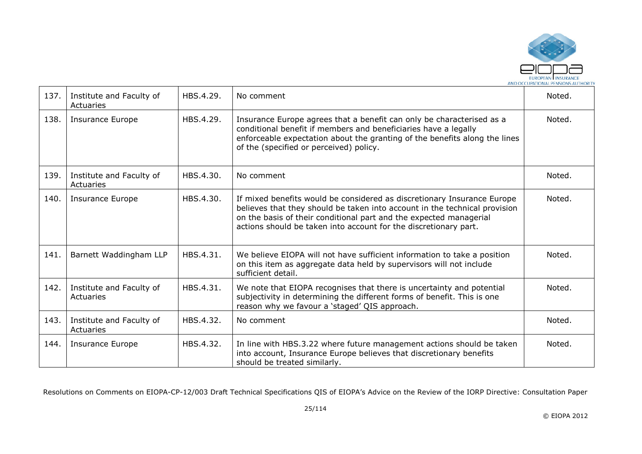

| 137. | Institute and Faculty of<br>Actuaries | HBS.4.29. | No comment                                                                                                                                                                                                                                                                                      | Noted. |
|------|---------------------------------------|-----------|-------------------------------------------------------------------------------------------------------------------------------------------------------------------------------------------------------------------------------------------------------------------------------------------------|--------|
| 138. | <b>Insurance Europe</b>               | HBS.4.29. | Insurance Europe agrees that a benefit can only be characterised as a<br>conditional benefit if members and beneficiaries have a legally<br>enforceable expectation about the granting of the benefits along the lines<br>of the (specified or perceived) policy.                               | Noted. |
| 139. | Institute and Faculty of<br>Actuaries | HBS.4.30. | No comment                                                                                                                                                                                                                                                                                      | Noted. |
| 140. | <b>Insurance Europe</b>               | HBS.4.30. | If mixed benefits would be considered as discretionary Insurance Europe<br>believes that they should be taken into account in the technical provision<br>on the basis of their conditional part and the expected managerial<br>actions should be taken into account for the discretionary part. | Noted. |
| 141. | Barnett Waddingham LLP                | HBS.4.31. | We believe EIOPA will not have sufficient information to take a position<br>on this item as aggregate data held by supervisors will not include<br>sufficient detail.                                                                                                                           | Noted. |
| 142. | Institute and Faculty of<br>Actuaries | HBS.4.31. | We note that EIOPA recognises that there is uncertainty and potential<br>subjectivity in determining the different forms of benefit. This is one<br>reason why we favour a 'staged' QIS approach.                                                                                               | Noted. |
| 143. | Institute and Faculty of<br>Actuaries | HBS.4.32. | No comment                                                                                                                                                                                                                                                                                      | Noted. |
| 144. | <b>Insurance Europe</b>               | HBS.4.32. | In line with HBS.3.22 where future management actions should be taken<br>into account, Insurance Europe believes that discretionary benefits<br>should be treated similarly.                                                                                                                    | Noted. |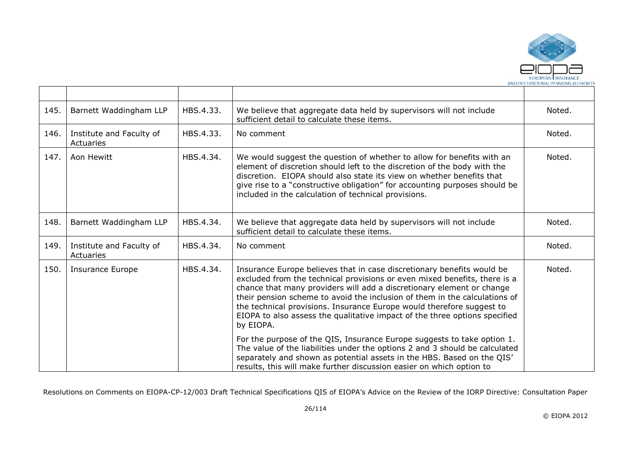

| 145. | Barnett Waddingham LLP                | HBS.4.33. | We believe that aggregate data held by supervisors will not include<br>sufficient detail to calculate these items.                                                                                                                                                                                                                                                                                                                                                                                                                                                                                                                                                                                                                                                                         | Noted. |
|------|---------------------------------------|-----------|--------------------------------------------------------------------------------------------------------------------------------------------------------------------------------------------------------------------------------------------------------------------------------------------------------------------------------------------------------------------------------------------------------------------------------------------------------------------------------------------------------------------------------------------------------------------------------------------------------------------------------------------------------------------------------------------------------------------------------------------------------------------------------------------|--------|
| 146. | Institute and Faculty of<br>Actuaries | HBS.4.33. | No comment                                                                                                                                                                                                                                                                                                                                                                                                                                                                                                                                                                                                                                                                                                                                                                                 | Noted. |
| 147. | Aon Hewitt                            | HBS.4.34. | We would suggest the question of whether to allow for benefits with an<br>element of discretion should left to the discretion of the body with the<br>discretion. EIOPA should also state its view on whether benefits that<br>give rise to a "constructive obligation" for accounting purposes should be<br>included in the calculation of technical provisions.                                                                                                                                                                                                                                                                                                                                                                                                                          | Noted. |
| 148. | Barnett Waddingham LLP                | HBS.4.34. | We believe that aggregate data held by supervisors will not include<br>sufficient detail to calculate these items.                                                                                                                                                                                                                                                                                                                                                                                                                                                                                                                                                                                                                                                                         | Noted. |
| 149. | Institute and Faculty of<br>Actuaries | HBS.4.34. | No comment                                                                                                                                                                                                                                                                                                                                                                                                                                                                                                                                                                                                                                                                                                                                                                                 | Noted. |
| 150. | <b>Insurance Europe</b>               | HBS.4.34. | Insurance Europe believes that in case discretionary benefits would be<br>excluded from the technical provisions or even mixed benefits, there is a<br>chance that many providers will add a discretionary element or change<br>their pension scheme to avoid the inclusion of them in the calculations of<br>the technical provisions. Insurance Europe would therefore suggest to<br>EIOPA to also assess the qualitative impact of the three options specified<br>by EIOPA.<br>For the purpose of the QIS, Insurance Europe suggests to take option 1.<br>The value of the liabilities under the options 2 and 3 should be calculated<br>separately and shown as potential assets in the HBS. Based on the QIS'<br>results, this will make further discussion easier on which option to | Noted. |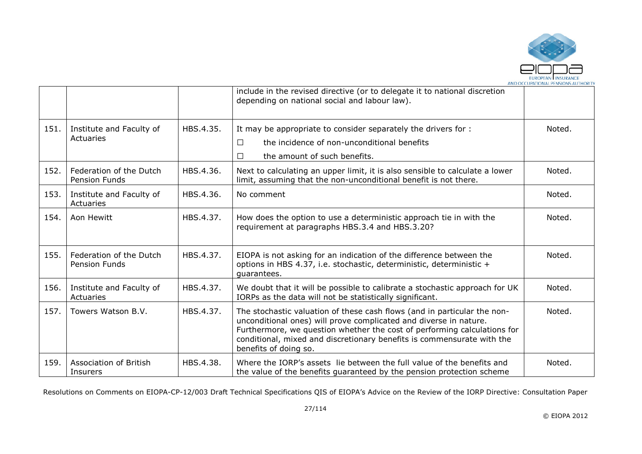

|      |                                                 |           | include in the revised directive (or to delegate it to national discretion<br>depending on national social and labour law).                                                                                                                                                                                                  |        |
|------|-------------------------------------------------|-----------|------------------------------------------------------------------------------------------------------------------------------------------------------------------------------------------------------------------------------------------------------------------------------------------------------------------------------|--------|
| 151. | Institute and Faculty of<br>Actuaries           | HBS.4.35. | It may be appropriate to consider separately the drivers for :<br>the incidence of non-unconditional benefits<br>$\Box$<br>the amount of such benefits.<br>П                                                                                                                                                                 | Noted. |
| 152. | Federation of the Dutch<br><b>Pension Funds</b> | HBS.4.36. | Next to calculating an upper limit, it is also sensible to calculate a lower<br>limit, assuming that the non-unconditional benefit is not there.                                                                                                                                                                             | Noted. |
| 153. | Institute and Faculty of<br>Actuaries           | HBS.4.36. | No comment                                                                                                                                                                                                                                                                                                                   | Noted. |
| 154. | Aon Hewitt                                      | HBS.4.37. | How does the option to use a deterministic approach tie in with the<br>requirement at paragraphs HBS.3.4 and HBS.3.20?                                                                                                                                                                                                       | Noted. |
| 155. | Federation of the Dutch<br><b>Pension Funds</b> | HBS.4.37. | EIOPA is not asking for an indication of the difference between the<br>options in HBS 4.37, i.e. stochastic, deterministic, deterministic +<br>quarantees.                                                                                                                                                                   | Noted. |
| 156. | Institute and Faculty of<br>Actuaries           | HBS.4.37. | We doubt that it will be possible to calibrate a stochastic approach for UK<br>IORPs as the data will not be statistically significant.                                                                                                                                                                                      | Noted. |
| 157. | Towers Watson B.V.                              | HBS.4.37. | The stochastic valuation of these cash flows (and in particular the non-<br>unconditional ones) will prove complicated and diverse in nature.<br>Furthermore, we question whether the cost of performing calculations for<br>conditional, mixed and discretionary benefits is commensurate with the<br>benefits of doing so. | Noted. |
| 159. | <b>Association of British</b><br>Insurers       | HBS.4.38. | Where the IORP's assets lie between the full value of the benefits and<br>the value of the benefits guaranteed by the pension protection scheme                                                                                                                                                                              | Noted. |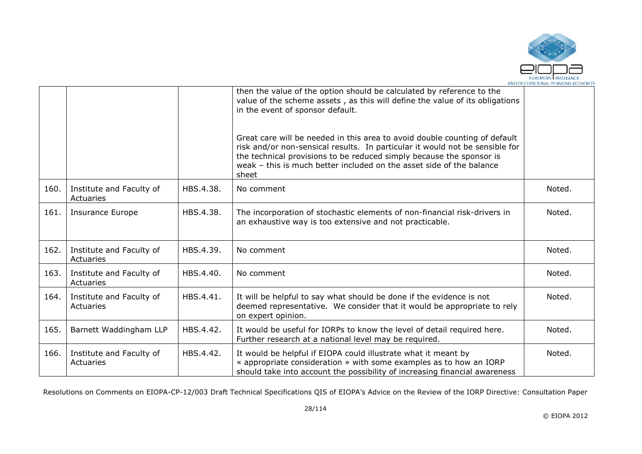

|      |                                       |           | then the value of the option should be calculated by reference to the<br>value of the scheme assets, as this will define the value of its obligations<br>in the event of sponsor default.                                                                                                                           |        |
|------|---------------------------------------|-----------|---------------------------------------------------------------------------------------------------------------------------------------------------------------------------------------------------------------------------------------------------------------------------------------------------------------------|--------|
|      |                                       |           | Great care will be needed in this area to avoid double counting of default<br>risk and/or non-sensical results. In particular it would not be sensible for<br>the technical provisions to be reduced simply because the sponsor is<br>weak - this is much better included on the asset side of the balance<br>sheet |        |
| 160. | Institute and Faculty of<br>Actuaries | HBS.4.38. | No comment                                                                                                                                                                                                                                                                                                          | Noted. |
| 161. | <b>Insurance Europe</b>               | HBS.4.38. | The incorporation of stochastic elements of non-financial risk-drivers in<br>an exhaustive way is too extensive and not practicable.                                                                                                                                                                                | Noted. |
| 162. | Institute and Faculty of<br>Actuaries | HBS.4.39. | No comment                                                                                                                                                                                                                                                                                                          | Noted. |
| 163. | Institute and Faculty of<br>Actuaries | HBS.4.40. | No comment                                                                                                                                                                                                                                                                                                          | Noted. |
| 164. | Institute and Faculty of<br>Actuaries | HBS.4.41. | It will be helpful to say what should be done if the evidence is not<br>deemed representative. We consider that it would be appropriate to rely<br>on expert opinion.                                                                                                                                               | Noted. |
| 165. | Barnett Waddingham LLP                | HBS.4.42. | It would be useful for IORPs to know the level of detail required here.<br>Further research at a national level may be required.                                                                                                                                                                                    | Noted. |
| 166. | Institute and Faculty of<br>Actuaries | HBS.4.42. | It would be helpful if EIOPA could illustrate what it meant by<br>« appropriate consideration » with some examples as to how an IORP<br>should take into account the possibility of increasing financial awareness                                                                                                  | Noted. |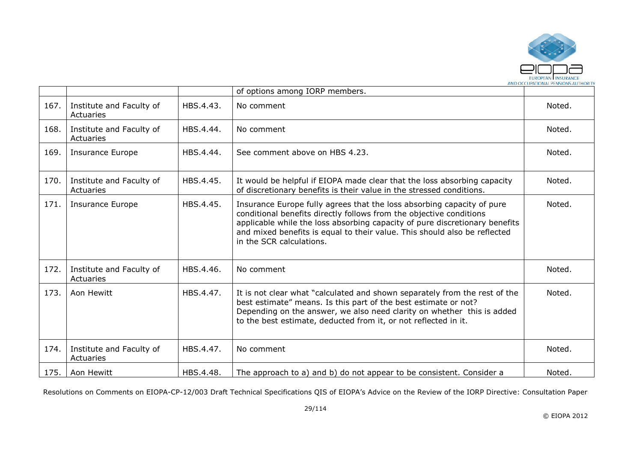

|      |                                       |           | of options among IORP members.                                                                                                                                                                                                                                                                                                        |        |
|------|---------------------------------------|-----------|---------------------------------------------------------------------------------------------------------------------------------------------------------------------------------------------------------------------------------------------------------------------------------------------------------------------------------------|--------|
| 167. | Institute and Faculty of<br>Actuaries | HBS.4.43. | No comment                                                                                                                                                                                                                                                                                                                            | Noted. |
| 168. | Institute and Faculty of<br>Actuaries | HBS.4.44. | No comment                                                                                                                                                                                                                                                                                                                            | Noted. |
| 169. | <b>Insurance Europe</b>               | HBS.4.44. | See comment above on HBS 4.23.                                                                                                                                                                                                                                                                                                        | Noted. |
| 170. | Institute and Faculty of<br>Actuaries | HBS.4.45. | It would be helpful if EIOPA made clear that the loss absorbing capacity<br>of discretionary benefits is their value in the stressed conditions.                                                                                                                                                                                      | Noted. |
| 171. | <b>Insurance Europe</b>               | HBS.4.45. | Insurance Europe fully agrees that the loss absorbing capacity of pure<br>conditional benefits directly follows from the objective conditions<br>applicable while the loss absorbing capacity of pure discretionary benefits<br>and mixed benefits is equal to their value. This should also be reflected<br>in the SCR calculations. | Noted. |
| 172. | Institute and Faculty of<br>Actuaries | HBS.4.46. | No comment                                                                                                                                                                                                                                                                                                                            | Noted. |
| 173. | Aon Hewitt                            | HBS.4.47. | It is not clear what "calculated and shown separately from the rest of the<br>best estimate" means. Is this part of the best estimate or not?<br>Depending on the answer, we also need clarity on whether this is added<br>to the best estimate, deducted from it, or not reflected in it.                                            | Noted. |
| 174. | Institute and Faculty of<br>Actuaries | HBS.4.47. | No comment                                                                                                                                                                                                                                                                                                                            | Noted. |
| 175. | Aon Hewitt                            | HBS.4.48. | The approach to a) and b) do not appear to be consistent. Consider a                                                                                                                                                                                                                                                                  | Noted. |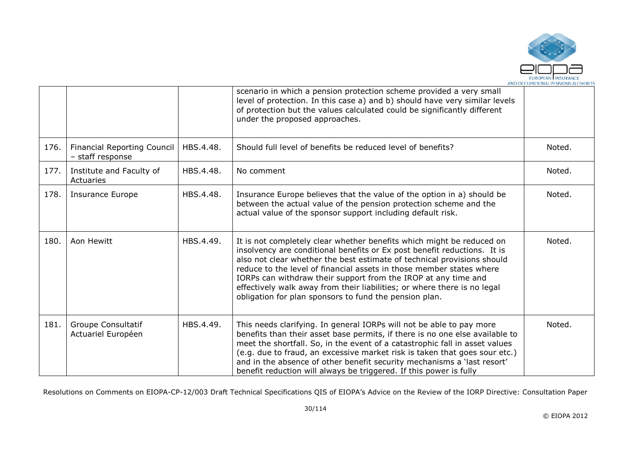

|      |                                                        |           | scenario in which a pension protection scheme provided a very small<br>level of protection. In this case a) and b) should have very similar levels<br>of protection but the values calculated could be significantly different<br>under the proposed approaches.                                                                                                                                                                                                                                             |        |
|------|--------------------------------------------------------|-----------|--------------------------------------------------------------------------------------------------------------------------------------------------------------------------------------------------------------------------------------------------------------------------------------------------------------------------------------------------------------------------------------------------------------------------------------------------------------------------------------------------------------|--------|
| 176. | <b>Financial Reporting Council</b><br>- staff response | HBS.4.48. | Should full level of benefits be reduced level of benefits?                                                                                                                                                                                                                                                                                                                                                                                                                                                  | Noted. |
| 177. | Institute and Faculty of<br><b>Actuaries</b>           | HBS.4.48. | No comment                                                                                                                                                                                                                                                                                                                                                                                                                                                                                                   | Noted. |
| 178. | <b>Insurance Europe</b>                                | HBS.4.48. | Insurance Europe believes that the value of the option in a) should be<br>between the actual value of the pension protection scheme and the<br>actual value of the sponsor support including default risk.                                                                                                                                                                                                                                                                                                   | Noted. |
| 180. | Aon Hewitt                                             | HBS.4.49. | It is not completely clear whether benefits which might be reduced on<br>insolvency are conditional benefits or Ex post benefit reductions. It is<br>also not clear whether the best estimate of technical provisions should<br>reduce to the level of financial assets in those member states where<br>IORPs can withdraw their support from the IROP at any time and<br>effectively walk away from their liabilities; or where there is no legal<br>obligation for plan sponsors to fund the pension plan. | Noted. |
| 181. | Groupe Consultatif<br>Actuariel Européen               | HBS.4.49. | This needs clarifying. In general IORPs will not be able to pay more<br>benefits than their asset base permits, if there is no one else available to<br>meet the shortfall. So, in the event of a catastrophic fall in asset values<br>(e.g. due to fraud, an excessive market risk is taken that goes sour etc.)<br>and in the absence of other benefit security mechanisms a 'last resort'<br>benefit reduction will always be triggered. If this power is fully                                           | Noted. |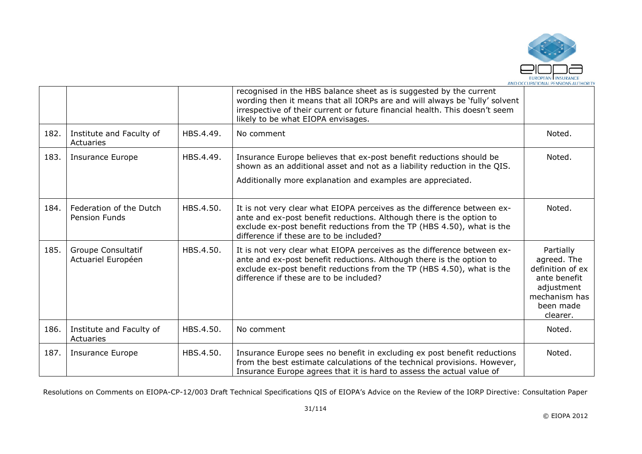

|      |                                                 |           | recognised in the HBS balance sheet as is suggested by the current<br>wording then it means that all IORPs are and will always be 'fully' solvent<br>irrespective of their current or future financial health. This doesn't seem<br>likely to be what EIOPA envisages. |                                                                                                                      |
|------|-------------------------------------------------|-----------|------------------------------------------------------------------------------------------------------------------------------------------------------------------------------------------------------------------------------------------------------------------------|----------------------------------------------------------------------------------------------------------------------|
| 182. | Institute and Faculty of<br>Actuaries           | HBS.4.49. | No comment                                                                                                                                                                                                                                                             | Noted.                                                                                                               |
| 183. | <b>Insurance Europe</b>                         | HBS.4.49. | Insurance Europe believes that ex-post benefit reductions should be<br>shown as an additional asset and not as a liability reduction in the QIS.<br>Additionally more explanation and examples are appreciated.                                                        | Noted.                                                                                                               |
| 184. | Federation of the Dutch<br><b>Pension Funds</b> | HBS.4.50. | It is not very clear what EIOPA perceives as the difference between ex-<br>ante and ex-post benefit reductions. Although there is the option to<br>exclude ex-post benefit reductions from the TP (HBS 4.50), what is the<br>difference if these are to be included?   | Noted.                                                                                                               |
| 185. | Groupe Consultatif<br>Actuariel Européen        | HBS.4.50. | It is not very clear what EIOPA perceives as the difference between ex-<br>ante and ex-post benefit reductions. Although there is the option to<br>exclude ex-post benefit reductions from the TP (HBS 4.50), what is the<br>difference if these are to be included?   | Partially<br>agreed. The<br>definition of ex<br>ante benefit<br>adjustment<br>mechanism has<br>been made<br>clearer. |
| 186. | Institute and Faculty of<br>Actuaries           | HBS.4.50. | No comment                                                                                                                                                                                                                                                             | Noted.                                                                                                               |
| 187. | Insurance Europe                                | HBS.4.50. | Insurance Europe sees no benefit in excluding ex post benefit reductions<br>from the best estimate calculations of the technical provisions. However,<br>Insurance Europe agrees that it is hard to assess the actual value of                                         | Noted.                                                                                                               |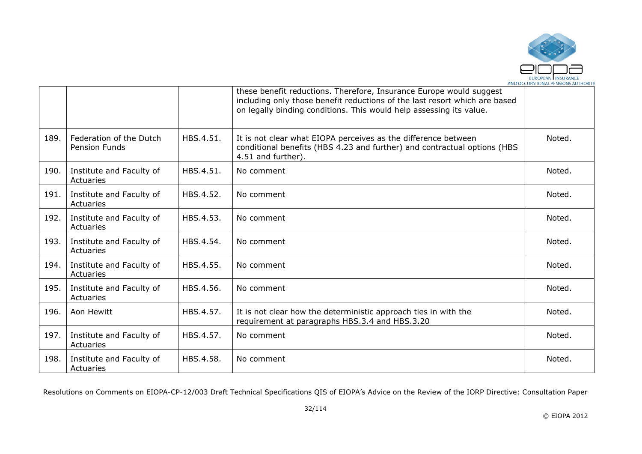

|      |                                                 |           | these benefit reductions. Therefore, Insurance Europe would suggest<br>including only those benefit reductions of the last resort which are based<br>on legally binding conditions. This would help assessing its value. |        |
|------|-------------------------------------------------|-----------|--------------------------------------------------------------------------------------------------------------------------------------------------------------------------------------------------------------------------|--------|
| 189. | Federation of the Dutch<br><b>Pension Funds</b> | HBS.4.51. | It is not clear what EIOPA perceives as the difference between<br>conditional benefits (HBS 4.23 and further) and contractual options (HBS<br>4.51 and further).                                                         | Noted. |
| 190. | Institute and Faculty of<br>Actuaries           | HBS.4.51. | No comment                                                                                                                                                                                                               | Noted. |
| 191. | Institute and Faculty of<br>Actuaries           | HBS.4.52. | No comment                                                                                                                                                                                                               | Noted. |
| 192. | Institute and Faculty of<br>Actuaries           | HBS.4.53. | No comment                                                                                                                                                                                                               | Noted. |
| 193. | Institute and Faculty of<br>Actuaries           | HBS.4.54. | No comment                                                                                                                                                                                                               | Noted. |
| 194. | Institute and Faculty of<br>Actuaries           | HBS.4.55. | No comment                                                                                                                                                                                                               | Noted. |
| 195. | Institute and Faculty of<br>Actuaries           | HBS.4.56. | No comment                                                                                                                                                                                                               | Noted. |
| 196. | Aon Hewitt                                      | HBS.4.57. | It is not clear how the deterministic approach ties in with the<br>requirement at paragraphs HBS.3.4 and HBS.3.20                                                                                                        | Noted. |
| 197. | Institute and Faculty of<br>Actuaries           | HBS.4.57. | No comment                                                                                                                                                                                                               | Noted. |
| 198. | Institute and Faculty of<br>Actuaries           | HBS.4.58. | No comment                                                                                                                                                                                                               | Noted. |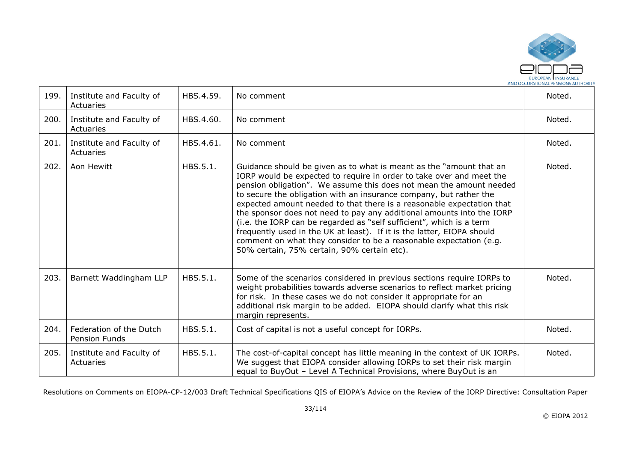

| 199. | Institute and Faculty of<br>Actuaries    | HBS.4.59. | No comment                                                                                                                                                                                                                                                                                                                                                                                                                                                                                                                                                                                                                                                                                                        | Noted. |
|------|------------------------------------------|-----------|-------------------------------------------------------------------------------------------------------------------------------------------------------------------------------------------------------------------------------------------------------------------------------------------------------------------------------------------------------------------------------------------------------------------------------------------------------------------------------------------------------------------------------------------------------------------------------------------------------------------------------------------------------------------------------------------------------------------|--------|
| 200. | Institute and Faculty of<br>Actuaries    | HBS.4.60. | No comment                                                                                                                                                                                                                                                                                                                                                                                                                                                                                                                                                                                                                                                                                                        | Noted. |
| 201. | Institute and Faculty of<br>Actuaries    | HBS.4.61. | No comment                                                                                                                                                                                                                                                                                                                                                                                                                                                                                                                                                                                                                                                                                                        | Noted. |
| 202. | Aon Hewitt                               | HBS.5.1.  | Guidance should be given as to what is meant as the "amount that an<br>IORP would be expected to require in order to take over and meet the<br>pension obligation". We assume this does not mean the amount needed<br>to secure the obligation with an insurance company, but rather the<br>expected amount needed to that there is a reasonable expectation that<br>the sponsor does not need to pay any additional amounts into the IORP<br>(i.e. the IORP can be regarded as "self sufficient", which is a term<br>frequently used in the UK at least). If it is the latter, EIOPA should<br>comment on what they consider to be a reasonable expectation (e.g.<br>50% certain, 75% certain, 90% certain etc). | Noted. |
| 203. | Barnett Waddingham LLP                   | HBS.5.1.  | Some of the scenarios considered in previous sections require IORPs to<br>weight probabilities towards adverse scenarios to reflect market pricing<br>for risk. In these cases we do not consider it appropriate for an<br>additional risk margin to be added. EIOPA should clarify what this risk<br>margin represents.                                                                                                                                                                                                                                                                                                                                                                                          | Noted. |
| 204. | Federation of the Dutch<br>Pension Funds | HBS.5.1.  | Cost of capital is not a useful concept for IORPs.                                                                                                                                                                                                                                                                                                                                                                                                                                                                                                                                                                                                                                                                | Noted. |
| 205. | Institute and Faculty of<br>Actuaries    | HBS.5.1.  | The cost-of-capital concept has little meaning in the context of UK IORPs.<br>We suggest that EIOPA consider allowing IORPs to set their risk margin<br>equal to BuyOut - Level A Technical Provisions, where BuyOut is an                                                                                                                                                                                                                                                                                                                                                                                                                                                                                        | Noted. |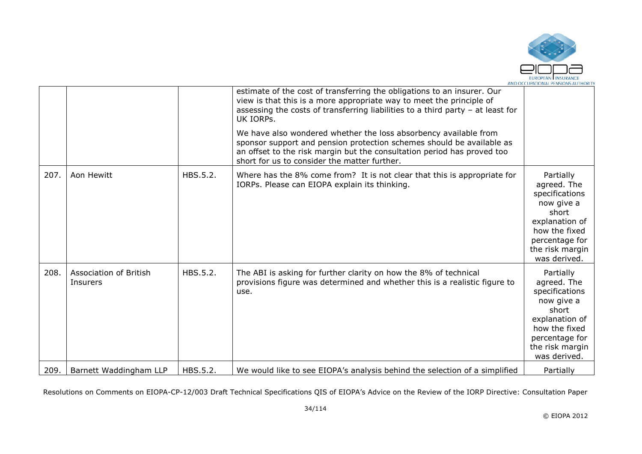

|      |                                           |          | estimate of the cost of transferring the obligations to an insurer. Our<br>view is that this is a more appropriate way to meet the principle of<br>assessing the costs of transferring liabilities to a third party $-$ at least for<br>UK IORPS.                    |                                                                                                                                                           |
|------|-------------------------------------------|----------|----------------------------------------------------------------------------------------------------------------------------------------------------------------------------------------------------------------------------------------------------------------------|-----------------------------------------------------------------------------------------------------------------------------------------------------------|
|      |                                           |          | We have also wondered whether the loss absorbency available from<br>sponsor support and pension protection schemes should be available as<br>an offset to the risk margin but the consultation period has proved too<br>short for us to consider the matter further. |                                                                                                                                                           |
| 207. | Aon Hewitt                                | HBS.5.2. | Where has the 8% come from? It is not clear that this is appropriate for<br>IORPs. Please can EIOPA explain its thinking.                                                                                                                                            | Partially<br>agreed. The<br>specifications<br>now give a<br>short<br>explanation of<br>how the fixed<br>percentage for<br>the risk margin<br>was derived. |
| 208. | <b>Association of British</b><br>Insurers | HBS.5.2. | The ABI is asking for further clarity on how the 8% of technical<br>provisions figure was determined and whether this is a realistic figure to<br>use.                                                                                                               | Partially<br>agreed. The<br>specifications<br>now give a<br>short<br>explanation of<br>how the fixed<br>percentage for<br>the risk margin<br>was derived. |
| 209. | Barnett Waddingham LLP                    | HBS.5.2. | We would like to see EIOPA's analysis behind the selection of a simplified                                                                                                                                                                                           | Partially                                                                                                                                                 |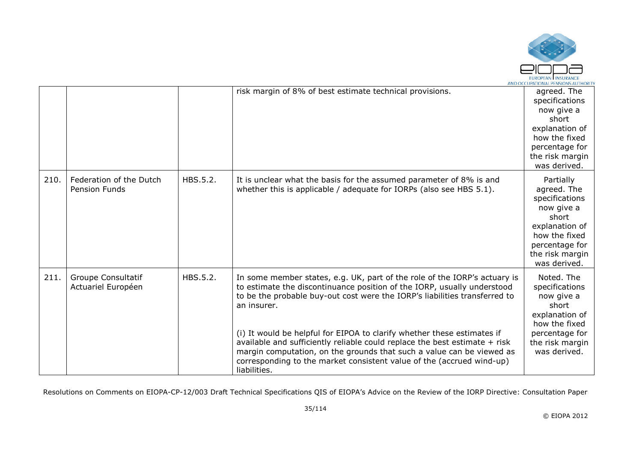

|      |                                                 |          | risk margin of 8% of best estimate technical provisions.                                                                                                                                                                                                                                                                                                                                                                                                                                                                                                                     | agreed. The<br>specifications<br>now give a<br>short<br>explanation of<br>how the fixed<br>percentage for<br>the risk margin<br>was derived.              |
|------|-------------------------------------------------|----------|------------------------------------------------------------------------------------------------------------------------------------------------------------------------------------------------------------------------------------------------------------------------------------------------------------------------------------------------------------------------------------------------------------------------------------------------------------------------------------------------------------------------------------------------------------------------------|-----------------------------------------------------------------------------------------------------------------------------------------------------------|
| 210. | Federation of the Dutch<br><b>Pension Funds</b> | HBS.5.2. | It is unclear what the basis for the assumed parameter of 8% is and<br>whether this is applicable / adequate for IORPs (also see HBS 5.1).                                                                                                                                                                                                                                                                                                                                                                                                                                   | Partially<br>agreed. The<br>specifications<br>now give a<br>short<br>explanation of<br>how the fixed<br>percentage for<br>the risk margin<br>was derived. |
| 211. | Groupe Consultatif<br>Actuariel Européen        | HBS.5.2. | In some member states, e.g. UK, part of the role of the IORP's actuary is<br>to estimate the discontinuance position of the IORP, usually understood<br>to be the probable buy-out cost were the IORP's liabilities transferred to<br>an insurer.<br>(i) It would be helpful for EIPOA to clarify whether these estimates if<br>available and sufficiently reliable could replace the best estimate + risk<br>margin computation, on the grounds that such a value can be viewed as<br>corresponding to the market consistent value of the (accrued wind-up)<br>liabilities. | Noted. The<br>specifications<br>now give a<br>short<br>explanation of<br>how the fixed<br>percentage for<br>the risk margin<br>was derived.               |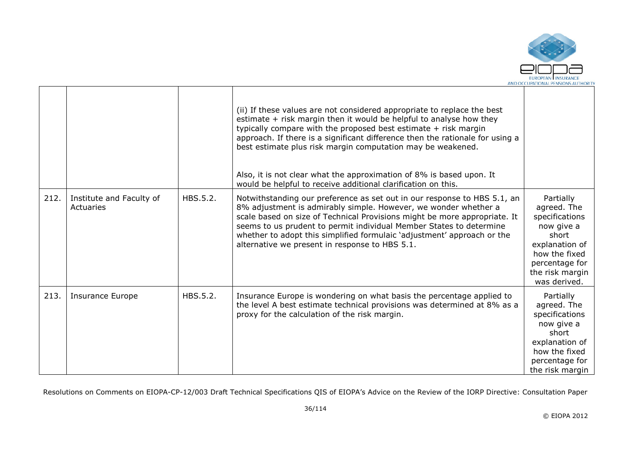

|      |                                       |          | (ii) If these values are not considered appropriate to replace the best<br>estimate + risk margin then it would be helpful to analyse how they<br>typically compare with the proposed best estimate $+$ risk margin<br>approach. If there is a significant difference then the rationale for using a<br>best estimate plus risk margin computation may be weakened.<br>Also, it is not clear what the approximation of 8% is based upon. It<br>would be helpful to receive additional clarification on this. |                                                                                                                                                           |
|------|---------------------------------------|----------|--------------------------------------------------------------------------------------------------------------------------------------------------------------------------------------------------------------------------------------------------------------------------------------------------------------------------------------------------------------------------------------------------------------------------------------------------------------------------------------------------------------|-----------------------------------------------------------------------------------------------------------------------------------------------------------|
| 212. | Institute and Faculty of<br>Actuaries | HBS.5.2. | Notwithstanding our preference as set out in our response to HBS 5.1, an<br>8% adjustment is admirably simple. However, we wonder whether a<br>scale based on size of Technical Provisions might be more appropriate. It<br>seems to us prudent to permit individual Member States to determine<br>whether to adopt this simplified formulaic 'adjustment' approach or the<br>alternative we present in response to HBS 5.1.                                                                                 | Partially<br>agreed. The<br>specifications<br>now give a<br>short<br>explanation of<br>how the fixed<br>percentage for<br>the risk margin<br>was derived. |
| 213. | <b>Insurance Europe</b>               | HBS.5.2. | Insurance Europe is wondering on what basis the percentage applied to<br>the level A best estimate technical provisions was determined at 8% as a<br>proxy for the calculation of the risk margin.                                                                                                                                                                                                                                                                                                           | Partially<br>agreed. The<br>specifications<br>now give a<br>short<br>explanation of<br>how the fixed<br>percentage for<br>the risk margin                 |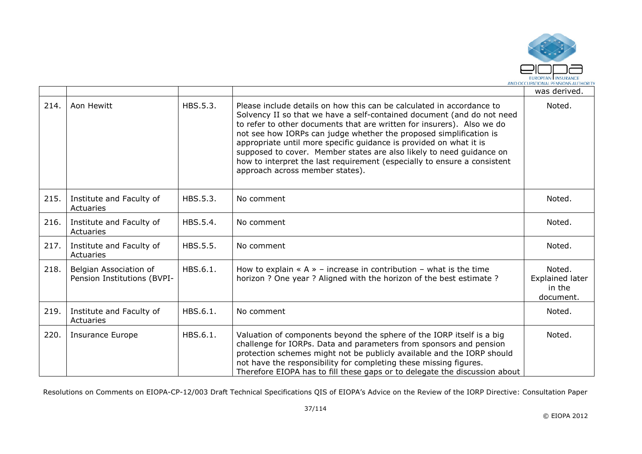

|      |                                                       |          |                                                                                                                                                                                                                                                                                                                                                                                                                                                                                                                                                              | was derived.                                            |
|------|-------------------------------------------------------|----------|--------------------------------------------------------------------------------------------------------------------------------------------------------------------------------------------------------------------------------------------------------------------------------------------------------------------------------------------------------------------------------------------------------------------------------------------------------------------------------------------------------------------------------------------------------------|---------------------------------------------------------|
| 214. | Aon Hewitt                                            | HBS.5.3. | Please include details on how this can be calculated in accordance to<br>Solvency II so that we have a self-contained document (and do not need<br>to refer to other documents that are written for insurers). Also we do<br>not see how IORPs can judge whether the proposed simplification is<br>appropriate until more specific guidance is provided on what it is<br>supposed to cover. Member states are also likely to need guidance on<br>how to interpret the last requirement (especially to ensure a consistent<br>approach across member states). | Noted.                                                  |
| 215. | Institute and Faculty of<br>Actuaries                 | HBS.5.3. | No comment                                                                                                                                                                                                                                                                                                                                                                                                                                                                                                                                                   | Noted.                                                  |
| 216. | Institute and Faculty of<br>Actuaries                 | HBS.5.4. | No comment                                                                                                                                                                                                                                                                                                                                                                                                                                                                                                                                                   | Noted.                                                  |
| 217. | Institute and Faculty of<br>Actuaries                 | HBS.5.5. | No comment                                                                                                                                                                                                                                                                                                                                                                                                                                                                                                                                                   | Noted.                                                  |
| 218. | Belgian Association of<br>Pension Institutions (BVPI- | HBS.6.1. | How to explain $\alpha$ A $\alpha$ - increase in contribution - what is the time<br>horizon ? One year ? Aligned with the horizon of the best estimate ?                                                                                                                                                                                                                                                                                                                                                                                                     | Noted.<br><b>Explained later</b><br>in the<br>document. |
| 219. | Institute and Faculty of<br>Actuaries                 | HBS.6.1. | No comment                                                                                                                                                                                                                                                                                                                                                                                                                                                                                                                                                   | Noted.                                                  |
| 220. | <b>Insurance Europe</b>                               | HBS.6.1. | Valuation of components beyond the sphere of the IORP itself is a big<br>challenge for IORPs. Data and parameters from sponsors and pension<br>protection schemes might not be publicly available and the IORP should<br>not have the responsibility for completing these missing figures.<br>Therefore EIOPA has to fill these gaps or to delegate the discussion about                                                                                                                                                                                     | Noted.                                                  |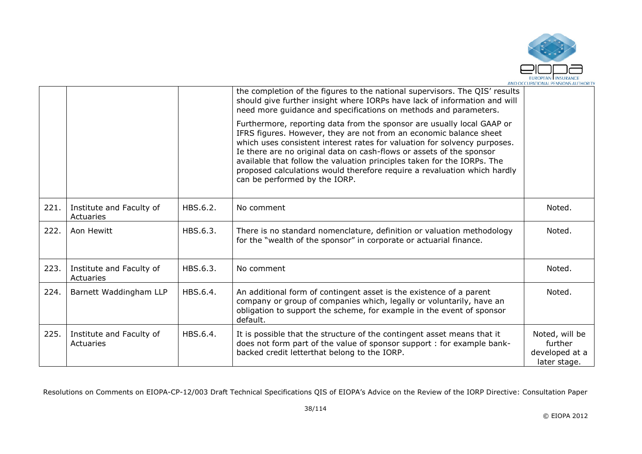

|      |                                       |          | the completion of the figures to the national supervisors. The QIS' results<br>should give further insight where IORPs have lack of information and will<br>need more guidance and specifications on methods and parameters.                                                                                                                                                                                                                                                              |                                                             |
|------|---------------------------------------|----------|-------------------------------------------------------------------------------------------------------------------------------------------------------------------------------------------------------------------------------------------------------------------------------------------------------------------------------------------------------------------------------------------------------------------------------------------------------------------------------------------|-------------------------------------------------------------|
|      |                                       |          | Furthermore, reporting data from the sponsor are usually local GAAP or<br>IFRS figures. However, they are not from an economic balance sheet<br>which uses consistent interest rates for valuation for solvency purposes.<br>Ie there are no original data on cash-flows or assets of the sponsor<br>available that follow the valuation principles taken for the IORPs. The<br>proposed calculations would therefore require a revaluation which hardly<br>can be performed by the IORP. |                                                             |
| 221. | Institute and Faculty of<br>Actuaries | HBS.6.2. | No comment                                                                                                                                                                                                                                                                                                                                                                                                                                                                                | Noted.                                                      |
| 222. | Aon Hewitt                            | HBS.6.3. | There is no standard nomenclature, definition or valuation methodology<br>for the "wealth of the sponsor" in corporate or actuarial finance.                                                                                                                                                                                                                                                                                                                                              | Noted.                                                      |
| 223. | Institute and Faculty of<br>Actuaries | HBS.6.3. | No comment                                                                                                                                                                                                                                                                                                                                                                                                                                                                                | Noted.                                                      |
| 224. | Barnett Waddingham LLP                | HBS.6.4. | An additional form of contingent asset is the existence of a parent<br>company or group of companies which, legally or voluntarily, have an<br>obligation to support the scheme, for example in the event of sponsor<br>default.                                                                                                                                                                                                                                                          | Noted.                                                      |
| 225. | Institute and Faculty of<br>Actuaries | HBS.6.4. | It is possible that the structure of the contingent asset means that it<br>does not form part of the value of sponsor support : for example bank-<br>backed credit letterthat belong to the IORP.                                                                                                                                                                                                                                                                                         | Noted, will be<br>further<br>developed at a<br>later stage. |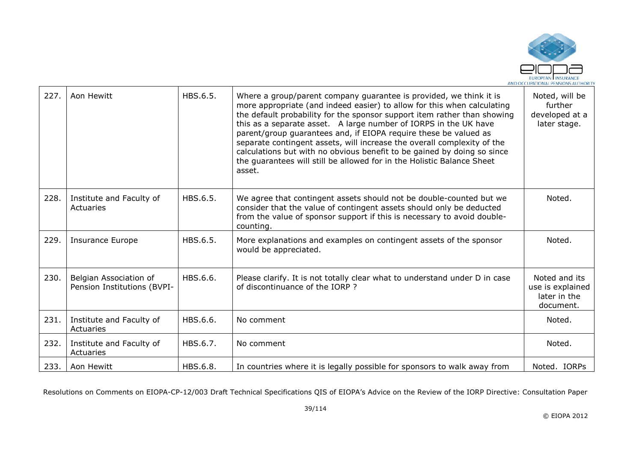

| 227. | Aon Hewitt                                            | HBS.6.5. | Where a group/parent company quarantee is provided, we think it is<br>more appropriate (and indeed easier) to allow for this when calculating<br>the default probability for the sponsor support item rather than showing<br>this as a separate asset. A large number of IORPS in the UK have<br>parent/group guarantees and, if EIOPA require these be valued as<br>separate contingent assets, will increase the overall complexity of the<br>calculations but with no obvious benefit to be gained by doing so since<br>the guarantees will still be allowed for in the Holistic Balance Sheet<br>asset. | Noted, will be<br>further<br>developed at a<br>later stage.    |
|------|-------------------------------------------------------|----------|-------------------------------------------------------------------------------------------------------------------------------------------------------------------------------------------------------------------------------------------------------------------------------------------------------------------------------------------------------------------------------------------------------------------------------------------------------------------------------------------------------------------------------------------------------------------------------------------------------------|----------------------------------------------------------------|
| 228. | Institute and Faculty of<br>Actuaries                 | HBS.6.5. | We agree that contingent assets should not be double-counted but we<br>consider that the value of contingent assets should only be deducted<br>from the value of sponsor support if this is necessary to avoid double-<br>counting.                                                                                                                                                                                                                                                                                                                                                                         | Noted.                                                         |
| 229. | <b>Insurance Europe</b>                               | HBS.6.5. | More explanations and examples on contingent assets of the sponsor<br>would be appreciated.                                                                                                                                                                                                                                                                                                                                                                                                                                                                                                                 | Noted.                                                         |
| 230. | Belgian Association of<br>Pension Institutions (BVPI- | HBS.6.6. | Please clarify. It is not totally clear what to understand under D in case<br>of discontinuance of the IORP?                                                                                                                                                                                                                                                                                                                                                                                                                                                                                                | Noted and its<br>use is explained<br>later in the<br>document. |
| 231. | Institute and Faculty of<br>Actuaries                 | HBS.6.6. | No comment                                                                                                                                                                                                                                                                                                                                                                                                                                                                                                                                                                                                  | Noted.                                                         |
| 232. | Institute and Faculty of<br>Actuaries                 | HBS.6.7. | No comment                                                                                                                                                                                                                                                                                                                                                                                                                                                                                                                                                                                                  | Noted.                                                         |
| 233. | Aon Hewitt                                            | HBS.6.8. | In countries where it is legally possible for sponsors to walk away from                                                                                                                                                                                                                                                                                                                                                                                                                                                                                                                                    | Noted. IORPs                                                   |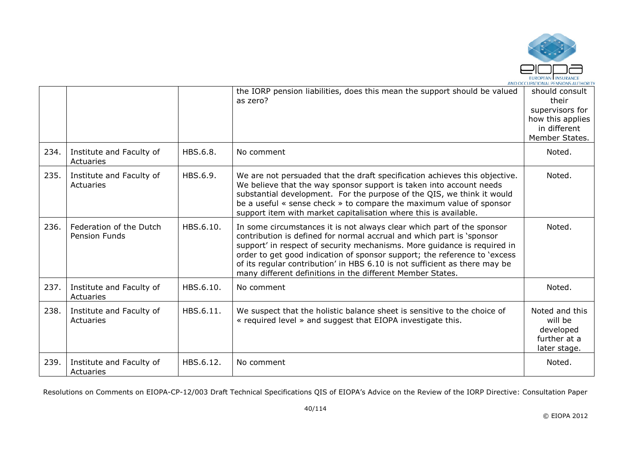

|      |                                                 |           | the IORP pension liabilities, does this mean the support should be valued<br>as zero?                                                                                                                                                                                                                                                                                                                                                                | should consult<br>their<br>supervisors for<br>how this applies<br>in different<br>Member States. |
|------|-------------------------------------------------|-----------|------------------------------------------------------------------------------------------------------------------------------------------------------------------------------------------------------------------------------------------------------------------------------------------------------------------------------------------------------------------------------------------------------------------------------------------------------|--------------------------------------------------------------------------------------------------|
| 234. | Institute and Faculty of<br>Actuaries           | HBS.6.8.  | No comment                                                                                                                                                                                                                                                                                                                                                                                                                                           | Noted.                                                                                           |
| 235. | Institute and Faculty of<br>Actuaries           | HBS.6.9.  | We are not persuaded that the draft specification achieves this objective.<br>We believe that the way sponsor support is taken into account needs<br>substantial development. For the purpose of the QIS, we think it would<br>be a useful « sense check » to compare the maximum value of sponsor<br>support item with market capitalisation where this is available.                                                                               | Noted.                                                                                           |
| 236. | Federation of the Dutch<br><b>Pension Funds</b> | HBS.6.10. | In some circumstances it is not always clear which part of the sponsor<br>contribution is defined for normal accrual and which part is 'sponsor<br>support' in respect of security mechanisms. More guidance is required in<br>order to get good indication of sponsor support; the reference to 'excess<br>of its regular contribution' in HBS 6.10 is not sufficient as there may be<br>many different definitions in the different Member States. | Noted.                                                                                           |
| 237. | Institute and Faculty of<br>Actuaries           | HBS.6.10. | No comment                                                                                                                                                                                                                                                                                                                                                                                                                                           | Noted.                                                                                           |
| 238. | Institute and Faculty of<br>Actuaries           | HBS.6.11. | We suspect that the holistic balance sheet is sensitive to the choice of<br>« required level » and suggest that EIOPA investigate this.                                                                                                                                                                                                                                                                                                              | Noted and this<br>will be<br>developed<br>further at a<br>later stage.                           |
| 239. | Institute and Faculty of<br>Actuaries           | HBS.6.12. | No comment                                                                                                                                                                                                                                                                                                                                                                                                                                           | Noted.                                                                                           |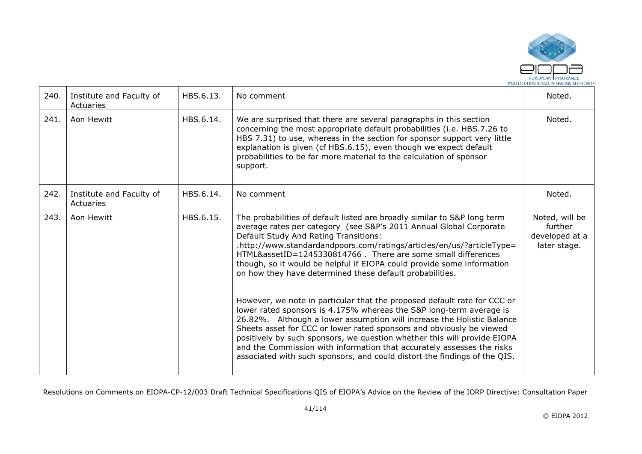

| 240. | Institute and Faculty of<br>Actuaries | HBS.6.13. | No comment                                                                                                                                                                                                                                                                                                                                                                                                                                                                                                                                                                                                                                                                                                                                                                                                                                                                                                                                                                                                     | Noted.                                                      |
|------|---------------------------------------|-----------|----------------------------------------------------------------------------------------------------------------------------------------------------------------------------------------------------------------------------------------------------------------------------------------------------------------------------------------------------------------------------------------------------------------------------------------------------------------------------------------------------------------------------------------------------------------------------------------------------------------------------------------------------------------------------------------------------------------------------------------------------------------------------------------------------------------------------------------------------------------------------------------------------------------------------------------------------------------------------------------------------------------|-------------------------------------------------------------|
| 241. | Aon Hewitt                            | HBS.6.14. | We are surprised that there are several paragraphs in this section<br>concerning the most appropriate default probabilities (i.e. HBS.7.26 to<br>HBS 7.31) to use, whereas in the section for sponsor support very little<br>explanation is given (cf HBS.6.15), even though we expect default<br>probabilities to be far more material to the calculation of sponsor<br>support.                                                                                                                                                                                                                                                                                                                                                                                                                                                                                                                                                                                                                              | Noted.                                                      |
| 242. | Institute and Faculty of<br>Actuaries | HBS.6.14. | No comment                                                                                                                                                                                                                                                                                                                                                                                                                                                                                                                                                                                                                                                                                                                                                                                                                                                                                                                                                                                                     | Noted.                                                      |
| 243. | Aon Hewitt                            | HBS.6.15. | The probabilities of default listed are broadly similar to S&P long term<br>average rates per category (see S&P's 2011 Annual Global Corporate<br>Default Study And Rating Transitions:<br>.http://www.standardandpoors.com/ratings/articles/en/us/?articleType=<br>HTML&assetID=1245330814766. There are some small differences<br>though, so it would be helpful if EIOPA could provide some information<br>on how they have determined these default probabilities.<br>However, we note in particular that the proposed default rate for CCC or<br>lower rated sponsors is 4.175% whereas the S&P long-term average is<br>26.82%. Although a lower assumption will increase the Holistic Balance<br>Sheets asset for CCC or lower rated sponsors and obviously be viewed<br>positively by such sponsors, we question whether this will provide EIOPA<br>and the Commission with information that accurately assesses the risks<br>associated with such sponsors, and could distort the findings of the QIS. | Noted, will be<br>further<br>developed at a<br>later stage. |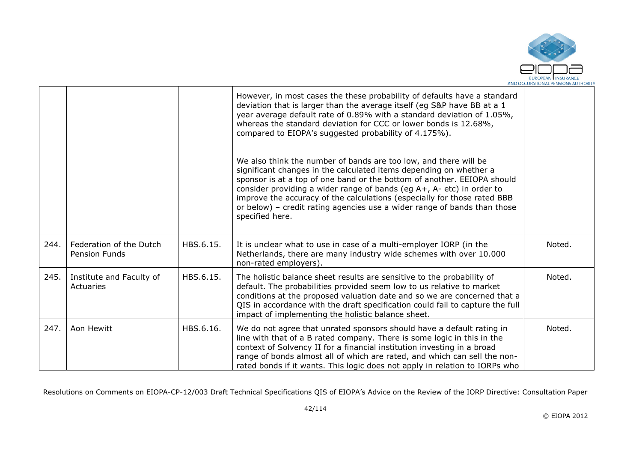

|      |                                                 |           | However, in most cases the these probability of defaults have a standard<br>deviation that is larger than the average itself (eg S&P have BB at a 1<br>year average default rate of 0.89% with a standard deviation of 1.05%,<br>whereas the standard deviation for CCC or lower bonds is 12.68%,<br>compared to EIOPA's suggested probability of 4.175%).                                                                                                            |        |
|------|-------------------------------------------------|-----------|-----------------------------------------------------------------------------------------------------------------------------------------------------------------------------------------------------------------------------------------------------------------------------------------------------------------------------------------------------------------------------------------------------------------------------------------------------------------------|--------|
|      |                                                 |           | We also think the number of bands are too low, and there will be<br>significant changes in the calculated items depending on whether a<br>sponsor is at a top of one band or the bottom of another. EEIOPA should<br>consider providing a wider range of bands (eg A+, A- etc) in order to<br>improve the accuracy of the calculations (especially for those rated BBB<br>or below) - credit rating agencies use a wider range of bands than those<br>specified here. |        |
| 244. | Federation of the Dutch<br><b>Pension Funds</b> | HBS.6.15. | It is unclear what to use in case of a multi-employer IORP (in the<br>Netherlands, there are many industry wide schemes with over 10.000<br>non-rated employers).                                                                                                                                                                                                                                                                                                     | Noted. |
| 245. | Institute and Faculty of<br>Actuaries           | HBS.6.15. | The holistic balance sheet results are sensitive to the probability of<br>default. The probabilities provided seem low to us relative to market<br>conditions at the proposed valuation date and so we are concerned that a<br>QIS in accordance with the draft specification could fail to capture the full<br>impact of implementing the holistic balance sheet.                                                                                                    | Noted. |
| 247. | Aon Hewitt                                      | HBS.6.16. | We do not agree that unrated sponsors should have a default rating in<br>line with that of a B rated company. There is some logic in this in the<br>context of Solvency II for a financial institution investing in a broad<br>range of bonds almost all of which are rated, and which can sell the non-<br>rated bonds if it wants. This logic does not apply in relation to IORPs who                                                                               | Noted. |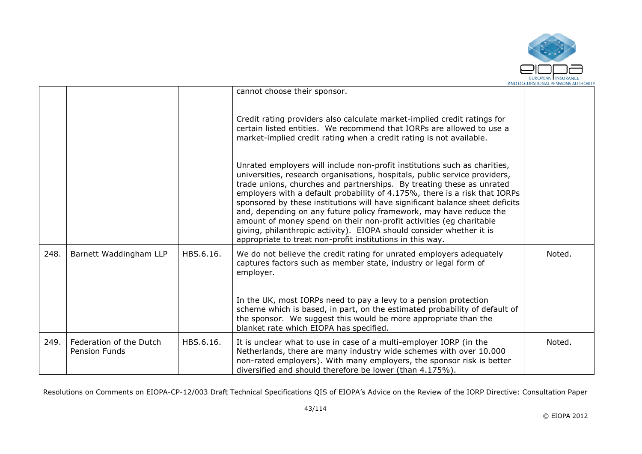

|      |                                                 |           |                                                                                                                                                                                                                                                                                                                                                                                                                                                                                                                                                                                                                                                                                  | AIVO OCCUPATIONAL FEIVJIOIVJAO HUTIONI |
|------|-------------------------------------------------|-----------|----------------------------------------------------------------------------------------------------------------------------------------------------------------------------------------------------------------------------------------------------------------------------------------------------------------------------------------------------------------------------------------------------------------------------------------------------------------------------------------------------------------------------------------------------------------------------------------------------------------------------------------------------------------------------------|----------------------------------------|
|      |                                                 |           | cannot choose their sponsor.                                                                                                                                                                                                                                                                                                                                                                                                                                                                                                                                                                                                                                                     |                                        |
|      |                                                 |           | Credit rating providers also calculate market-implied credit ratings for<br>certain listed entities. We recommend that IORPs are allowed to use a<br>market-implied credit rating when a credit rating is not available.                                                                                                                                                                                                                                                                                                                                                                                                                                                         |                                        |
|      |                                                 |           | Unrated employers will include non-profit institutions such as charities,<br>universities, research organisations, hospitals, public service providers,<br>trade unions, churches and partnerships. By treating these as unrated<br>employers with a default probability of 4.175%, there is a risk that IORPs<br>sponsored by these institutions will have significant balance sheet deficits<br>and, depending on any future policy framework, may have reduce the<br>amount of money spend on their non-profit activities (eg charitable<br>giving, philanthropic activity). EIOPA should consider whether it is<br>appropriate to treat non-profit institutions in this way. |                                        |
| 248. | Barnett Waddingham LLP                          | HBS.6.16. | We do not believe the credit rating for unrated employers adequately<br>captures factors such as member state, industry or legal form of<br>employer.                                                                                                                                                                                                                                                                                                                                                                                                                                                                                                                            | Noted.                                 |
|      |                                                 |           | In the UK, most IORPs need to pay a levy to a pension protection<br>scheme which is based, in part, on the estimated probability of default of<br>the sponsor. We suggest this would be more appropriate than the<br>blanket rate which EIOPA has specified.                                                                                                                                                                                                                                                                                                                                                                                                                     |                                        |
| 249. | Federation of the Dutch<br><b>Pension Funds</b> | HBS.6.16. | It is unclear what to use in case of a multi-employer IORP (in the<br>Netherlands, there are many industry wide schemes with over 10.000<br>non-rated employers). With many employers, the sponsor risk is better<br>diversified and should therefore be lower (than 4.175%).                                                                                                                                                                                                                                                                                                                                                                                                    | Noted.                                 |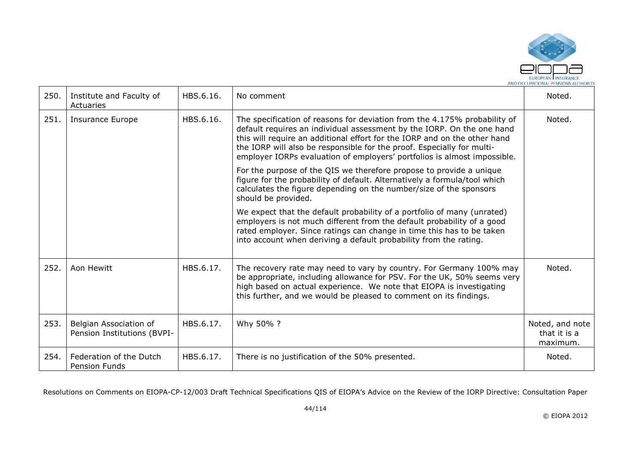

| 250. | Institute and Faculty of<br>Actuaries                 | HBS.6.16. | No comment                                                                                                                                                                                                                                                                                                                                                                             | Noted.                                      |
|------|-------------------------------------------------------|-----------|----------------------------------------------------------------------------------------------------------------------------------------------------------------------------------------------------------------------------------------------------------------------------------------------------------------------------------------------------------------------------------------|---------------------------------------------|
| 251. | <b>Insurance Europe</b>                               | HBS.6.16. | The specification of reasons for deviation from the 4.175% probability of<br>default requires an individual assessment by the IORP. On the one hand<br>this will require an additional effort for the IORP and on the other hand<br>the IORP will also be responsible for the proof. Especially for multi-<br>employer IORPs evaluation of employers' portfolios is almost impossible. | Noted.                                      |
|      |                                                       |           | For the purpose of the QIS we therefore propose to provide a unique<br>figure for the probability of default. Alternatively a formula/tool which<br>calculates the figure depending on the number/size of the sponsors<br>should be provided.                                                                                                                                          |                                             |
|      |                                                       |           | We expect that the default probability of a portfolio of many (unrated)<br>employers is not much different from the default probability of a good<br>rated employer. Since ratings can change in time this has to be taken<br>into account when deriving a default probability from the rating.                                                                                        |                                             |
| 252. | Aon Hewitt                                            | HBS.6.17. | The recovery rate may need to vary by country. For Germany 100% may<br>be appropriate, including allowance for PSV. For the UK, 50% seems very<br>high based on actual experience. We note that EIOPA is investigating<br>this further, and we would be pleased to comment on its findings.                                                                                            | Noted.                                      |
| 253. | Belgian Association of<br>Pension Institutions (BVPI- | HBS.6.17. | Why 50% ?                                                                                                                                                                                                                                                                                                                                                                              | Noted, and note<br>that it is a<br>maximum. |
| 254. | Federation of the Dutch<br><b>Pension Funds</b>       | HBS.6.17. | There is no justification of the 50% presented.                                                                                                                                                                                                                                                                                                                                        | Noted.                                      |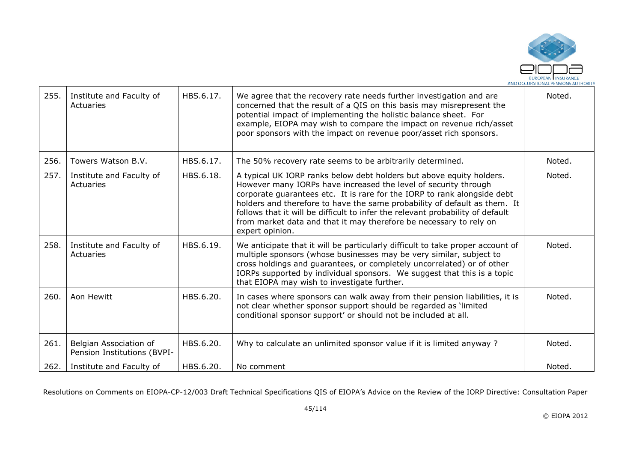

| 255. | Institute and Faculty of<br>Actuaries                 | HBS.6.17. | We agree that the recovery rate needs further investigation and are<br>concerned that the result of a QIS on this basis may misrepresent the<br>potential impact of implementing the holistic balance sheet. For<br>example, EIOPA may wish to compare the impact on revenue rich/asset<br>poor sponsors with the impact on revenue poor/asset rich sponsors.                                                                                                               | Noted. |
|------|-------------------------------------------------------|-----------|-----------------------------------------------------------------------------------------------------------------------------------------------------------------------------------------------------------------------------------------------------------------------------------------------------------------------------------------------------------------------------------------------------------------------------------------------------------------------------|--------|
| 256. | Towers Watson B.V.                                    | HBS.6.17. | The 50% recovery rate seems to be arbitrarily determined.                                                                                                                                                                                                                                                                                                                                                                                                                   | Noted. |
| 257. | Institute and Faculty of<br>Actuaries                 | HBS.6.18. | A typical UK IORP ranks below debt holders but above equity holders.<br>However many IORPs have increased the level of security through<br>corporate guarantees etc. It is rare for the IORP to rank alongside debt<br>holders and therefore to have the same probability of default as them. It<br>follows that it will be difficult to infer the relevant probability of default<br>from market data and that it may therefore be necessary to rely on<br>expert opinion. | Noted. |
| 258. | Institute and Faculty of<br>Actuaries                 | HBS.6.19. | We anticipate that it will be particularly difficult to take proper account of<br>multiple sponsors (whose businesses may be very similar, subject to<br>cross holdings and guarantees, or completely uncorrelated) or of other<br>IORPs supported by individual sponsors. We suggest that this is a topic<br>that EIOPA may wish to investigate further.                                                                                                                   | Noted. |
| 260. | Aon Hewitt                                            | HBS.6.20. | In cases where sponsors can walk away from their pension liabilities, it is<br>not clear whether sponsor support should be regarded as 'limited<br>conditional sponsor support' or should not be included at all.                                                                                                                                                                                                                                                           | Noted. |
| 261. | Belgian Association of<br>Pension Institutions (BVPI- | HBS.6.20. | Why to calculate an unlimited sponsor value if it is limited anyway?                                                                                                                                                                                                                                                                                                                                                                                                        | Noted. |
| 262. | Institute and Faculty of                              | HBS.6.20. | No comment                                                                                                                                                                                                                                                                                                                                                                                                                                                                  | Noted. |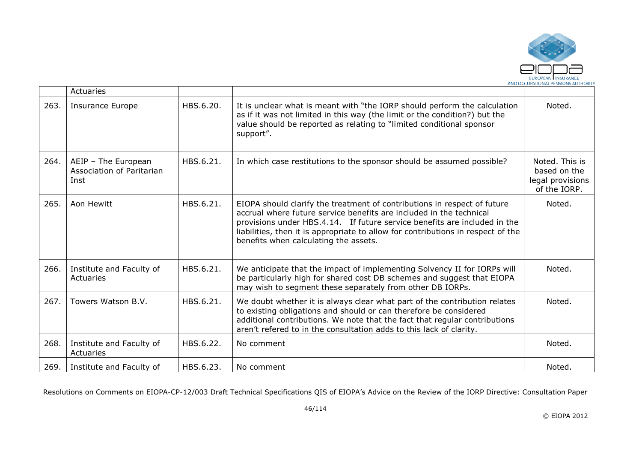

|      | Actuaries                                                |           |                                                                                                                                                                                                                                                                                                                                                           |                                                                    |
|------|----------------------------------------------------------|-----------|-----------------------------------------------------------------------------------------------------------------------------------------------------------------------------------------------------------------------------------------------------------------------------------------------------------------------------------------------------------|--------------------------------------------------------------------|
| 263. | <b>Insurance Europe</b>                                  | HBS.6.20. | It is unclear what is meant with "the IORP should perform the calculation<br>as if it was not limited in this way (the limit or the condition?) but the<br>value should be reported as relating to "limited conditional sponsor<br>support".                                                                                                              | Noted.                                                             |
| 264. | AEIP - The European<br>Association of Paritarian<br>Inst | HBS.6.21. | In which case restitutions to the sponsor should be assumed possible?                                                                                                                                                                                                                                                                                     | Noted. This is<br>based on the<br>legal provisions<br>of the IORP. |
| 265. | Aon Hewitt                                               | HBS.6.21. | EIOPA should clarify the treatment of contributions in respect of future<br>accrual where future service benefits are included in the technical<br>provisions under HBS.4.14. If future service benefits are included in the<br>liabilities, then it is appropriate to allow for contributions in respect of the<br>benefits when calculating the assets. | Noted.                                                             |
| 266. | Institute and Faculty of<br>Actuaries                    | HBS.6.21. | We anticipate that the impact of implementing Solvency II for IORPs will<br>be particularly high for shared cost DB schemes and suggest that EIOPA<br>may wish to segment these separately from other DB IORPs.                                                                                                                                           | Noted.                                                             |
| 267. | Towers Watson B.V.                                       | HBS.6.21. | We doubt whether it is always clear what part of the contribution relates<br>to existing obligations and should or can therefore be considered<br>additional contributions. We note that the fact that regular contributions<br>aren't refered to in the consultation adds to this lack of clarity.                                                       | Noted.                                                             |
| 268. | Institute and Faculty of<br>Actuaries                    | HBS.6.22. | No comment                                                                                                                                                                                                                                                                                                                                                | Noted.                                                             |
| 269. | Institute and Faculty of                                 | HBS.6.23. | No comment                                                                                                                                                                                                                                                                                                                                                | Noted.                                                             |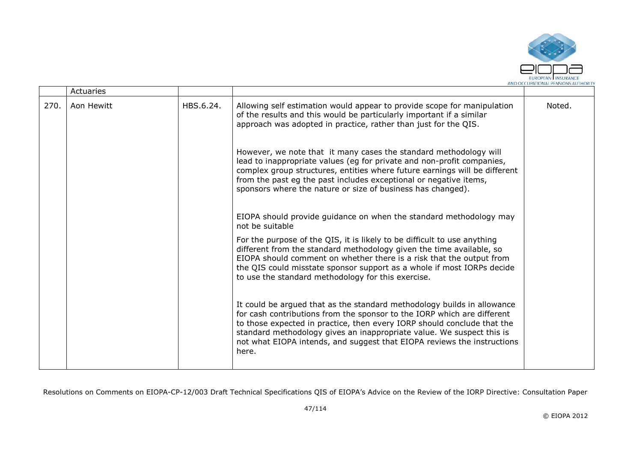

|      | Actuaries  |           |                                                                                                                                                                                                                                                                                                                                                                                            |        |
|------|------------|-----------|--------------------------------------------------------------------------------------------------------------------------------------------------------------------------------------------------------------------------------------------------------------------------------------------------------------------------------------------------------------------------------------------|--------|
| 270. | Aon Hewitt | HBS.6.24. | Allowing self estimation would appear to provide scope for manipulation<br>of the results and this would be particularly important if a similar<br>approach was adopted in practice, rather than just for the QIS.                                                                                                                                                                         | Noted. |
|      |            |           | However, we note that it many cases the standard methodology will<br>lead to inappropriate values (eg for private and non-profit companies,<br>complex group structures, entities where future earnings will be different<br>from the past eg the past includes exceptional or negative items,<br>sponsors where the nature or size of business has changed).                              |        |
|      |            |           | EIOPA should provide guidance on when the standard methodology may<br>not be suitable                                                                                                                                                                                                                                                                                                      |        |
|      |            |           | For the purpose of the QIS, it is likely to be difficult to use anything<br>different from the standard methodology given the time available, so<br>EIOPA should comment on whether there is a risk that the output from<br>the QIS could misstate sponsor support as a whole if most IORPs decide<br>to use the standard methodology for this exercise.                                   |        |
|      |            |           | It could be argued that as the standard methodology builds in allowance<br>for cash contributions from the sponsor to the IORP which are different<br>to those expected in practice, then every IORP should conclude that the<br>standard methodology gives an inappropriate value. We suspect this is<br>not what EIOPA intends, and suggest that EIOPA reviews the instructions<br>here. |        |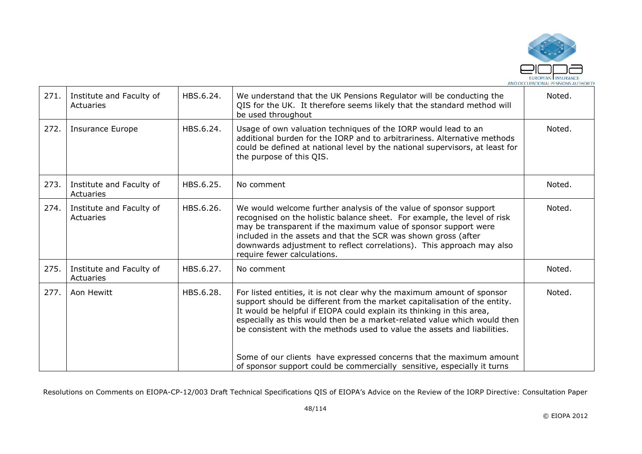

| 271. | Institute and Faculty of<br>Actuaries | HBS.6.24. | We understand that the UK Pensions Regulator will be conducting the<br>QIS for the UK. It therefore seems likely that the standard method will<br>be used throughout                                                                                                                                                                                                                                                                                        | Noted. |
|------|---------------------------------------|-----------|-------------------------------------------------------------------------------------------------------------------------------------------------------------------------------------------------------------------------------------------------------------------------------------------------------------------------------------------------------------------------------------------------------------------------------------------------------------|--------|
| 272. | <b>Insurance Europe</b>               | HBS.6.24. | Usage of own valuation techniques of the IORP would lead to an<br>additional burden for the IORP and to arbitrariness. Alternative methods<br>could be defined at national level by the national supervisors, at least for<br>the purpose of this QIS.                                                                                                                                                                                                      | Noted. |
| 273. | Institute and Faculty of<br>Actuaries | HBS.6.25. | No comment                                                                                                                                                                                                                                                                                                                                                                                                                                                  | Noted. |
| 274. | Institute and Faculty of<br>Actuaries | HBS.6.26. | We would welcome further analysis of the value of sponsor support<br>recognised on the holistic balance sheet. For example, the level of risk<br>may be transparent if the maximum value of sponsor support were<br>included in the assets and that the SCR was shown gross (after<br>downwards adjustment to reflect correlations). This approach may also<br>require fewer calculations.                                                                  | Noted. |
| 275. | Institute and Faculty of<br>Actuaries | HBS.6.27. | No comment                                                                                                                                                                                                                                                                                                                                                                                                                                                  | Noted. |
| 277. | Aon Hewitt                            | HBS.6.28. | For listed entities, it is not clear why the maximum amount of sponsor<br>support should be different from the market capitalisation of the entity.<br>It would be helpful if EIOPA could explain its thinking in this area,<br>especially as this would then be a market-related value which would then<br>be consistent with the methods used to value the assets and liabilities.<br>Some of our clients have expressed concerns that the maximum amount | Noted. |
|      |                                       |           | of sponsor support could be commercially sensitive, especially it turns                                                                                                                                                                                                                                                                                                                                                                                     |        |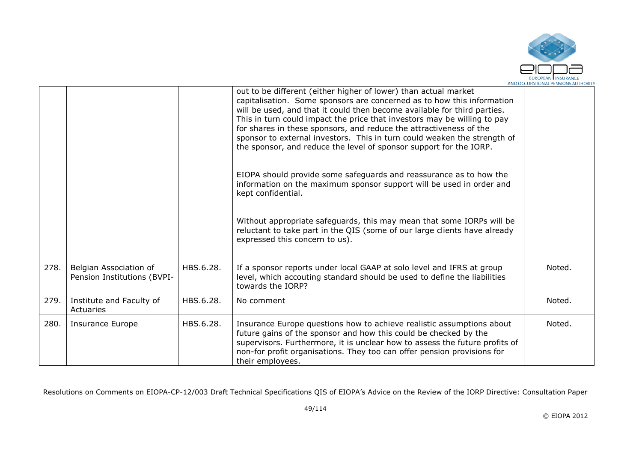

|      |                                                       |           | out to be different (either higher of lower) than actual market<br>capitalisation. Some sponsors are concerned as to how this information<br>will be used, and that it could then become available for third parties.<br>This in turn could impact the price that investors may be willing to pay<br>for shares in these sponsors, and reduce the attractiveness of the<br>sponsor to external investors. This in turn could weaken the strength of<br>the sponsor, and reduce the level of sponsor support for the IORP.<br>EIOPA should provide some safeguards and reassurance as to how the<br>information on the maximum sponsor support will be used in order and<br>kept confidential.<br>Without appropriate safeguards, this may mean that some IORPs will be |        |
|------|-------------------------------------------------------|-----------|------------------------------------------------------------------------------------------------------------------------------------------------------------------------------------------------------------------------------------------------------------------------------------------------------------------------------------------------------------------------------------------------------------------------------------------------------------------------------------------------------------------------------------------------------------------------------------------------------------------------------------------------------------------------------------------------------------------------------------------------------------------------|--------|
|      |                                                       |           | reluctant to take part in the QIS (some of our large clients have already<br>expressed this concern to us).                                                                                                                                                                                                                                                                                                                                                                                                                                                                                                                                                                                                                                                            |        |
| 278. | Belgian Association of<br>Pension Institutions (BVPI- | HBS.6.28. | If a sponsor reports under local GAAP at solo level and IFRS at group<br>level, which accouting standard should be used to define the liabilities<br>towards the IORP?                                                                                                                                                                                                                                                                                                                                                                                                                                                                                                                                                                                                 | Noted. |
| 279. | Institute and Faculty of<br>Actuaries                 | HBS.6.28. | No comment                                                                                                                                                                                                                                                                                                                                                                                                                                                                                                                                                                                                                                                                                                                                                             | Noted. |
| 280. | <b>Insurance Europe</b>                               | HBS.6.28. | Insurance Europe questions how to achieve realistic assumptions about<br>future gains of the sponsor and how this could be checked by the<br>supervisors. Furthermore, it is unclear how to assess the future profits of<br>non-for profit organisations. They too can offer pension provisions for<br>their employees.                                                                                                                                                                                                                                                                                                                                                                                                                                                | Noted. |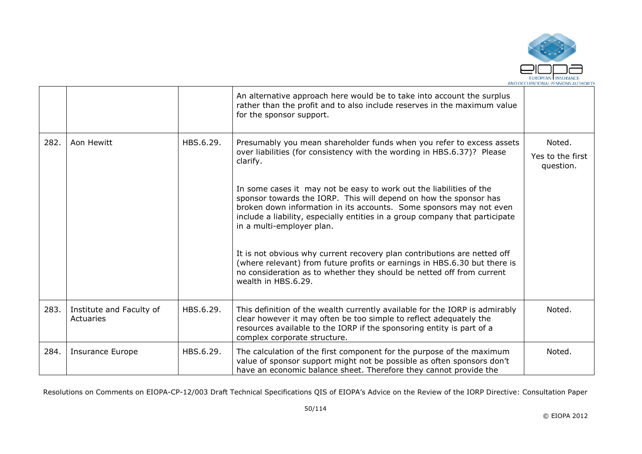

|      |                                       |           | An alternative approach here would be to take into account the surplus<br>rather than the profit and to also include reserves in the maximum value<br>for the sponsor support.                                                                                                                                               |                               |
|------|---------------------------------------|-----------|------------------------------------------------------------------------------------------------------------------------------------------------------------------------------------------------------------------------------------------------------------------------------------------------------------------------------|-------------------------------|
| 282. | Aon Hewitt                            | HBS.6.29. | Presumably you mean shareholder funds when you refer to excess assets<br>over liabilities (for consistency with the wording in HBS.6.37)? Please                                                                                                                                                                             | Noted.                        |
|      |                                       |           | clarify.                                                                                                                                                                                                                                                                                                                     | Yes to the first<br>question. |
|      |                                       |           | In some cases it may not be easy to work out the liabilities of the<br>sponsor towards the IORP. This will depend on how the sponsor has<br>broken down information in its accounts. Some sponsors may not even<br>include a liability, especially entities in a group company that participate<br>in a multi-employer plan. |                               |
|      |                                       |           | It is not obvious why current recovery plan contributions are netted off<br>(where relevant) from future profits or earnings in HBS.6.30 but there is<br>no consideration as to whether they should be netted off from current<br>wealth in HBS.6.29.                                                                        |                               |
| 283. | Institute and Faculty of<br>Actuaries | HBS.6.29. | This definition of the wealth currently available for the IORP is admirably<br>clear however it may often be too simple to reflect adequately the<br>resources available to the IORP if the sponsoring entity is part of a<br>complex corporate structure.                                                                   | Noted.                        |
| 284. | <b>Insurance Europe</b>               | HBS.6.29. | The calculation of the first component for the purpose of the maximum<br>value of sponsor support might not be possible as often sponsors don't<br>have an economic balance sheet. Therefore they cannot provide the                                                                                                         | Noted.                        |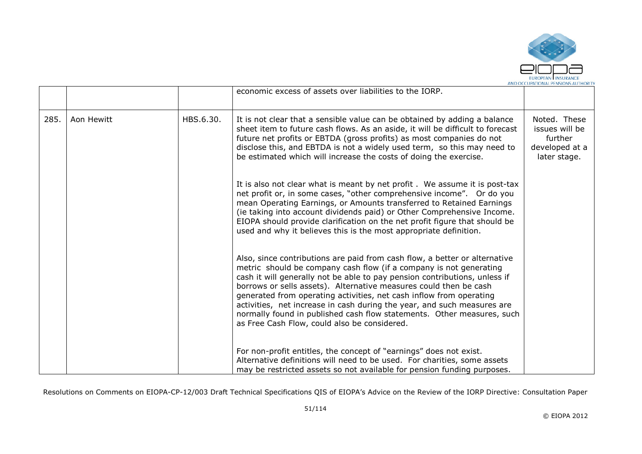

|      |            |           | economic excess of assets over liabilities to the IORP.                                                                                                                                                                                                                                                                                                                                                                                                                                                                                                                         |                                                                             |
|------|------------|-----------|---------------------------------------------------------------------------------------------------------------------------------------------------------------------------------------------------------------------------------------------------------------------------------------------------------------------------------------------------------------------------------------------------------------------------------------------------------------------------------------------------------------------------------------------------------------------------------|-----------------------------------------------------------------------------|
| 285. | Aon Hewitt | HBS.6.30. | It is not clear that a sensible value can be obtained by adding a balance<br>sheet item to future cash flows. As an aside, it will be difficult to forecast<br>future net profits or EBTDA (gross profits) as most companies do not<br>disclose this, and EBTDA is not a widely used term, so this may need to<br>be estimated which will increase the costs of doing the exercise.                                                                                                                                                                                             | Noted. These<br>issues will be<br>further<br>developed at a<br>later stage. |
|      |            |           | It is also not clear what is meant by net profit. We assume it is post-tax<br>net profit or, in some cases, "other comprehensive income". Or do you<br>mean Operating Earnings, or Amounts transferred to Retained Earnings<br>(ie taking into account dividends paid) or Other Comprehensive Income.<br>EIOPA should provide clarification on the net profit figure that should be<br>used and why it believes this is the most appropriate definition.                                                                                                                        |                                                                             |
|      |            |           | Also, since contributions are paid from cash flow, a better or alternative<br>metric should be company cash flow (if a company is not generating<br>cash it will generally not be able to pay pension contributions, unless if<br>borrows or sells assets). Alternative measures could then be cash<br>generated from operating activities, net cash inflow from operating<br>activities, net increase in cash during the year, and such measures are<br>normally found in published cash flow statements. Other measures, such<br>as Free Cash Flow, could also be considered. |                                                                             |
|      |            |           | For non-profit entitles, the concept of "earnings" does not exist.<br>Alternative definitions will need to be used. For charities, some assets<br>may be restricted assets so not available for pension funding purposes.                                                                                                                                                                                                                                                                                                                                                       |                                                                             |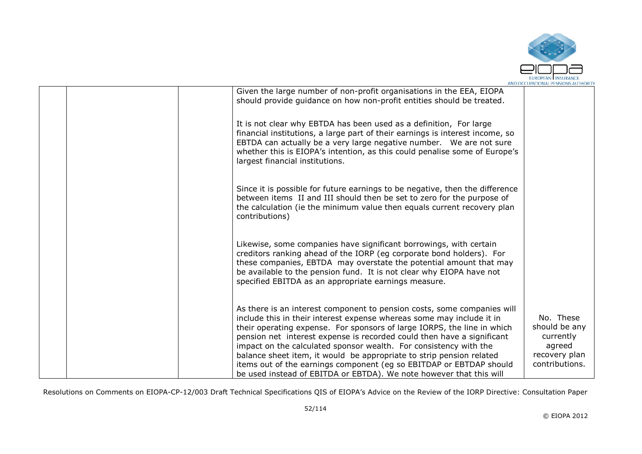

|  |                                                                                                                                                                                                                                                                                                                                                                                                                                                                                                                                                                                                  | AND OCCUPATIONAL FEN3ION3 AUTHONIT                                                   |
|--|--------------------------------------------------------------------------------------------------------------------------------------------------------------------------------------------------------------------------------------------------------------------------------------------------------------------------------------------------------------------------------------------------------------------------------------------------------------------------------------------------------------------------------------------------------------------------------------------------|--------------------------------------------------------------------------------------|
|  | Given the large number of non-profit organisations in the EEA, EIOPA<br>should provide guidance on how non-profit entities should be treated.                                                                                                                                                                                                                                                                                                                                                                                                                                                    |                                                                                      |
|  | It is not clear why EBTDA has been used as a definition, For large<br>financial institutions, a large part of their earnings is interest income, so<br>EBTDA can actually be a very large negative number. We are not sure<br>whether this is EIOPA's intention, as this could penalise some of Europe's<br>largest financial institutions.                                                                                                                                                                                                                                                      |                                                                                      |
|  | Since it is possible for future earnings to be negative, then the difference<br>between items II and III should then be set to zero for the purpose of<br>the calculation (ie the minimum value then equals current recovery plan<br>contributions)                                                                                                                                                                                                                                                                                                                                              |                                                                                      |
|  | Likewise, some companies have significant borrowings, with certain<br>creditors ranking ahead of the IORP (eg corporate bond holders). For<br>these companies, EBTDA may overstate the potential amount that may<br>be available to the pension fund. It is not clear why EIOPA have not<br>specified EBITDA as an appropriate earnings measure.                                                                                                                                                                                                                                                 |                                                                                      |
|  | As there is an interest component to pension costs, some companies will<br>include this in their interest expense whereas some may include it in<br>their operating expense. For sponsors of large IORPS, the line in which<br>pension net interest expense is recorded could then have a significant<br>impact on the calculated sponsor wealth. For consistency with the<br>balance sheet item, it would be appropriate to strip pension related<br>items out of the earnings component (eg so EBITDAP or EBTDAP should<br>be used instead of EBITDA or EBTDA). We note however that this will | No. These<br>should be any<br>currently<br>agreed<br>recovery plan<br>contributions. |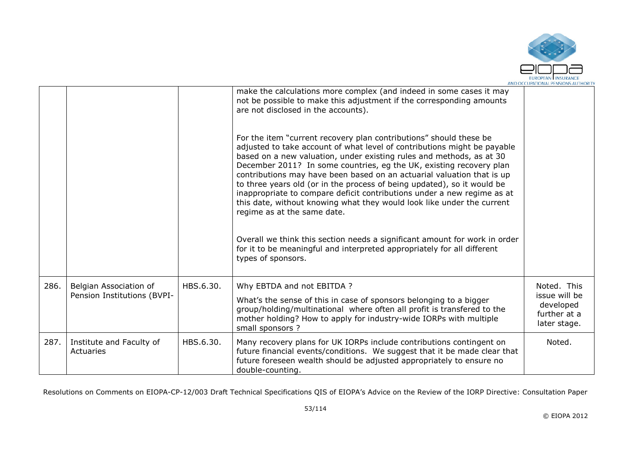

|      |                                                       |           | make the calculations more complex (and indeed in some cases it may<br>not be possible to make this adjustment if the corresponding amounts<br>are not disclosed in the accounts).                                                                                                                                                                                                                                                                                                                                                                                                                                                     |                                                                           |
|------|-------------------------------------------------------|-----------|----------------------------------------------------------------------------------------------------------------------------------------------------------------------------------------------------------------------------------------------------------------------------------------------------------------------------------------------------------------------------------------------------------------------------------------------------------------------------------------------------------------------------------------------------------------------------------------------------------------------------------------|---------------------------------------------------------------------------|
|      |                                                       |           | For the item "current recovery plan contributions" should these be<br>adjusted to take account of what level of contributions might be payable<br>based on a new valuation, under existing rules and methods, as at 30<br>December 2011? In some countries, eg the UK, existing recovery plan<br>contributions may have been based on an actuarial valuation that is up<br>to three years old (or in the process of being updated), so it would be<br>inappropriate to compare deficit contributions under a new regime as at<br>this date, without knowing what they would look like under the current<br>regime as at the same date. |                                                                           |
|      |                                                       |           | Overall we think this section needs a significant amount for work in order<br>for it to be meaningful and interpreted appropriately for all different<br>types of sponsors.                                                                                                                                                                                                                                                                                                                                                                                                                                                            |                                                                           |
| 286. | Belgian Association of<br>Pension Institutions (BVPI- | HBS.6.30. | Why EBTDA and not EBITDA ?<br>What's the sense of this in case of sponsors belonging to a bigger<br>group/holding/multinational where often all profit is transfered to the<br>mother holding? How to apply for industry-wide IORPs with multiple<br>small sponsors ?                                                                                                                                                                                                                                                                                                                                                                  | Noted. This<br>issue will be<br>developed<br>further at a<br>later stage. |
| 287. | Institute and Faculty of<br>Actuaries                 | HBS.6.30. | Many recovery plans for UK IORPs include contributions contingent on<br>future financial events/conditions. We suggest that it be made clear that<br>future foreseen wealth should be adjusted appropriately to ensure no<br>double-counting.                                                                                                                                                                                                                                                                                                                                                                                          | Noted.                                                                    |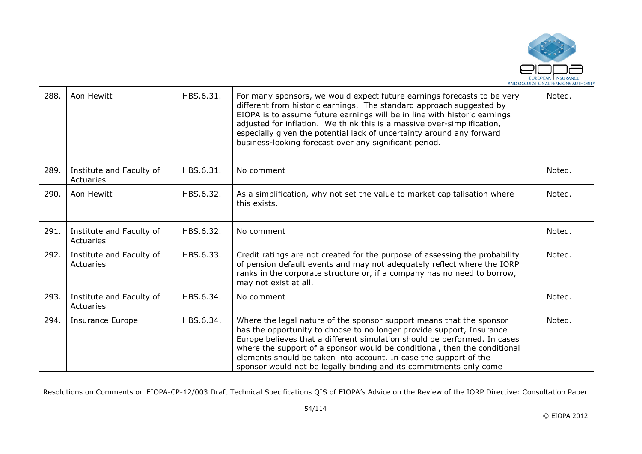

| 288. | Aon Hewitt                            | HBS.6.31. | For many sponsors, we would expect future earnings forecasts to be very<br>different from historic earnings. The standard approach suggested by<br>EIOPA is to assume future earnings will be in line with historic earnings<br>adjusted for inflation. We think this is a massive over-simplification,<br>especially given the potential lack of uncertainty around any forward<br>business-looking forecast over any significant period.         | Noted. |
|------|---------------------------------------|-----------|----------------------------------------------------------------------------------------------------------------------------------------------------------------------------------------------------------------------------------------------------------------------------------------------------------------------------------------------------------------------------------------------------------------------------------------------------|--------|
| 289. | Institute and Faculty of<br>Actuaries | HBS.6.31. | No comment                                                                                                                                                                                                                                                                                                                                                                                                                                         | Noted. |
| 290. | Aon Hewitt                            | HBS.6.32. | As a simplification, why not set the value to market capitalisation where<br>this exists.                                                                                                                                                                                                                                                                                                                                                          | Noted. |
| 291. | Institute and Faculty of<br>Actuaries | HBS.6.32. | No comment                                                                                                                                                                                                                                                                                                                                                                                                                                         | Noted. |
| 292. | Institute and Faculty of<br>Actuaries | HBS.6.33. | Credit ratings are not created for the purpose of assessing the probability<br>of pension default events and may not adequately reflect where the IORP<br>ranks in the corporate structure or, if a company has no need to borrow,<br>may not exist at all.                                                                                                                                                                                        | Noted. |
| 293. | Institute and Faculty of<br>Actuaries | HBS.6.34. | No comment                                                                                                                                                                                                                                                                                                                                                                                                                                         | Noted. |
| 294. | Insurance Europe                      | HBS.6.34. | Where the legal nature of the sponsor support means that the sponsor<br>has the opportunity to choose to no longer provide support, Insurance<br>Europe believes that a different simulation should be performed. In cases<br>where the support of a sponsor would be conditional, then the conditional<br>elements should be taken into account. In case the support of the<br>sponsor would not be legally binding and its commitments only come | Noted. |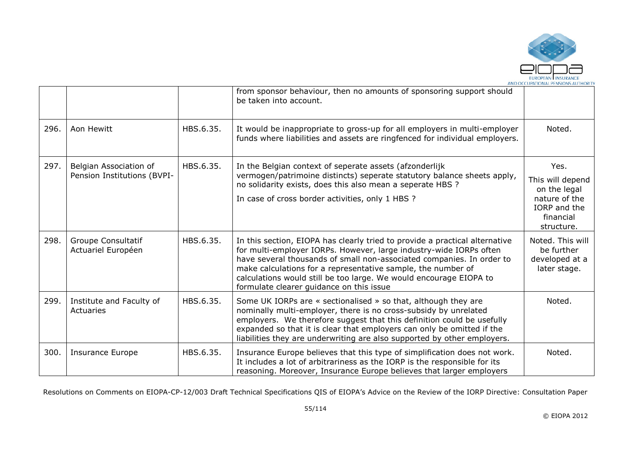

|      |                                                       |           | from sponsor behaviour, then no amounts of sponsoring support should<br>be taken into account.                                                                                                                                                                                                                                                                                                               |                                                                                                      |
|------|-------------------------------------------------------|-----------|--------------------------------------------------------------------------------------------------------------------------------------------------------------------------------------------------------------------------------------------------------------------------------------------------------------------------------------------------------------------------------------------------------------|------------------------------------------------------------------------------------------------------|
| 296. | Aon Hewitt                                            | HBS.6.35. | It would be inappropriate to gross-up for all employers in multi-employer<br>funds where liabilities and assets are ringfenced for individual employers.                                                                                                                                                                                                                                                     | Noted.                                                                                               |
| 297. | Belgian Association of<br>Pension Institutions (BVPI- | HBS.6.35. | In the Belgian context of seperate assets (afzonderlijk<br>vermogen/patrimoine distincts) seperate statutory balance sheets apply,<br>no solidarity exists, does this also mean a seperate HBS ?<br>In case of cross border activities, only 1 HBS ?                                                                                                                                                         | Yes.<br>This will depend<br>on the legal<br>nature of the<br>IORP and the<br>financial<br>structure. |
| 298. | Groupe Consultatif<br>Actuariel Européen              | HBS.6.35. | In this section, EIOPA has clearly tried to provide a practical alternative<br>for multi-employer IORPs. However, large industry-wide IORPs often<br>have several thousands of small non-associated companies. In order to<br>make calculations for a representative sample, the number of<br>calculations would still be too large. We would encourage EIOPA to<br>formulate clearer guidance on this issue | Noted. This will<br>be further<br>developed at a<br>later stage.                                     |
| 299. | Institute and Faculty of<br>Actuaries                 | HBS.6.35. | Some UK IORPs are « sectionalised » so that, although they are<br>nominally multi-employer, there is no cross-subsidy by unrelated<br>employers. We therefore suggest that this definition could be usefully<br>expanded so that it is clear that employers can only be omitted if the<br>liabilities they are underwriting are also supported by other employers.                                           | Noted.                                                                                               |
| 300. | <b>Insurance Europe</b>                               | HBS.6.35. | Insurance Europe believes that this type of simplification does not work.<br>It includes a lot of arbitrariness as the IORP is the responsible for its<br>reasoning. Moreover, Insurance Europe believes that larger employers                                                                                                                                                                               | Noted.                                                                                               |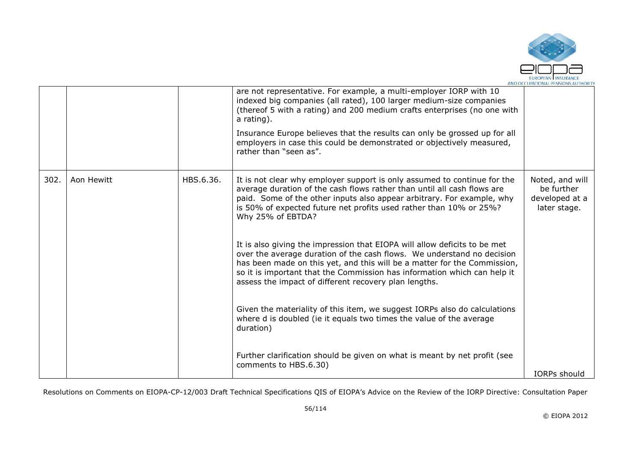

|      |            |           | are not representative. For example, a multi-employer IORP with 10<br>indexed big companies (all rated), 100 larger medium-size companies<br>(thereof 5 with a rating) and 200 medium crafts enterprises (no one with<br>a rating).                                                                                                                                  |                                                                 |
|------|------------|-----------|----------------------------------------------------------------------------------------------------------------------------------------------------------------------------------------------------------------------------------------------------------------------------------------------------------------------------------------------------------------------|-----------------------------------------------------------------|
|      |            |           | Insurance Europe believes that the results can only be grossed up for all<br>employers in case this could be demonstrated or objectively measured,<br>rather than "seen as".                                                                                                                                                                                         |                                                                 |
| 302. | Aon Hewitt | HBS.6.36. | It is not clear why employer support is only assumed to continue for the<br>average duration of the cash flows rather than until all cash flows are<br>paid. Some of the other inputs also appear arbitrary. For example, why<br>is 50% of expected future net profits used rather than 10% or 25%?<br>Why 25% of EBTDA?                                             | Noted, and will<br>be further<br>developed at a<br>later stage. |
|      |            |           | It is also giving the impression that EIOPA will allow deficits to be met<br>over the average duration of the cash flows. We understand no decision<br>has been made on this yet, and this will be a matter for the Commission,<br>so it is important that the Commission has information which can help it<br>assess the impact of different recovery plan lengths. |                                                                 |
|      |            |           | Given the materiality of this item, we suggest IORPs also do calculations<br>where d is doubled (ie it equals two times the value of the average<br>duration)                                                                                                                                                                                                        |                                                                 |
|      |            |           | Further clarification should be given on what is meant by net profit (see<br>comments to HBS.6.30)                                                                                                                                                                                                                                                                   | <b>IORPs</b> should                                             |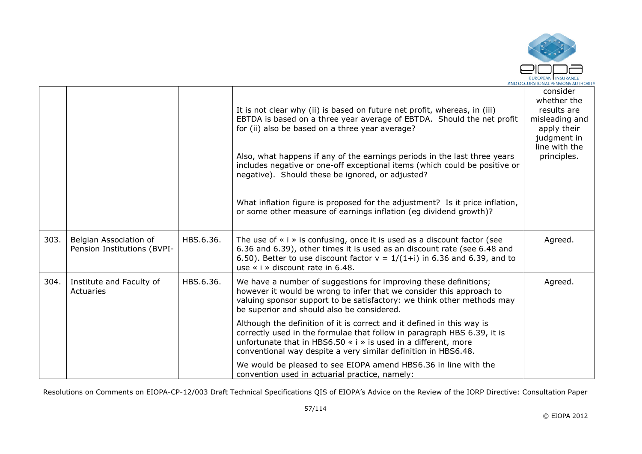

|      |                                                       |           | It is not clear why (ii) is based on future net profit, whereas, in (iii)<br>EBTDA is based on a three year average of EBTDA. Should the net profit<br>for (ii) also be based on a three year average?<br>Also, what happens if any of the earnings periods in the last three years<br>includes negative or one-off exceptional items (which could be positive or<br>negative). Should these be ignored, or adjusted?<br>What inflation figure is proposed for the adjustment? Is it price inflation,<br>or some other measure of earnings inflation (eg dividend growth)? | consider<br>whether the<br>results are<br>misleading and<br>apply their<br>judgment in<br>line with the<br>principles. |
|------|-------------------------------------------------------|-----------|----------------------------------------------------------------------------------------------------------------------------------------------------------------------------------------------------------------------------------------------------------------------------------------------------------------------------------------------------------------------------------------------------------------------------------------------------------------------------------------------------------------------------------------------------------------------------|------------------------------------------------------------------------------------------------------------------------|
| 303. | Belgian Association of<br>Pension Institutions (BVPI- | HBS.6.36. | The use of $\ast$ i $\ast$ is confusing, once it is used as a discount factor (see<br>6.36 and 6.39), other times it is used as an discount rate (see 6.48 and<br>6.50). Better to use discount factor $v = 1/(1+i)$ in 6.36 and 6.39, and to<br>use $\le$ i $\ge$ discount rate in 6.48.                                                                                                                                                                                                                                                                                  | Agreed.                                                                                                                |
| 304. | Institute and Faculty of<br>Actuaries                 | HBS.6.36. | We have a number of suggestions for improving these definitions;<br>however it would be wrong to infer that we consider this approach to<br>valuing sponsor support to be satisfactory: we think other methods may<br>be superior and should also be considered.                                                                                                                                                                                                                                                                                                           | Agreed.                                                                                                                |
|      |                                                       |           | Although the definition of it is correct and it defined in this way is<br>correctly used in the formulae that follow in paragraph HBS 6.39, it is<br>unfortunate that in HBS6.50 $\cdot$ i $\cdot$ is used in a different, more<br>conventional way despite a very similar definition in HBS6.48.                                                                                                                                                                                                                                                                          |                                                                                                                        |
|      |                                                       |           | We would be pleased to see EIOPA amend HBS6.36 in line with the<br>convention used in actuarial practice, namely:                                                                                                                                                                                                                                                                                                                                                                                                                                                          |                                                                                                                        |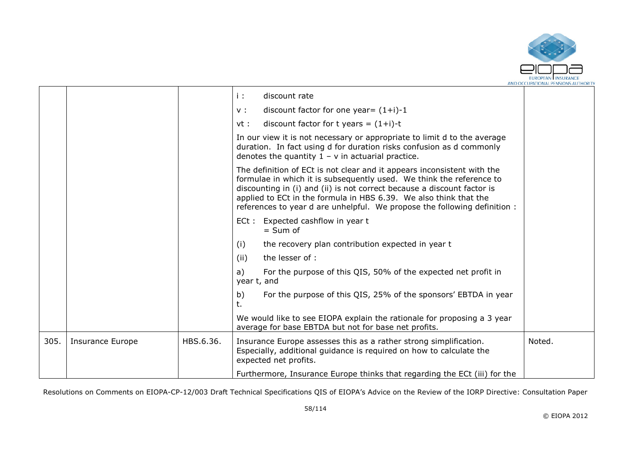

|      |                         |           | i :<br>discount rate<br>discount factor for one year= $(1+i)-1$<br>$V$ :                                                                                                                                                                                                                                                                                                     |        |
|------|-------------------------|-----------|------------------------------------------------------------------------------------------------------------------------------------------------------------------------------------------------------------------------------------------------------------------------------------------------------------------------------------------------------------------------------|--------|
|      |                         |           | discount factor for t years = $(1+i)$ -t<br>vt :                                                                                                                                                                                                                                                                                                                             |        |
|      |                         |           | In our view it is not necessary or appropriate to limit d to the average<br>duration. In fact using d for duration risks confusion as d commonly<br>denotes the quantity $1 - v$ in actuarial practice.                                                                                                                                                                      |        |
|      |                         |           | The definition of ECt is not clear and it appears inconsistent with the<br>formulae in which it is subsequently used. We think the reference to<br>discounting in (i) and (ii) is not correct because a discount factor is<br>applied to ECt in the formula in HBS 6.39. We also think that the<br>references to year d are unhelpful. We propose the following definition : |        |
|      |                         |           | ECt : Expected cashflow in year t<br>$=$ Sum of                                                                                                                                                                                                                                                                                                                              |        |
|      |                         |           | the recovery plan contribution expected in year t<br>(i)                                                                                                                                                                                                                                                                                                                     |        |
|      |                         |           | (ii)<br>the lesser of :                                                                                                                                                                                                                                                                                                                                                      |        |
|      |                         |           | For the purpose of this QIS, 50% of the expected net profit in<br>a)<br>year t, and                                                                                                                                                                                                                                                                                          |        |
|      |                         |           | b)<br>For the purpose of this QIS, 25% of the sponsors' EBTDA in year<br>t.                                                                                                                                                                                                                                                                                                  |        |
|      |                         |           | We would like to see EIOPA explain the rationale for proposing a 3 year<br>average for base EBTDA but not for base net profits.                                                                                                                                                                                                                                              |        |
| 305. | <b>Insurance Europe</b> | HBS.6.36. | Insurance Europe assesses this as a rather strong simplification.<br>Especially, additional guidance is required on how to calculate the<br>expected net profits.                                                                                                                                                                                                            | Noted. |
|      |                         |           | Furthermore, Insurance Europe thinks that regarding the ECt (iii) for the                                                                                                                                                                                                                                                                                                    |        |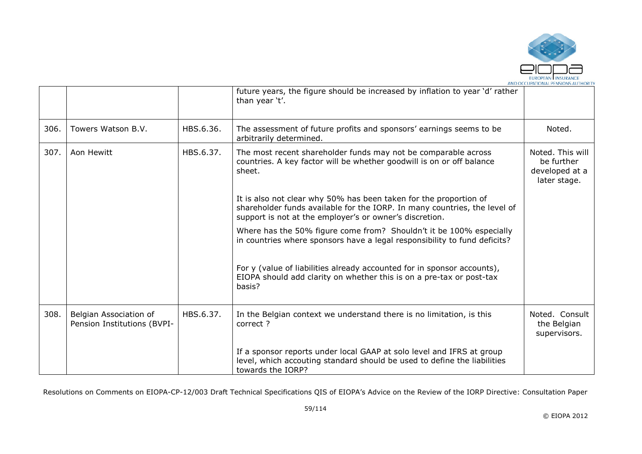

|      |                                                       |           | future years, the figure should be increased by inflation to year 'd' rather<br>than year 't'.                                                                                                            |                                                                  |
|------|-------------------------------------------------------|-----------|-----------------------------------------------------------------------------------------------------------------------------------------------------------------------------------------------------------|------------------------------------------------------------------|
| 306. | Towers Watson B.V.                                    | HBS.6.36. | The assessment of future profits and sponsors' earnings seems to be<br>arbitrarily determined.                                                                                                            | Noted.                                                           |
| 307. | Aon Hewitt                                            | HBS.6.37. | The most recent shareholder funds may not be comparable across<br>countries. A key factor will be whether goodwill is on or off balance<br>sheet.                                                         | Noted. This will<br>be further<br>developed at a<br>later stage. |
|      |                                                       |           | It is also not clear why 50% has been taken for the proportion of<br>shareholder funds available for the IORP. In many countries, the level of<br>support is not at the employer's or owner's discretion. |                                                                  |
|      |                                                       |           | Where has the 50% figure come from? Shouldn't it be 100% especially<br>in countries where sponsors have a legal responsibility to fund deficits?                                                          |                                                                  |
|      |                                                       |           | For y (value of liabilities already accounted for in sponsor accounts),<br>EIOPA should add clarity on whether this is on a pre-tax or post-tax<br>basis?                                                 |                                                                  |
| 308. | Belgian Association of<br>Pension Institutions (BVPI- | HBS.6.37. | In the Belgian context we understand there is no limitation, is this<br>correct ?                                                                                                                         | Noted. Consult<br>the Belgian<br>supervisors.                    |
|      |                                                       |           | If a sponsor reports under local GAAP at solo level and IFRS at group<br>level, which accouting standard should be used to define the liabilities<br>towards the IORP?                                    |                                                                  |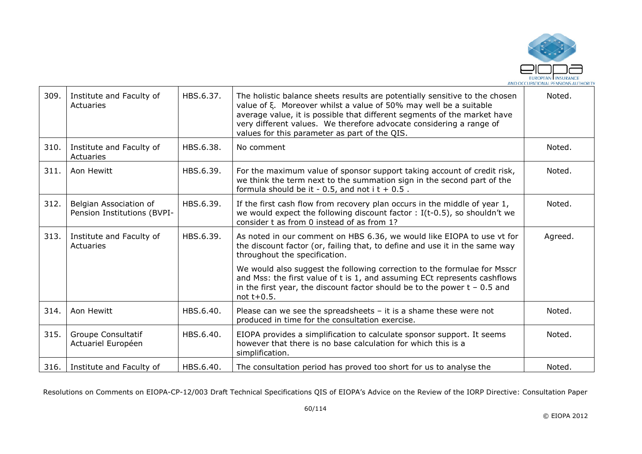

| 309. | Institute and Faculty of<br>Actuaries                 | HBS.6.37. | The holistic balance sheets results are potentially sensitive to the chosen<br>value of ξ. Moreover whilst a value of 50% may well be a suitable<br>average value, it is possible that different segments of the market have<br>very different values. We therefore advocate considering a range of<br>values for this parameter as part of the QIS. | Noted.  |
|------|-------------------------------------------------------|-----------|------------------------------------------------------------------------------------------------------------------------------------------------------------------------------------------------------------------------------------------------------------------------------------------------------------------------------------------------------|---------|
| 310. | Institute and Faculty of<br>Actuaries                 | HBS.6.38. | No comment                                                                                                                                                                                                                                                                                                                                           | Noted.  |
| 311. | Aon Hewitt                                            | HBS.6.39. | For the maximum value of sponsor support taking account of credit risk,<br>we think the term next to the summation sign in the second part of the<br>formula should be it - 0.5, and not $i$ t + 0.5.                                                                                                                                                | Noted.  |
| 312. | Belgian Association of<br>Pension Institutions (BVPI- | HBS.6.39. | If the first cash flow from recovery plan occurs in the middle of year 1,<br>we would expect the following discount factor : I(t-0.5), so shouldn't we<br>consider t as from 0 instead of as from 1?                                                                                                                                                 | Noted.  |
| 313. | Institute and Faculty of<br>Actuaries                 | HBS.6.39. | As noted in our comment on HBS 6.36, we would like EIOPA to use vt for<br>the discount factor (or, failing that, to define and use it in the same way<br>throughout the specification.                                                                                                                                                               | Agreed. |
|      |                                                       |           | We would also suggest the following correction to the formulae for Msscr<br>and Mss: the first value of t is 1, and assuming ECt represents cashflows<br>in the first year, the discount factor should be to the power $t - 0.5$ and<br>not $t+0.5$ .                                                                                                |         |
| 314. | Aon Hewitt                                            | HBS.6.40. | Please can we see the spreadsheets $-$ it is a shame these were not<br>produced in time for the consultation exercise.                                                                                                                                                                                                                               | Noted.  |
| 315. | Groupe Consultatif<br>Actuariel Européen              | HBS.6.40. | EIOPA provides a simplification to calculate sponsor support. It seems<br>however that there is no base calculation for which this is a<br>simplification.                                                                                                                                                                                           | Noted.  |
| 316. | Institute and Faculty of                              | HBS.6.40. | The consultation period has proved too short for us to analyse the                                                                                                                                                                                                                                                                                   | Noted.  |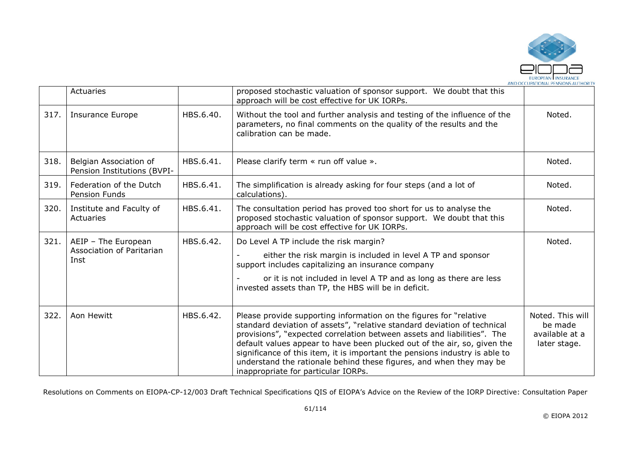

|      | Actuaries                                             |           | proposed stochastic valuation of sponsor support. We doubt that this<br>approach will be cost effective for UK IORPs.                                                                                                                                                                                                                                                                                                                                                                              |                                                               |
|------|-------------------------------------------------------|-----------|----------------------------------------------------------------------------------------------------------------------------------------------------------------------------------------------------------------------------------------------------------------------------------------------------------------------------------------------------------------------------------------------------------------------------------------------------------------------------------------------------|---------------------------------------------------------------|
| 317. | <b>Insurance Europe</b>                               | HBS.6.40. | Without the tool and further analysis and testing of the influence of the<br>parameters, no final comments on the quality of the results and the<br>calibration can be made.                                                                                                                                                                                                                                                                                                                       | Noted.                                                        |
| 318. | Belgian Association of<br>Pension Institutions (BVPI- | HBS.6.41. | Please clarify term « run off value ».                                                                                                                                                                                                                                                                                                                                                                                                                                                             | Noted.                                                        |
| 319. | Federation of the Dutch<br>Pension Funds              | HBS.6.41. | The simplification is already asking for four steps (and a lot of<br>calculations).                                                                                                                                                                                                                                                                                                                                                                                                                | Noted.                                                        |
| 320. | Institute and Faculty of<br>Actuaries                 | HBS.6.41. | The consultation period has proved too short for us to analyse the<br>proposed stochastic valuation of sponsor support. We doubt that this<br>approach will be cost effective for UK IORPs.                                                                                                                                                                                                                                                                                                        | Noted.                                                        |
| 321. | AEIP - The European                                   | HBS.6.42. | Do Level A TP include the risk margin?                                                                                                                                                                                                                                                                                                                                                                                                                                                             | Noted.                                                        |
|      | Association of Paritarian<br>Inst                     |           | either the risk margin is included in level A TP and sponsor<br>support includes capitalizing an insurance company                                                                                                                                                                                                                                                                                                                                                                                 |                                                               |
|      |                                                       |           | or it is not included in level A TP and as long as there are less<br>invested assets than TP, the HBS will be in deficit.                                                                                                                                                                                                                                                                                                                                                                          |                                                               |
| 322. | Aon Hewitt                                            | HBS.6.42. | Please provide supporting information on the figures for "relative<br>standard deviation of assets", "relative standard deviation of technical<br>provisions", "expected correlation between assets and liabilities". The<br>default values appear to have been plucked out of the air, so, given the<br>significance of this item, it is important the pensions industry is able to<br>understand the rationale behind these figures, and when they may be<br>inappropriate for particular IORPs. | Noted. This will<br>be made<br>available at a<br>later stage. |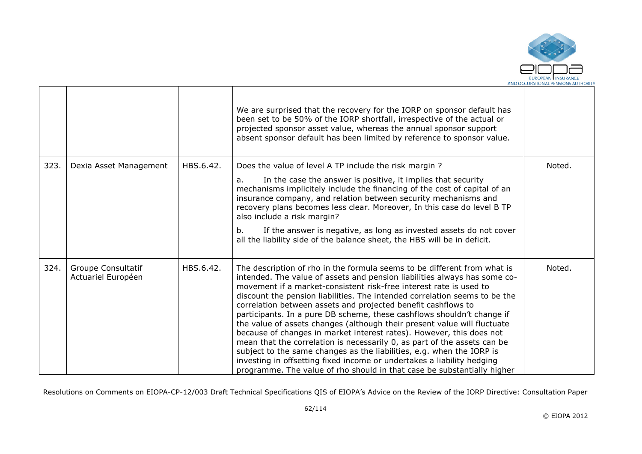

|      |                                          |           | We are surprised that the recovery for the IORP on sponsor default has<br>been set to be 50% of the IORP shortfall, irrespective of the actual or<br>projected sponsor asset value, whereas the annual sponsor support<br>absent sponsor default has been limited by reference to sponsor value.                                                                                                                                                                                                                                                                                                                                                                                                                                                                                                                                                                                                                   |        |
|------|------------------------------------------|-----------|--------------------------------------------------------------------------------------------------------------------------------------------------------------------------------------------------------------------------------------------------------------------------------------------------------------------------------------------------------------------------------------------------------------------------------------------------------------------------------------------------------------------------------------------------------------------------------------------------------------------------------------------------------------------------------------------------------------------------------------------------------------------------------------------------------------------------------------------------------------------------------------------------------------------|--------|
| 323. | Dexia Asset Management                   | HBS.6.42. | Does the value of level A TP include the risk margin?<br>In the case the answer is positive, it implies that security<br>a.<br>mechanisms implicitely include the financing of the cost of capital of an<br>insurance company, and relation between security mechanisms and<br>recovery plans becomes less clear. Moreover, In this case do level B TP<br>also include a risk margin?<br>If the answer is negative, as long as invested assets do not cover<br>b.<br>all the liability side of the balance sheet, the HBS will be in deficit.                                                                                                                                                                                                                                                                                                                                                                      | Noted. |
| 324. | Groupe Consultatif<br>Actuariel Européen | HBS.6.42. | The description of rho in the formula seems to be different from what is<br>intended. The value of assets and pension liabilities always has some co-<br>movement if a market-consistent risk-free interest rate is used to<br>discount the pension liabilities. The intended correlation seems to be the<br>correlation between assets and projected benefit cashflows to<br>participants. In a pure DB scheme, these cashflows shouldn't change if<br>the value of assets changes (although their present value will fluctuate<br>because of changes in market interest rates). However, this does not<br>mean that the correlation is necessarily 0, as part of the assets can be<br>subject to the same changes as the liabilities, e.g. when the IORP is<br>investing in offsetting fixed income or undertakes a liability hedging<br>programme. The value of rho should in that case be substantially higher | Noted. |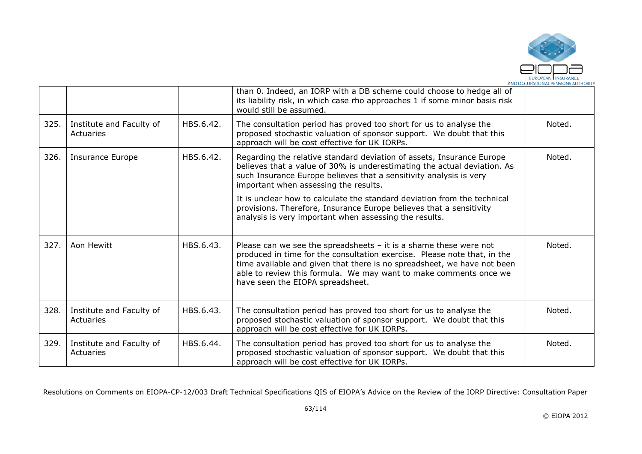

|      |                                       |           | than 0. Indeed, an IORP with a DB scheme could choose to hedge all of<br>its liability risk, in which case rho approaches 1 if some minor basis risk<br>would still be assumed.                                                                                                                                                     |        |
|------|---------------------------------------|-----------|-------------------------------------------------------------------------------------------------------------------------------------------------------------------------------------------------------------------------------------------------------------------------------------------------------------------------------------|--------|
| 325. | Institute and Faculty of<br>Actuaries | HBS.6.42. | The consultation period has proved too short for us to analyse the<br>proposed stochastic valuation of sponsor support. We doubt that this<br>approach will be cost effective for UK IORPs.                                                                                                                                         | Noted. |
| 326. | <b>Insurance Europe</b>               | HBS.6.42. | Regarding the relative standard deviation of assets, Insurance Europe<br>believes that a value of 30% is underestimating the actual deviation. As<br>such Insurance Europe believes that a sensitivity analysis is very<br>important when assessing the results.                                                                    | Noted. |
|      |                                       |           | It is unclear how to calculate the standard deviation from the technical<br>provisions. Therefore, Insurance Europe believes that a sensitivity<br>analysis is very important when assessing the results.                                                                                                                           |        |
| 327. | Aon Hewitt                            | HBS.6.43. | Please can we see the spreadsheets $-$ it is a shame these were not<br>produced in time for the consultation exercise. Please note that, in the<br>time available and given that there is no spreadsheet, we have not been<br>able to review this formula. We may want to make comments once we<br>have seen the EIOPA spreadsheet. | Noted. |
| 328. | Institute and Faculty of<br>Actuaries | HBS.6.43. | The consultation period has proved too short for us to analyse the<br>proposed stochastic valuation of sponsor support. We doubt that this<br>approach will be cost effective for UK IORPs.                                                                                                                                         | Noted. |
| 329. | Institute and Faculty of<br>Actuaries | HBS.6.44. | The consultation period has proved too short for us to analyse the<br>proposed stochastic valuation of sponsor support. We doubt that this<br>approach will be cost effective for UK IORPs.                                                                                                                                         | Noted. |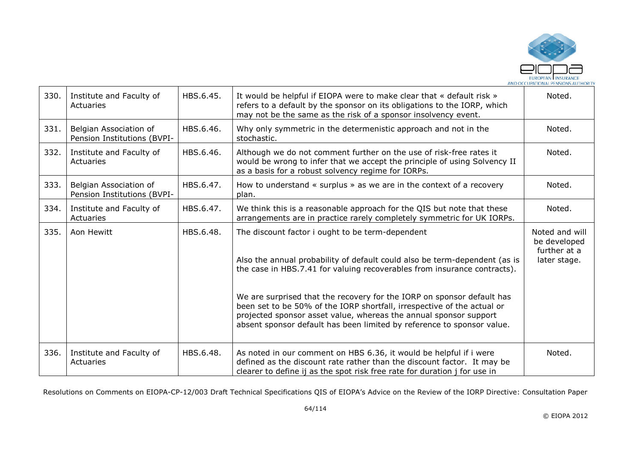

| 330. | Institute and Faculty of<br>Actuaries                 | HBS.6.45. | It would be helpful if EIOPA were to make clear that « default risk »<br>refers to a default by the sponsor on its obligations to the IORP, which<br>may not be the same as the risk of a sponsor insolvency event.                                                                              | Noted.                                                         |
|------|-------------------------------------------------------|-----------|--------------------------------------------------------------------------------------------------------------------------------------------------------------------------------------------------------------------------------------------------------------------------------------------------|----------------------------------------------------------------|
| 331. | Belgian Association of<br>Pension Institutions (BVPI- | HBS.6.46. | Why only symmetric in the determenistic approach and not in the<br>stochastic.                                                                                                                                                                                                                   | Noted.                                                         |
| 332. | Institute and Faculty of<br><b>Actuaries</b>          | HBS.6.46. | Although we do not comment further on the use of risk-free rates it<br>would be wrong to infer that we accept the principle of using Solvency II<br>as a basis for a robust solvency regime for IORPs.                                                                                           | Noted.                                                         |
| 333. | Belgian Association of<br>Pension Institutions (BVPI- | HBS.6.47. | How to understand $\ll$ surplus $\gg$ as we are in the context of a recovery<br>plan.                                                                                                                                                                                                            | Noted.                                                         |
| 334. | Institute and Faculty of<br>Actuaries                 | HBS.6.47. | We think this is a reasonable approach for the QIS but note that these<br>arrangements are in practice rarely completely symmetric for UK IORPs.                                                                                                                                                 | Noted.                                                         |
| 335. | Aon Hewitt                                            | HBS.6.48. | The discount factor i ought to be term-dependent<br>Also the annual probability of default could also be term-dependent (as is<br>the case in HBS.7.41 for valuing recoverables from insurance contracts).                                                                                       | Noted and will<br>be developed<br>further at a<br>later stage. |
|      |                                                       |           | We are surprised that the recovery for the IORP on sponsor default has<br>been set to be 50% of the IORP shortfall, irrespective of the actual or<br>projected sponsor asset value, whereas the annual sponsor support<br>absent sponsor default has been limited by reference to sponsor value. |                                                                |
| 336. | Institute and Faculty of<br>Actuaries                 | HBS.6.48. | As noted in our comment on HBS 6.36, it would be helpful if i were<br>defined as the discount rate rather than the discount factor. It may be<br>clearer to define ij as the spot risk free rate for duration j for use in                                                                       | Noted.                                                         |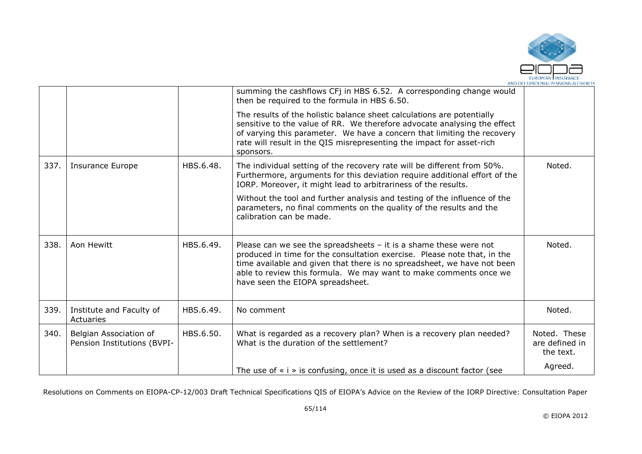

|      |                                                       |           | summing the cashflows CFj in HBS 6.52. A corresponding change would<br>then be required to the formula in HBS 6.50.                                                                                                                                                                                                                 |                                             |
|------|-------------------------------------------------------|-----------|-------------------------------------------------------------------------------------------------------------------------------------------------------------------------------------------------------------------------------------------------------------------------------------------------------------------------------------|---------------------------------------------|
|      |                                                       |           | The results of the holistic balance sheet calculations are potentially<br>sensitive to the value of RR. We therefore advocate analysing the effect<br>of varying this parameter. We have a concern that limiting the recovery<br>rate will result in the QIS misrepresenting the impact for asset-rich<br>sponsors.                 |                                             |
| 337. | <b>Insurance Europe</b>                               | HBS.6.48. | The individual setting of the recovery rate will be different from 50%.<br>Furthermore, arguments for this deviation require additional effort of the<br>IORP. Moreover, it might lead to arbitrariness of the results.                                                                                                             | Noted.                                      |
|      |                                                       |           | Without the tool and further analysis and testing of the influence of the<br>parameters, no final comments on the quality of the results and the<br>calibration can be made.                                                                                                                                                        |                                             |
| 338. | Aon Hewitt                                            | HBS.6.49. | Please can we see the spreadsheets $-$ it is a shame these were not<br>produced in time for the consultation exercise. Please note that, in the<br>time available and given that there is no spreadsheet, we have not been<br>able to review this formula. We may want to make comments once we<br>have seen the EIOPA spreadsheet. | Noted.                                      |
| 339. | Institute and Faculty of<br>Actuaries                 | HBS.6.49. | No comment                                                                                                                                                                                                                                                                                                                          | Noted.                                      |
| 340. | Belgian Association of<br>Pension Institutions (BVPI- | HBS.6.50. | What is regarded as a recovery plan? When is a recovery plan needed?<br>What is the duration of the settlement?                                                                                                                                                                                                                     | Noted. These<br>are defined in<br>the text. |
|      |                                                       |           | The use of $\ast$ i $\ast$ is confusing, once it is used as a discount factor (see                                                                                                                                                                                                                                                  | Agreed.                                     |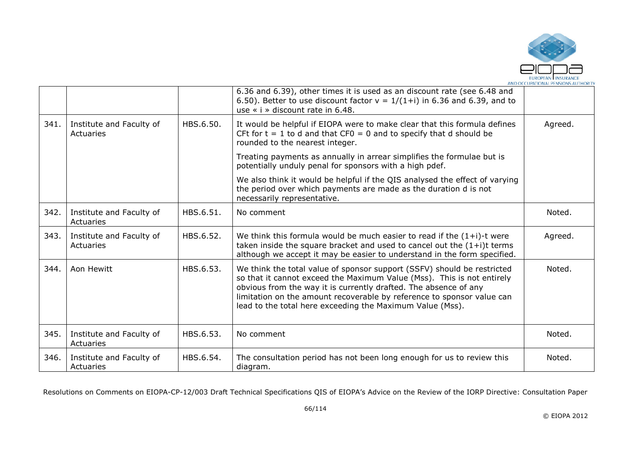

|      |                                       |           | 6.36 and 6.39), other times it is used as an discount rate (see 6.48 and<br>6.50). Better to use discount factor $v = 1/(1+i)$ in 6.36 and 6.39, and to<br>use $\le$ i $\ge$ discount rate in 6.48.                                                                                                                                                          |         |
|------|---------------------------------------|-----------|--------------------------------------------------------------------------------------------------------------------------------------------------------------------------------------------------------------------------------------------------------------------------------------------------------------------------------------------------------------|---------|
| 341. | Institute and Faculty of<br>Actuaries | HBS.6.50. | It would be helpful if EIOPA were to make clear that this formula defines<br>CFt for $t = 1$ to d and that CF0 = 0 and to specify that d should be<br>rounded to the nearest integer.                                                                                                                                                                        | Agreed. |
|      |                                       |           | Treating payments as annually in arrear simplifies the formulae but is<br>potentially unduly penal for sponsors with a high pdef.                                                                                                                                                                                                                            |         |
|      |                                       |           | We also think it would be helpful if the QIS analysed the effect of varying<br>the period over which payments are made as the duration d is not<br>necessarily representative.                                                                                                                                                                               |         |
| 342. | Institute and Faculty of<br>Actuaries | HBS.6.51. | No comment                                                                                                                                                                                                                                                                                                                                                   | Noted.  |
| 343. | Institute and Faculty of<br>Actuaries | HBS.6.52. | We think this formula would be much easier to read if the $(1+i)$ -t were<br>taken inside the square bracket and used to cancel out the $(1+i)t$ terms<br>although we accept it may be easier to understand in the form specified.                                                                                                                           | Agreed. |
| 344. | Aon Hewitt                            | HBS.6.53. | We think the total value of sponsor support (SSFV) should be restricted<br>so that it cannot exceed the Maximum Value (Mss). This is not entirely<br>obvious from the way it is currently drafted. The absence of any<br>limitation on the amount recoverable by reference to sponsor value can<br>lead to the total here exceeding the Maximum Value (Mss). | Noted.  |
| 345. | Institute and Faculty of<br>Actuaries | HBS.6.53. | No comment                                                                                                                                                                                                                                                                                                                                                   | Noted.  |
| 346. | Institute and Faculty of<br>Actuaries | HBS.6.54. | The consultation period has not been long enough for us to review this<br>diagram.                                                                                                                                                                                                                                                                           | Noted.  |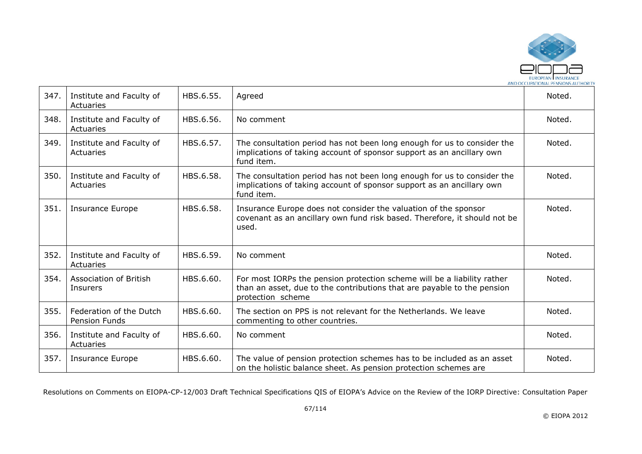

| 347. | Institute and Faculty of<br>Actuaries     | HBS.6.55. | Agreed                                                                                                                                                                  | Noted. |
|------|-------------------------------------------|-----------|-------------------------------------------------------------------------------------------------------------------------------------------------------------------------|--------|
| 348. | Institute and Faculty of<br>Actuaries     | HBS.6.56. | No comment                                                                                                                                                              | Noted. |
| 349. | Institute and Faculty of<br>Actuaries     | HBS.6.57. | The consultation period has not been long enough for us to consider the<br>implications of taking account of sponsor support as an ancillary own<br>fund item.          | Noted. |
| 350. | Institute and Faculty of<br>Actuaries     | HBS.6.58. | The consultation period has not been long enough for us to consider the<br>implications of taking account of sponsor support as an ancillary own<br>fund item.          | Noted. |
| 351. | <b>Insurance Europe</b>                   | HBS.6.58. | Insurance Europe does not consider the valuation of the sponsor<br>covenant as an ancillary own fund risk based. Therefore, it should not be<br>used.                   | Noted. |
| 352. | Institute and Faculty of<br>Actuaries     | HBS.6.59. | No comment                                                                                                                                                              | Noted. |
| 354. | <b>Association of British</b><br>Insurers | HBS.6.60. | For most IORPs the pension protection scheme will be a liability rather<br>than an asset, due to the contributions that are payable to the pension<br>protection scheme | Noted. |
| 355. | Federation of the Dutch<br>Pension Funds  | HBS.6.60. | The section on PPS is not relevant for the Netherlands. We leave<br>commenting to other countries.                                                                      | Noted. |
| 356. | Institute and Faculty of<br>Actuaries     | HBS.6.60. | No comment                                                                                                                                                              | Noted. |
| 357. | Insurance Europe                          | HBS.6.60. | The value of pension protection schemes has to be included as an asset<br>on the holistic balance sheet. As pension protection schemes are                              | Noted. |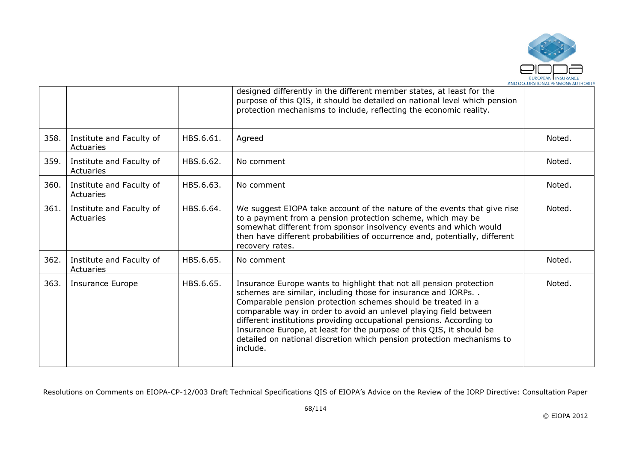

|      |                                       |           | designed differently in the different member states, at least for the<br>purpose of this QIS, it should be detailed on national level which pension<br>protection mechanisms to include, reflecting the economic reality.                                                                                                                                                                                                                                                                                      |        |
|------|---------------------------------------|-----------|----------------------------------------------------------------------------------------------------------------------------------------------------------------------------------------------------------------------------------------------------------------------------------------------------------------------------------------------------------------------------------------------------------------------------------------------------------------------------------------------------------------|--------|
| 358. | Institute and Faculty of<br>Actuaries | HBS.6.61. | Agreed                                                                                                                                                                                                                                                                                                                                                                                                                                                                                                         | Noted. |
| 359. | Institute and Faculty of<br>Actuaries | HBS.6.62. | No comment                                                                                                                                                                                                                                                                                                                                                                                                                                                                                                     | Noted. |
| 360. | Institute and Faculty of<br>Actuaries | HBS.6.63. | No comment                                                                                                                                                                                                                                                                                                                                                                                                                                                                                                     | Noted. |
| 361. | Institute and Faculty of<br>Actuaries | HBS.6.64. | We suggest EIOPA take account of the nature of the events that give rise<br>to a payment from a pension protection scheme, which may be<br>somewhat different from sponsor insolvency events and which would<br>then have different probabilities of occurrence and, potentially, different<br>recovery rates.                                                                                                                                                                                                 | Noted. |
| 362. | Institute and Faculty of<br>Actuaries | HBS.6.65. | No comment                                                                                                                                                                                                                                                                                                                                                                                                                                                                                                     | Noted. |
| 363. | Insurance Europe                      | HBS.6.65. | Insurance Europe wants to highlight that not all pension protection<br>schemes are similar, including those for insurance and IORPs<br>Comparable pension protection schemes should be treated in a<br>comparable way in order to avoid an unlevel playing field between<br>different institutions providing occupational pensions. According to<br>Insurance Europe, at least for the purpose of this QIS, it should be<br>detailed on national discretion which pension protection mechanisms to<br>include. | Noted. |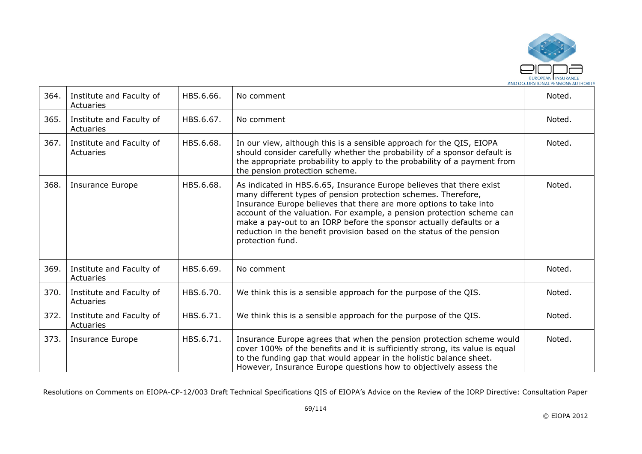

| 364. | Institute and Faculty of<br>Actuaries | HBS.6.66. | No comment                                                                                                                                                                                                                                                                                                                                                                                                                                                 | Noted. |
|------|---------------------------------------|-----------|------------------------------------------------------------------------------------------------------------------------------------------------------------------------------------------------------------------------------------------------------------------------------------------------------------------------------------------------------------------------------------------------------------------------------------------------------------|--------|
| 365. | Institute and Faculty of<br>Actuaries | HBS.6.67. | No comment                                                                                                                                                                                                                                                                                                                                                                                                                                                 | Noted. |
| 367. | Institute and Faculty of<br>Actuaries | HBS.6.68. | In our view, although this is a sensible approach for the QIS, EIOPA<br>should consider carefully whether the probability of a sponsor default is<br>the appropriate probability to apply to the probability of a payment from<br>the pension protection scheme.                                                                                                                                                                                           | Noted. |
| 368. | Insurance Europe                      | HBS.6.68. | As indicated in HBS.6.65, Insurance Europe believes that there exist<br>many different types of pension protection schemes. Therefore,<br>Insurance Europe believes that there are more options to take into<br>account of the valuation. For example, a pension protection scheme can<br>make a pay-out to an IORP before the sponsor actually defaults or a<br>reduction in the benefit provision based on the status of the pension<br>protection fund. | Noted. |
| 369. | Institute and Faculty of<br>Actuaries | HBS.6.69. | No comment                                                                                                                                                                                                                                                                                                                                                                                                                                                 | Noted. |
| 370. | Institute and Faculty of<br>Actuaries | HBS.6.70. | We think this is a sensible approach for the purpose of the QIS.                                                                                                                                                                                                                                                                                                                                                                                           | Noted. |
| 372. | Institute and Faculty of<br>Actuaries | HBS.6.71. | We think this is a sensible approach for the purpose of the QIS.                                                                                                                                                                                                                                                                                                                                                                                           | Noted. |
| 373. | <b>Insurance Europe</b>               | HBS.6.71. | Insurance Europe agrees that when the pension protection scheme would<br>cover 100% of the benefits and it is sufficiently strong, its value is equal<br>to the funding gap that would appear in the holistic balance sheet.<br>However, Insurance Europe questions how to objectively assess the                                                                                                                                                          | Noted. |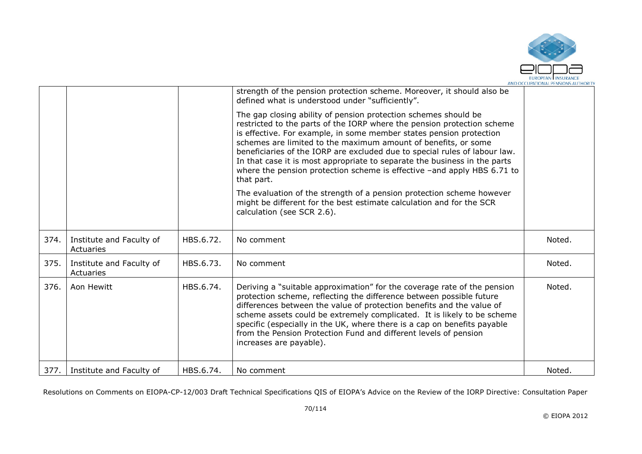

|      |                                       |           | strength of the pension protection scheme. Moreover, it should also be<br>defined what is understood under "sufficiently".                                                                                                                                                                                                                                                                                                                                                                                                              |        |
|------|---------------------------------------|-----------|-----------------------------------------------------------------------------------------------------------------------------------------------------------------------------------------------------------------------------------------------------------------------------------------------------------------------------------------------------------------------------------------------------------------------------------------------------------------------------------------------------------------------------------------|--------|
|      |                                       |           | The gap closing ability of pension protection schemes should be<br>restricted to the parts of the IORP where the pension protection scheme<br>is effective. For example, in some member states pension protection<br>schemes are limited to the maximum amount of benefits, or some<br>beneficiaries of the IORP are excluded due to special rules of labour law.<br>In that case it is most appropriate to separate the business in the parts<br>where the pension protection scheme is effective -and apply HBS 6.71 to<br>that part. |        |
|      |                                       |           | The evaluation of the strength of a pension protection scheme however<br>might be different for the best estimate calculation and for the SCR<br>calculation (see SCR 2.6).                                                                                                                                                                                                                                                                                                                                                             |        |
|      |                                       |           |                                                                                                                                                                                                                                                                                                                                                                                                                                                                                                                                         |        |
| 374. | Institute and Faculty of<br>Actuaries | HBS.6.72. | No comment                                                                                                                                                                                                                                                                                                                                                                                                                                                                                                                              | Noted. |
| 375. | Institute and Faculty of<br>Actuaries | HBS.6.73. | No comment                                                                                                                                                                                                                                                                                                                                                                                                                                                                                                                              | Noted. |
| 376. | Aon Hewitt                            | HBS.6.74. | Deriving a "suitable approximation" for the coverage rate of the pension<br>protection scheme, reflecting the difference between possible future<br>differences between the value of protection benefits and the value of<br>scheme assets could be extremely complicated. It is likely to be scheme<br>specific (especially in the UK, where there is a cap on benefits payable<br>from the Pension Protection Fund and different levels of pension<br>increases are payable).                                                         | Noted. |
|      | 377. Institute and Faculty of         | HBS.6.74. | No comment                                                                                                                                                                                                                                                                                                                                                                                                                                                                                                                              | Noted. |
|      |                                       |           |                                                                                                                                                                                                                                                                                                                                                                                                                                                                                                                                         |        |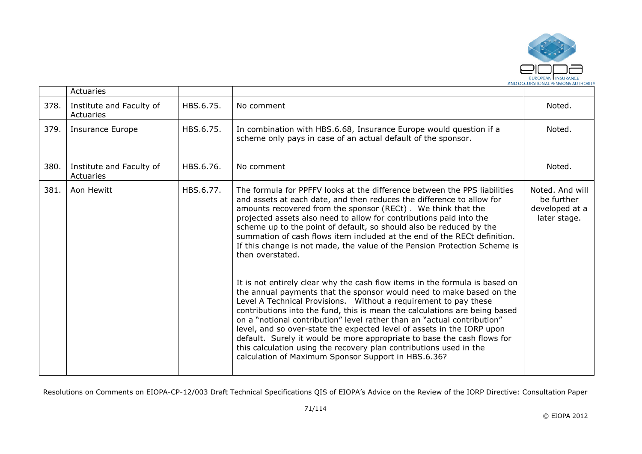

|      | Actuaries                             |           |                                                                                                                                                                                                                                                                                                                                                                                                                                                                                                                                                                                                                                                                                                                                                                                                                                                                                                                                                                                                                                                                                                                                                                                                                     |                                                                 |
|------|---------------------------------------|-----------|---------------------------------------------------------------------------------------------------------------------------------------------------------------------------------------------------------------------------------------------------------------------------------------------------------------------------------------------------------------------------------------------------------------------------------------------------------------------------------------------------------------------------------------------------------------------------------------------------------------------------------------------------------------------------------------------------------------------------------------------------------------------------------------------------------------------------------------------------------------------------------------------------------------------------------------------------------------------------------------------------------------------------------------------------------------------------------------------------------------------------------------------------------------------------------------------------------------------|-----------------------------------------------------------------|
| 378. | Institute and Faculty of<br>Actuaries | HBS.6.75. | No comment                                                                                                                                                                                                                                                                                                                                                                                                                                                                                                                                                                                                                                                                                                                                                                                                                                                                                                                                                                                                                                                                                                                                                                                                          | Noted.                                                          |
| 379. | <b>Insurance Europe</b>               | HBS.6.75. | In combination with HBS.6.68, Insurance Europe would question if a<br>scheme only pays in case of an actual default of the sponsor.                                                                                                                                                                                                                                                                                                                                                                                                                                                                                                                                                                                                                                                                                                                                                                                                                                                                                                                                                                                                                                                                                 | Noted.                                                          |
| 380. | Institute and Faculty of<br>Actuaries | HBS.6.76. | No comment                                                                                                                                                                                                                                                                                                                                                                                                                                                                                                                                                                                                                                                                                                                                                                                                                                                                                                                                                                                                                                                                                                                                                                                                          | Noted.                                                          |
| 381. | Aon Hewitt                            | HBS.6.77. | The formula for PPFFV looks at the difference between the PPS liabilities<br>and assets at each date, and then reduces the difference to allow for<br>amounts recovered from the sponsor (RECt). We think that the<br>projected assets also need to allow for contributions paid into the<br>scheme up to the point of default, so should also be reduced by the<br>summation of cash flows item included at the end of the RECt definition.<br>If this change is not made, the value of the Pension Protection Scheme is<br>then overstated.<br>It is not entirely clear why the cash flow items in the formula is based on<br>the annual payments that the sponsor would need to make based on the<br>Level A Technical Provisions. Without a requirement to pay these<br>contributions into the fund, this is mean the calculations are being based<br>on a "notional contribution" level rather than an "actual contribution"<br>level, and so over-state the expected level of assets in the IORP upon<br>default. Surely it would be more appropriate to base the cash flows for<br>this calculation using the recovery plan contributions used in the<br>calculation of Maximum Sponsor Support in HBS.6.36? | Noted. And will<br>be further<br>developed at a<br>later stage. |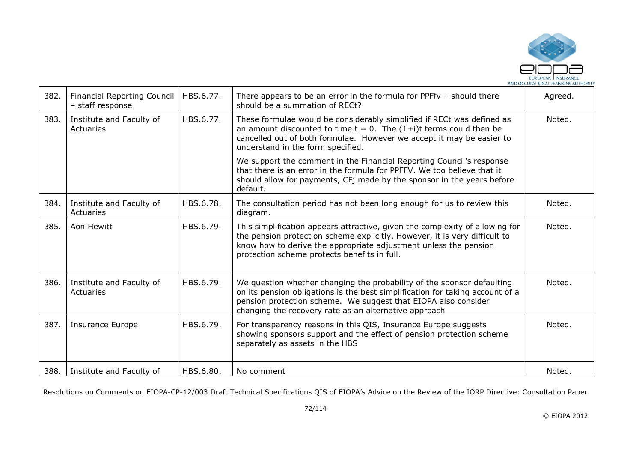

| 382. | <b>Financial Reporting Council</b><br>- staff response | HBS.6.77. | There appears to be an error in the formula for PPFfv $-$ should there<br>should be a summation of RECt?                                                                                                                                                                           | Agreed. |
|------|--------------------------------------------------------|-----------|------------------------------------------------------------------------------------------------------------------------------------------------------------------------------------------------------------------------------------------------------------------------------------|---------|
| 383. | Institute and Faculty of<br>Actuaries                  | HBS.6.77. | These formulae would be considerably simplified if RECt was defined as<br>an amount discounted to time $t = 0$ . The $(1+i)t$ terms could then be<br>cancelled out of both formulae. However we accept it may be easier to<br>understand in the form specified.                    | Noted.  |
|      |                                                        |           | We support the comment in the Financial Reporting Council's response<br>that there is an error in the formula for PPFFV. We too believe that it<br>should allow for payments, CFj made by the sponsor in the years before<br>default.                                              |         |
| 384. | Institute and Faculty of<br>Actuaries                  | HBS.6.78. | The consultation period has not been long enough for us to review this<br>diagram.                                                                                                                                                                                                 | Noted.  |
| 385. | Aon Hewitt                                             | HBS.6.79. | This simplification appears attractive, given the complexity of allowing for<br>the pension protection scheme explicitly. However, it is very difficult to<br>know how to derive the appropriate adjustment unless the pension<br>protection scheme protects benefits in full.     | Noted.  |
| 386. | Institute and Faculty of<br>Actuaries                  | HBS.6.79. | We question whether changing the probability of the sponsor defaulting<br>on its pension obligations is the best simplification for taking account of a<br>pension protection scheme. We suggest that EIOPA also consider<br>changing the recovery rate as an alternative approach | Noted.  |
| 387. | <b>Insurance Europe</b>                                | HBS.6.79. | For transparency reasons in this QIS, Insurance Europe suggests<br>showing sponsors support and the effect of pension protection scheme<br>separately as assets in the HBS                                                                                                         | Noted.  |
| 388. | Institute and Faculty of                               | HBS.6.80. | No comment                                                                                                                                                                                                                                                                         | Noted.  |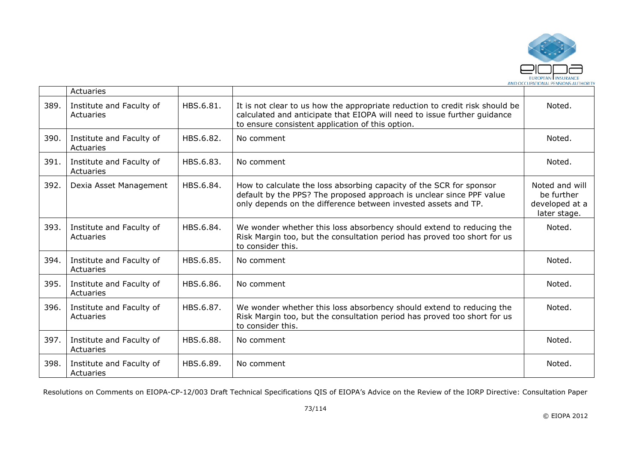

|      | Actuaries                             |           |                                                                                                                                                                                                               |                                                                |
|------|---------------------------------------|-----------|---------------------------------------------------------------------------------------------------------------------------------------------------------------------------------------------------------------|----------------------------------------------------------------|
| 389. | Institute and Faculty of<br>Actuaries | HBS.6.81. | It is not clear to us how the appropriate reduction to credit risk should be<br>calculated and anticipate that EIOPA will need to issue further guidance<br>to ensure consistent application of this option.  | Noted.                                                         |
| 390. | Institute and Faculty of<br>Actuaries | HBS.6.82. | No comment                                                                                                                                                                                                    | Noted.                                                         |
| 391. | Institute and Faculty of<br>Actuaries | HBS.6.83. | No comment                                                                                                                                                                                                    | Noted.                                                         |
| 392. | Dexia Asset Management                | HBS.6.84. | How to calculate the loss absorbing capacity of the SCR for sponsor<br>default by the PPS? The proposed approach is unclear since PPF value<br>only depends on the difference between invested assets and TP. | Noted and will<br>be further<br>developed at a<br>later stage. |
| 393. | Institute and Faculty of<br>Actuaries | HBS.6.84. | We wonder whether this loss absorbency should extend to reducing the<br>Risk Margin too, but the consultation period has proved too short for us<br>to consider this.                                         | Noted.                                                         |
| 394. | Institute and Faculty of<br>Actuaries | HBS.6.85. | No comment                                                                                                                                                                                                    | Noted.                                                         |
| 395. | Institute and Faculty of<br>Actuaries | HBS.6.86. | No comment                                                                                                                                                                                                    | Noted.                                                         |
| 396. | Institute and Faculty of<br>Actuaries | HBS.6.87. | We wonder whether this loss absorbency should extend to reducing the<br>Risk Margin too, but the consultation period has proved too short for us<br>to consider this.                                         | Noted.                                                         |
| 397. | Institute and Faculty of<br>Actuaries | HBS.6.88. | No comment                                                                                                                                                                                                    | Noted.                                                         |
| 398. | Institute and Faculty of<br>Actuaries | HBS.6.89. | No comment                                                                                                                                                                                                    | Noted.                                                         |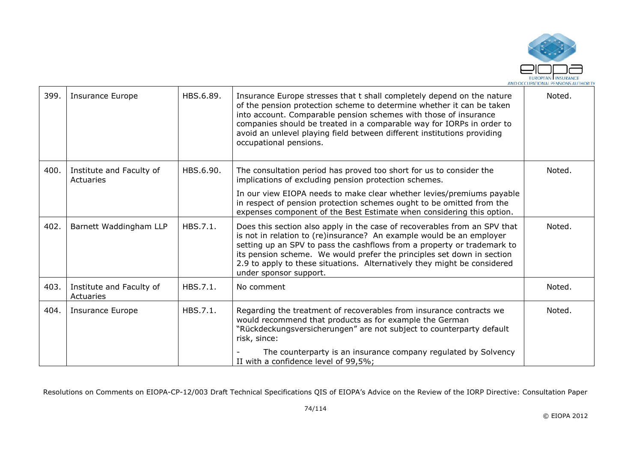

| 399. | <b>Insurance Europe</b>               | HBS.6.89. | Insurance Europe stresses that t shall completely depend on the nature<br>of the pension protection scheme to determine whether it can be taken<br>into account. Comparable pension schemes with those of insurance<br>companies should be treated in a comparable way for IORPs in order to<br>avoid an unlevel playing field between different institutions providing<br>occupational pensions.            | Noted. |
|------|---------------------------------------|-----------|--------------------------------------------------------------------------------------------------------------------------------------------------------------------------------------------------------------------------------------------------------------------------------------------------------------------------------------------------------------------------------------------------------------|--------|
| 400. | Institute and Faculty of<br>Actuaries | HBS.6.90. | The consultation period has proved too short for us to consider the<br>implications of excluding pension protection schemes.                                                                                                                                                                                                                                                                                 | Noted. |
|      |                                       |           | In our view EIOPA needs to make clear whether levies/premiums payable<br>in respect of pension protection schemes ought to be omitted from the<br>expenses component of the Best Estimate when considering this option.                                                                                                                                                                                      |        |
| 402. | Barnett Waddingham LLP                | HBS.7.1.  | Does this section also apply in the case of recoverables from an SPV that<br>is not in relation to (re)insurance? An example would be an employer<br>setting up an SPV to pass the cashflows from a property or trademark to<br>its pension scheme. We would prefer the principles set down in section<br>2.9 to apply to these situations. Alternatively they might be considered<br>under sponsor support. | Noted. |
| 403. | Institute and Faculty of<br>Actuaries | HBS.7.1.  | No comment                                                                                                                                                                                                                                                                                                                                                                                                   | Noted. |
| 404. | <b>Insurance Europe</b>               | HBS.7.1.  | Regarding the treatment of recoverables from insurance contracts we<br>would recommend that products as for example the German<br>"Rückdeckungsversicherungen" are not subject to counterparty default<br>risk, since:                                                                                                                                                                                       | Noted. |
|      |                                       |           | The counterparty is an insurance company regulated by Solvency<br>II with a confidence level of 99,5%;                                                                                                                                                                                                                                                                                                       |        |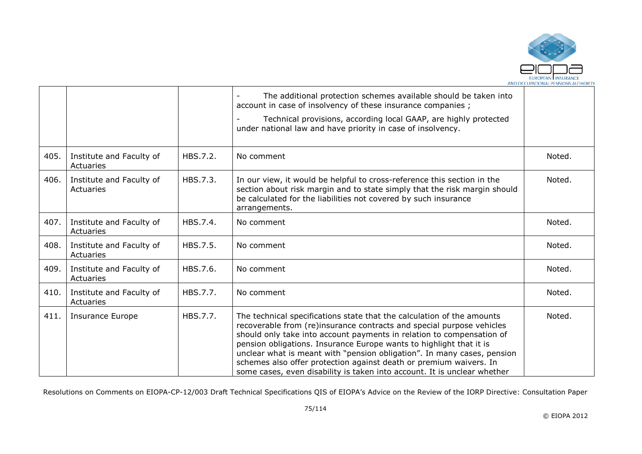

|      |                                       |          | The additional protection schemes available should be taken into<br>account in case of insolvency of these insurance companies;<br>Technical provisions, according local GAAP, are highly protected<br>under national law and have priority in case of insolvency.                                                                                                                                                                                                                                                           |        |
|------|---------------------------------------|----------|------------------------------------------------------------------------------------------------------------------------------------------------------------------------------------------------------------------------------------------------------------------------------------------------------------------------------------------------------------------------------------------------------------------------------------------------------------------------------------------------------------------------------|--------|
| 405. | Institute and Faculty of<br>Actuaries | HBS.7.2. | No comment                                                                                                                                                                                                                                                                                                                                                                                                                                                                                                                   | Noted. |
| 406. | Institute and Faculty of<br>Actuaries | HBS.7.3. | In our view, it would be helpful to cross-reference this section in the<br>section about risk margin and to state simply that the risk margin should<br>be calculated for the liabilities not covered by such insurance<br>arrangements.                                                                                                                                                                                                                                                                                     | Noted. |
| 407. | Institute and Faculty of<br>Actuaries | HBS.7.4. | No comment                                                                                                                                                                                                                                                                                                                                                                                                                                                                                                                   | Noted. |
| 408. | Institute and Faculty of<br>Actuaries | HBS.7.5. | No comment                                                                                                                                                                                                                                                                                                                                                                                                                                                                                                                   | Noted. |
| 409. | Institute and Faculty of<br>Actuaries | HBS.7.6. | No comment                                                                                                                                                                                                                                                                                                                                                                                                                                                                                                                   | Noted. |
| 410. | Institute and Faculty of<br>Actuaries | HBS.7.7. | No comment                                                                                                                                                                                                                                                                                                                                                                                                                                                                                                                   | Noted. |
| 411. | <b>Insurance Europe</b>               | HBS.7.7. | The technical specifications state that the calculation of the amounts<br>recoverable from (re)insurance contracts and special purpose vehicles<br>should only take into account payments in relation to compensation of<br>pension obligations. Insurance Europe wants to highlight that it is<br>unclear what is meant with "pension obligation". In many cases, pension<br>schemes also offer protection against death or premium waivers. In<br>some cases, even disability is taken into account. It is unclear whether | Noted. |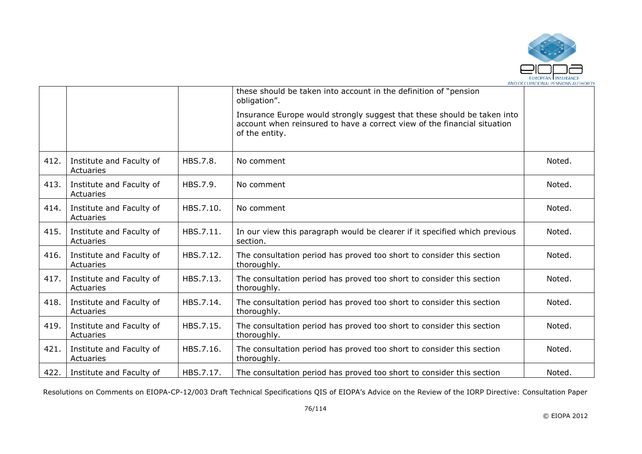

|      |                                       |           | these should be taken into account in the definition of "pension"<br>obligation".                                                                                     |        |
|------|---------------------------------------|-----------|-----------------------------------------------------------------------------------------------------------------------------------------------------------------------|--------|
|      |                                       |           | Insurance Europe would strongly suggest that these should be taken into<br>account when reinsured to have a correct view of the financial situation<br>of the entity. |        |
| 412. | Institute and Faculty of<br>Actuaries | HBS.7.8.  | No comment                                                                                                                                                            | Noted. |
| 413. | Institute and Faculty of<br>Actuaries | HBS.7.9.  | No comment                                                                                                                                                            | Noted. |
| 414. | Institute and Faculty of<br>Actuaries | HBS.7.10. | No comment                                                                                                                                                            | Noted. |
| 415. | Institute and Faculty of<br>Actuaries | HBS.7.11. | In our view this paragraph would be clearer if it specified which previous<br>section.                                                                                | Noted. |
| 416. | Institute and Faculty of<br>Actuaries | HBS.7.12. | The consultation period has proved too short to consider this section<br>thoroughly.                                                                                  | Noted. |
| 417. | Institute and Faculty of<br>Actuaries | HBS.7.13. | The consultation period has proved too short to consider this section<br>thoroughly.                                                                                  | Noted. |
| 418. | Institute and Faculty of<br>Actuaries | HBS.7.14. | The consultation period has proved too short to consider this section<br>thoroughly.                                                                                  | Noted. |
| 419. | Institute and Faculty of<br>Actuaries | HBS.7.15. | The consultation period has proved too short to consider this section<br>thoroughly.                                                                                  | Noted. |
| 421. | Institute and Faculty of<br>Actuaries | HBS.7.16. | The consultation period has proved too short to consider this section<br>thoroughly.                                                                                  | Noted. |
|      | 422. Institute and Faculty of         | HBS.7.17. | The consultation period has proved too short to consider this section                                                                                                 | Noted. |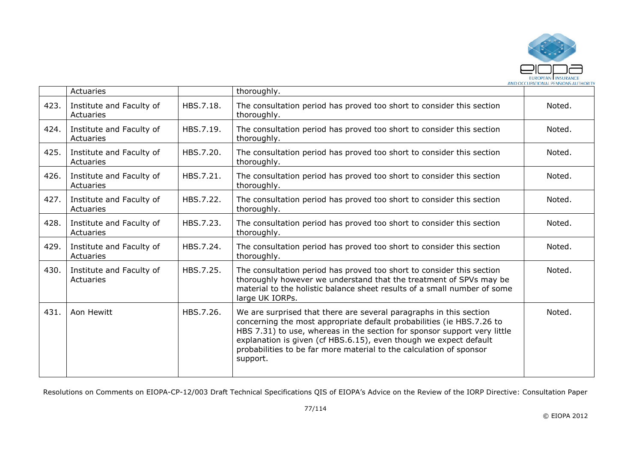

|      | Actuaries                             |           | thoroughly.                                                                                                                                                                                                                                                                                                                                                                     |        |
|------|---------------------------------------|-----------|---------------------------------------------------------------------------------------------------------------------------------------------------------------------------------------------------------------------------------------------------------------------------------------------------------------------------------------------------------------------------------|--------|
| 423. | Institute and Faculty of<br>Actuaries | HBS.7.18. | The consultation period has proved too short to consider this section<br>thoroughly.                                                                                                                                                                                                                                                                                            | Noted. |
| 424. | Institute and Faculty of<br>Actuaries | HBS.7.19. | The consultation period has proved too short to consider this section<br>thoroughly.                                                                                                                                                                                                                                                                                            | Noted. |
| 425. | Institute and Faculty of<br>Actuaries | HBS.7.20. | The consultation period has proved too short to consider this section<br>thoroughly.                                                                                                                                                                                                                                                                                            | Noted. |
| 426. | Institute and Faculty of<br>Actuaries | HBS.7.21. | The consultation period has proved too short to consider this section<br>thoroughly.                                                                                                                                                                                                                                                                                            | Noted. |
| 427. | Institute and Faculty of<br>Actuaries | HBS.7.22. | The consultation period has proved too short to consider this section<br>thoroughly.                                                                                                                                                                                                                                                                                            | Noted. |
| 428. | Institute and Faculty of<br>Actuaries | HBS.7.23. | The consultation period has proved too short to consider this section<br>thoroughly.                                                                                                                                                                                                                                                                                            | Noted. |
| 429. | Institute and Faculty of<br>Actuaries | HBS.7.24. | The consultation period has proved too short to consider this section<br>thoroughly.                                                                                                                                                                                                                                                                                            | Noted. |
| 430. | Institute and Faculty of<br>Actuaries | HBS.7.25. | The consultation period has proved too short to consider this section<br>thoroughly however we understand that the treatment of SPVs may be<br>material to the holistic balance sheet results of a small number of some<br>large UK IORPs.                                                                                                                                      | Noted. |
| 431. | Aon Hewitt                            | HBS.7.26. | We are surprised that there are several paragraphs in this section<br>concerning the most appropriate default probabilities (ie HBS.7.26 to<br>HBS 7.31) to use, whereas in the section for sponsor support very little<br>explanation is given (cf HBS.6.15), even though we expect default<br>probabilities to be far more material to the calculation of sponsor<br>support. | Noted. |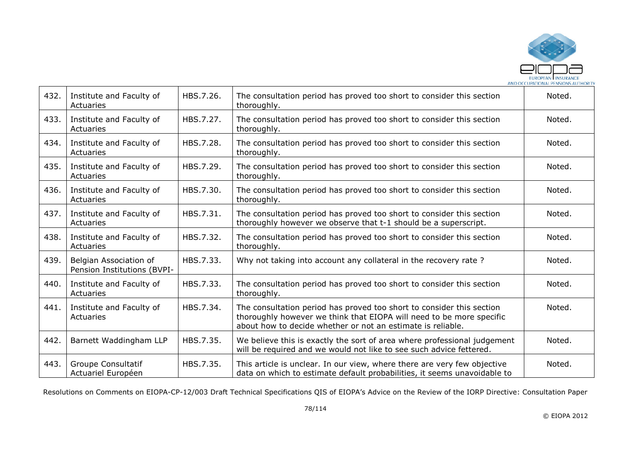

| 432. | Institute and Faculty of<br>Actuaries                 | HBS.7.26. | The consultation period has proved too short to consider this section<br>thoroughly.                                                                                                                         | Noted. |
|------|-------------------------------------------------------|-----------|--------------------------------------------------------------------------------------------------------------------------------------------------------------------------------------------------------------|--------|
| 433. | Institute and Faculty of<br>Actuaries                 | HBS.7.27. | The consultation period has proved too short to consider this section<br>thoroughly.                                                                                                                         | Noted. |
| 434. | Institute and Faculty of<br>Actuaries                 | HBS.7.28. | The consultation period has proved too short to consider this section<br>thoroughly.                                                                                                                         | Noted. |
| 435. | Institute and Faculty of<br>Actuaries                 | HBS.7.29. | The consultation period has proved too short to consider this section<br>thoroughly.                                                                                                                         | Noted. |
| 436. | Institute and Faculty of<br>Actuaries                 | HBS.7.30. | The consultation period has proved too short to consider this section<br>thoroughly.                                                                                                                         | Noted. |
| 437. | Institute and Faculty of<br>Actuaries                 | HBS.7.31. | The consultation period has proved too short to consider this section<br>thoroughly however we observe that t-1 should be a superscript.                                                                     | Noted. |
| 438. | Institute and Faculty of<br>Actuaries                 | HBS.7.32. | The consultation period has proved too short to consider this section<br>thoroughly.                                                                                                                         | Noted. |
| 439. | Belgian Association of<br>Pension Institutions (BVPI- | HBS.7.33. | Why not taking into account any collateral in the recovery rate?                                                                                                                                             | Noted. |
| 440. | Institute and Faculty of<br>Actuaries                 | HBS.7.33. | The consultation period has proved too short to consider this section<br>thoroughly.                                                                                                                         | Noted. |
| 441. | Institute and Faculty of<br>Actuaries                 | HBS.7.34. | The consultation period has proved too short to consider this section<br>thoroughly however we think that EIOPA will need to be more specific<br>about how to decide whether or not an estimate is reliable. | Noted. |
| 442. | Barnett Waddingham LLP                                | HBS.7.35. | We believe this is exactly the sort of area where professional judgement<br>will be required and we would not like to see such advice fettered.                                                              | Noted. |
| 443. | Groupe Consultatif<br>Actuariel Européen              | HBS.7.35. | This article is unclear. In our view, where there are very few objective<br>data on which to estimate default probabilities, it seems unavoidable to                                                         | Noted. |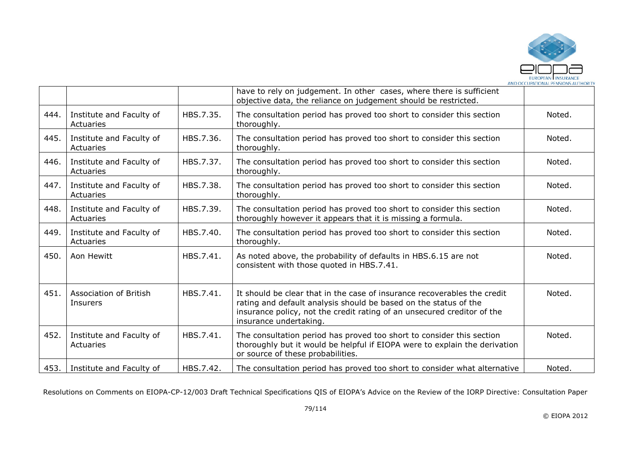

|      |                                       |           | have to rely on judgement. In other cases, where there is sufficient<br>objective data, the reliance on judgement should be restricted.                                                                                                           |        |
|------|---------------------------------------|-----------|---------------------------------------------------------------------------------------------------------------------------------------------------------------------------------------------------------------------------------------------------|--------|
| 444. | Institute and Faculty of<br>Actuaries | HBS.7.35. | The consultation period has proved too short to consider this section<br>thoroughly.                                                                                                                                                              | Noted. |
| 445. | Institute and Faculty of<br>Actuaries | HBS.7.36. | The consultation period has proved too short to consider this section<br>thoroughly.                                                                                                                                                              | Noted. |
| 446. | Institute and Faculty of<br>Actuaries | HBS.7.37. | The consultation period has proved too short to consider this section<br>thoroughly.                                                                                                                                                              | Noted. |
| 447. | Institute and Faculty of<br>Actuaries | HBS.7.38. | The consultation period has proved too short to consider this section<br>thoroughly.                                                                                                                                                              | Noted. |
| 448. | Institute and Faculty of<br>Actuaries | HBS.7.39. | The consultation period has proved too short to consider this section<br>thoroughly however it appears that it is missing a formula.                                                                                                              | Noted. |
| 449. | Institute and Faculty of<br>Actuaries | HBS.7.40. | The consultation period has proved too short to consider this section<br>thoroughly.                                                                                                                                                              | Noted. |
| 450. | Aon Hewitt                            | HBS.7.41. | As noted above, the probability of defaults in HBS.6.15 are not<br>consistent with those quoted in HBS.7.41.                                                                                                                                      | Noted. |
| 451. | Association of British<br>Insurers    | HBS.7.41. | It should be clear that in the case of insurance recoverables the credit<br>rating and default analysis should be based on the status of the<br>insurance policy, not the credit rating of an unsecured creditor of the<br>insurance undertaking. | Noted. |
| 452. | Institute and Faculty of<br>Actuaries | HBS.7.41. | The consultation period has proved too short to consider this section<br>thoroughly but it would be helpful if EIOPA were to explain the derivation<br>or source of these probabilities.                                                          | Noted. |
| 453. | Institute and Faculty of              | HBS.7.42. | The consultation period has proved too short to consider what alternative                                                                                                                                                                         | Noted. |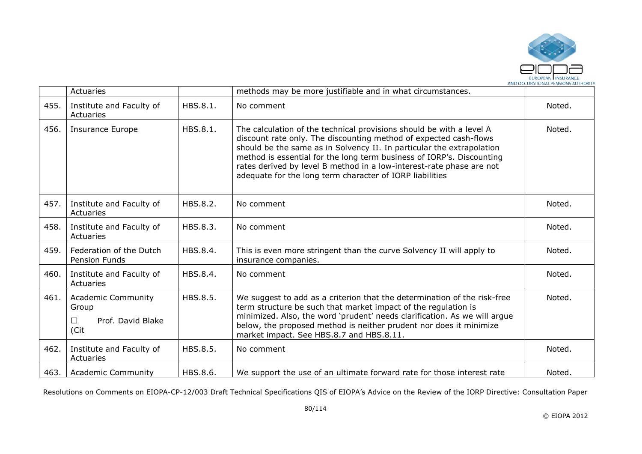

|      | Actuaries                                                                       |          | methods may be more justifiable and in what circumstances.                                                                                                                                                                                                                                                                                                                                                                      |        |
|------|---------------------------------------------------------------------------------|----------|---------------------------------------------------------------------------------------------------------------------------------------------------------------------------------------------------------------------------------------------------------------------------------------------------------------------------------------------------------------------------------------------------------------------------------|--------|
| 455. | Institute and Faculty of<br>Actuaries                                           | HBS.8.1. | No comment                                                                                                                                                                                                                                                                                                                                                                                                                      | Noted. |
| 456. | <b>Insurance Europe</b>                                                         | HBS.8.1. | The calculation of the technical provisions should be with a level A<br>discount rate only. The discounting method of expected cash-flows<br>should be the same as in Solvency II. In particular the extrapolation<br>method is essential for the long term business of IORP's. Discounting<br>rates derived by level B method in a low-interest-rate phase are not<br>adequate for the long term character of IORP liabilities | Noted. |
| 457. | Institute and Faculty of<br>Actuaries                                           | HBS.8.2. | No comment                                                                                                                                                                                                                                                                                                                                                                                                                      | Noted. |
| 458. | Institute and Faculty of<br>Actuaries                                           | HBS.8.3. | No comment                                                                                                                                                                                                                                                                                                                                                                                                                      | Noted. |
| 459. | Federation of the Dutch<br>Pension Funds                                        | HBS.8.4. | This is even more stringent than the curve Solvency II will apply to<br>insurance companies.                                                                                                                                                                                                                                                                                                                                    | Noted. |
| 460. | Institute and Faculty of<br>Actuaries                                           | HBS.8.4. | No comment                                                                                                                                                                                                                                                                                                                                                                                                                      | Noted. |
| 461. | <b>Academic Community</b><br>Group<br>Prof. David Blake<br>$\mathsf{L}$<br>(Cit | HBS.8.5. | We suggest to add as a criterion that the determination of the risk-free<br>term structure be such that market impact of the regulation is<br>minimized. Also, the word 'prudent' needs clarification. As we will argue<br>below, the proposed method is neither prudent nor does it minimize<br>market impact. See HBS.8.7 and HBS.8.11.                                                                                       | Noted. |
| 462. | Institute and Faculty of<br>Actuaries                                           | HBS.8.5. | No comment                                                                                                                                                                                                                                                                                                                                                                                                                      | Noted. |
| 463. | <b>Academic Community</b>                                                       | HBS.8.6. | We support the use of an ultimate forward rate for those interest rate                                                                                                                                                                                                                                                                                                                                                          | Noted. |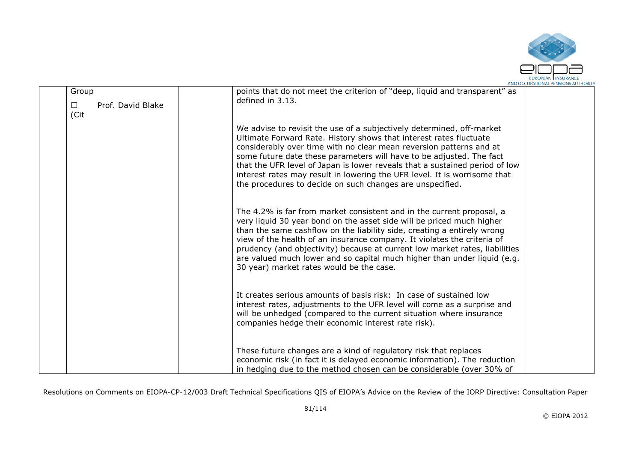

|                                              | AND OCCUPATIONAL PENSIONS AUTHORI                                                                                                                                                                                                                                                                                                                                                                                                                                                                                   |
|----------------------------------------------|---------------------------------------------------------------------------------------------------------------------------------------------------------------------------------------------------------------------------------------------------------------------------------------------------------------------------------------------------------------------------------------------------------------------------------------------------------------------------------------------------------------------|
| Group<br>Prof. David Blake<br>$\Box$<br>(Cit | points that do not meet the criterion of "deep, liquid and transparent" as<br>defined in 3.13.                                                                                                                                                                                                                                                                                                                                                                                                                      |
|                                              | We advise to revisit the use of a subjectively determined, off-market<br>Ultimate Forward Rate. History shows that interest rates fluctuate<br>considerably over time with no clear mean reversion patterns and at<br>some future date these parameters will have to be adjusted. The fact<br>that the UFR level of Japan is lower reveals that a sustained period of low<br>interest rates may result in lowering the UFR level. It is worrisome that<br>the procedures to decide on such changes are unspecified. |
|                                              | The 4.2% is far from market consistent and in the current proposal, a<br>very liquid 30 year bond on the asset side will be priced much higher<br>than the same cashflow on the liability side, creating a entirely wrong<br>view of the health of an insurance company. It violates the criteria of<br>prudency (and objectivity) because at current low market rates, liabilities<br>are valued much lower and so capital much higher than under liquid (e.g.<br>30 year) market rates would be the case.         |
|                                              | It creates serious amounts of basis risk: In case of sustained low<br>interest rates, adjustments to the UFR level will come as a surprise and<br>will be unhedged (compared to the current situation where insurance<br>companies hedge their economic interest rate risk).                                                                                                                                                                                                                                        |
|                                              | These future changes are a kind of regulatory risk that replaces<br>economic risk (in fact it is delayed economic information). The reduction<br>in hedging due to the method chosen can be considerable (over 30% of                                                                                                                                                                                                                                                                                               |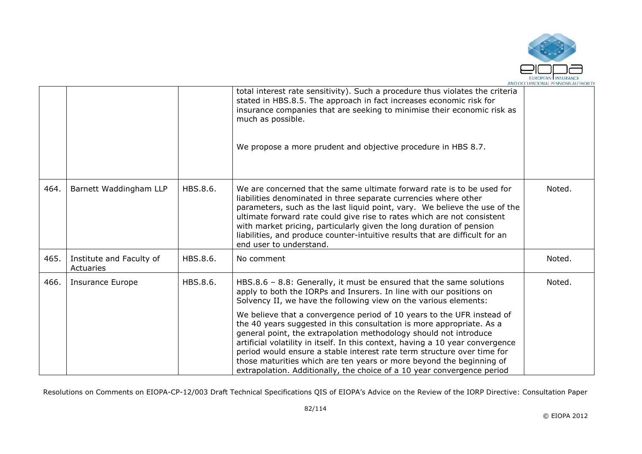

|      |                                       |          | total interest rate sensitivity). Such a procedure thus violates the criteria<br>stated in HBS.8.5. The approach in fact increases economic risk for<br>insurance companies that are seeking to minimise their economic risk as<br>much as possible.<br>We propose a more prudent and objective procedure in HBS 8.7.                                                                                                                                                                                                                |        |
|------|---------------------------------------|----------|--------------------------------------------------------------------------------------------------------------------------------------------------------------------------------------------------------------------------------------------------------------------------------------------------------------------------------------------------------------------------------------------------------------------------------------------------------------------------------------------------------------------------------------|--------|
| 464. | Barnett Waddingham LLP                | HBS.8.6. | We are concerned that the same ultimate forward rate is to be used for<br>liabilities denominated in three separate currencies where other<br>parameters, such as the last liquid point, vary. We believe the use of the<br>ultimate forward rate could give rise to rates which are not consistent<br>with market pricing, particularly given the long duration of pension<br>liabilities, and produce counter-intuitive results that are difficult for an                                                                          | Noted. |
|      |                                       |          | end user to understand.                                                                                                                                                                                                                                                                                                                                                                                                                                                                                                              |        |
| 465. | Institute and Faculty of<br>Actuaries | HBS.8.6. | No comment                                                                                                                                                                                                                                                                                                                                                                                                                                                                                                                           | Noted. |
| 466. | <b>Insurance Europe</b>               | HBS.8.6. | HBS.8.6 - 8.8: Generally, it must be ensured that the same solutions<br>apply to both the IORPs and Insurers. In line with our positions on<br>Solvency II, we have the following view on the various elements:                                                                                                                                                                                                                                                                                                                      | Noted. |
|      |                                       |          | We believe that a convergence period of 10 years to the UFR instead of<br>the 40 years suggested in this consultation is more appropriate. As a<br>general point, the extrapolation methodology should not introduce<br>artificial volatility in itself. In this context, having a 10 year convergence<br>period would ensure a stable interest rate term structure over time for<br>those maturities which are ten years or more beyond the beginning of<br>extrapolation. Additionally, the choice of a 10 year convergence period |        |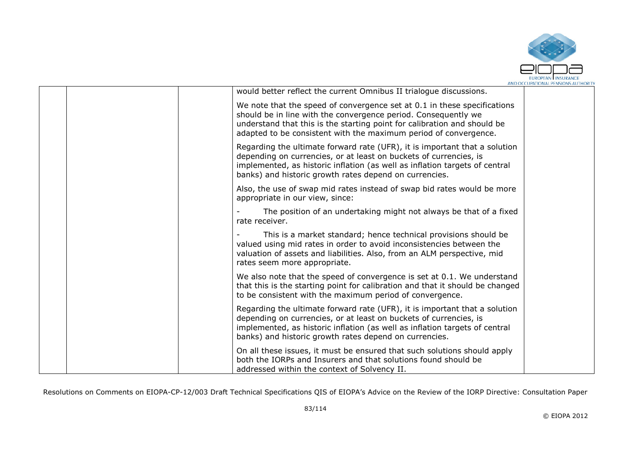

|  | would better reflect the current Omnibus II trialogue discussions.                                                                                                                                                                                                                         |  |
|--|--------------------------------------------------------------------------------------------------------------------------------------------------------------------------------------------------------------------------------------------------------------------------------------------|--|
|  | We note that the speed of convergence set at 0.1 in these specifications<br>should be in line with the convergence period. Consequently we<br>understand that this is the starting point for calibration and should be<br>adapted to be consistent with the maximum period of convergence. |  |
|  | Regarding the ultimate forward rate (UFR), it is important that a solution<br>depending on currencies, or at least on buckets of currencies, is<br>implemented, as historic inflation (as well as inflation targets of central<br>banks) and historic growth rates depend on currencies.   |  |
|  | Also, the use of swap mid rates instead of swap bid rates would be more<br>appropriate in our view, since:                                                                                                                                                                                 |  |
|  | The position of an undertaking might not always be that of a fixed<br>rate receiver.                                                                                                                                                                                                       |  |
|  | This is a market standard; hence technical provisions should be<br>valued using mid rates in order to avoid inconsistencies between the<br>valuation of assets and liabilities. Also, from an ALM perspective, mid<br>rates seem more appropriate.                                         |  |
|  | We also note that the speed of convergence is set at 0.1. We understand<br>that this is the starting point for calibration and that it should be changed<br>to be consistent with the maximum period of convergence.                                                                       |  |
|  | Regarding the ultimate forward rate (UFR), it is important that a solution<br>depending on currencies, or at least on buckets of currencies, is<br>implemented, as historic inflation (as well as inflation targets of central<br>banks) and historic growth rates depend on currencies.   |  |
|  | On all these issues, it must be ensured that such solutions should apply<br>both the IORPs and Insurers and that solutions found should be<br>addressed within the context of Solvency II.                                                                                                 |  |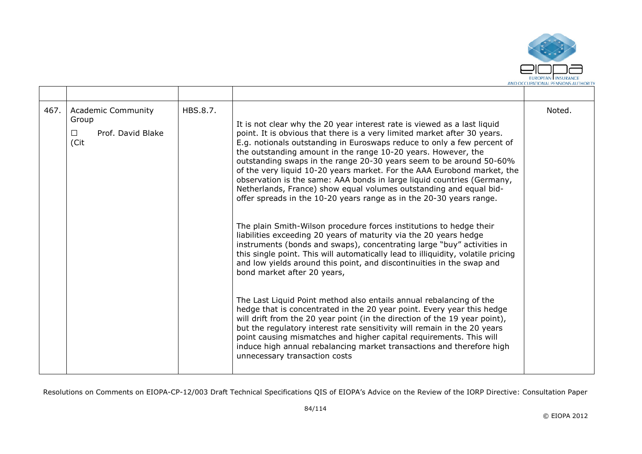

| 467. | <b>Academic Community</b><br>Group<br>Prof. David Blake<br>$\Box$<br>(Cit | HBS.8.7. | It is not clear why the 20 year interest rate is viewed as a last liquid<br>point. It is obvious that there is a very limited market after 30 years.<br>E.g. notionals outstanding in Euroswaps reduce to only a few percent of<br>the outstanding amount in the range 10-20 years. However, the<br>outstanding swaps in the range 20-30 years seem to be around 50-60%<br>of the very liquid 10-20 years market. For the AAA Eurobond market, the<br>observation is the same: AAA bonds in large liquid countries (Germany,<br>Netherlands, France) show equal volumes outstanding and equal bid-<br>offer spreads in the 10-20 years range as in the 20-30 years range.<br>The plain Smith-Wilson procedure forces institutions to hedge their<br>liabilities exceeding 20 years of maturity via the 20 years hedge<br>instruments (bonds and swaps), concentrating large "buy" activities in<br>this single point. This will automatically lead to illiquidity, volatile pricing<br>and low yields around this point, and discontinuities in the swap and<br>bond market after 20 years,<br>The Last Liquid Point method also entails annual rebalancing of the<br>hedge that is concentrated in the 20 year point. Every year this hedge<br>will drift from the 20 year point (in the direction of the 19 year point),<br>but the regulatory interest rate sensitivity will remain in the 20 years<br>point causing mismatches and higher capital requirements. This will<br>induce high annual rebalancing market transactions and therefore high<br>unnecessary transaction costs | Noted. |
|------|---------------------------------------------------------------------------|----------|-----------------------------------------------------------------------------------------------------------------------------------------------------------------------------------------------------------------------------------------------------------------------------------------------------------------------------------------------------------------------------------------------------------------------------------------------------------------------------------------------------------------------------------------------------------------------------------------------------------------------------------------------------------------------------------------------------------------------------------------------------------------------------------------------------------------------------------------------------------------------------------------------------------------------------------------------------------------------------------------------------------------------------------------------------------------------------------------------------------------------------------------------------------------------------------------------------------------------------------------------------------------------------------------------------------------------------------------------------------------------------------------------------------------------------------------------------------------------------------------------------------------------------------------------------------------------------------------|--------|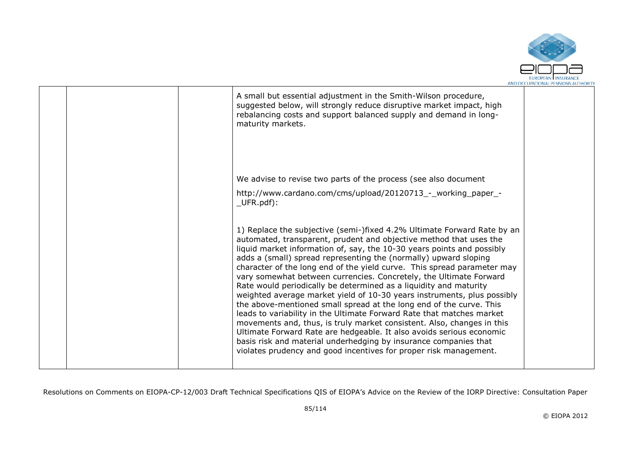

|  | A small but essential adjustment in the Smith-Wilson procedure,<br>suggested below, will strongly reduce disruptive market impact, high<br>rebalancing costs and support balanced supply and demand in long-<br>maturity markets.                                                                                                                                                                                                                                                                                                                                                                                                                                                                                                                                                                                                                                                                                                                                                                                                       |  |
|--|-----------------------------------------------------------------------------------------------------------------------------------------------------------------------------------------------------------------------------------------------------------------------------------------------------------------------------------------------------------------------------------------------------------------------------------------------------------------------------------------------------------------------------------------------------------------------------------------------------------------------------------------------------------------------------------------------------------------------------------------------------------------------------------------------------------------------------------------------------------------------------------------------------------------------------------------------------------------------------------------------------------------------------------------|--|
|  | We advise to revise two parts of the process (see also document<br>http://www.cardano.com/cms/upload/20120713_-_working_paper_-<br>$UFR.pdf$ :                                                                                                                                                                                                                                                                                                                                                                                                                                                                                                                                                                                                                                                                                                                                                                                                                                                                                          |  |
|  | 1) Replace the subjective (semi-)fixed 4.2% Ultimate Forward Rate by an<br>automated, transparent, prudent and objective method that uses the<br>liquid market information of, say, the 10-30 years points and possibly<br>adds a (small) spread representing the (normally) upward sloping<br>character of the long end of the yield curve. This spread parameter may<br>vary somewhat between currencies. Concretely, the Ultimate Forward<br>Rate would periodically be determined as a liquidity and maturity<br>weighted average market yield of 10-30 years instruments, plus possibly<br>the above-mentioned small spread at the long end of the curve. This<br>leads to variability in the Ultimate Forward Rate that matches market<br>movements and, thus, is truly market consistent. Also, changes in this<br>Ultimate Forward Rate are hedgeable. It also avoids serious economic<br>basis risk and material underhedging by insurance companies that<br>violates prudency and good incentives for proper risk management. |  |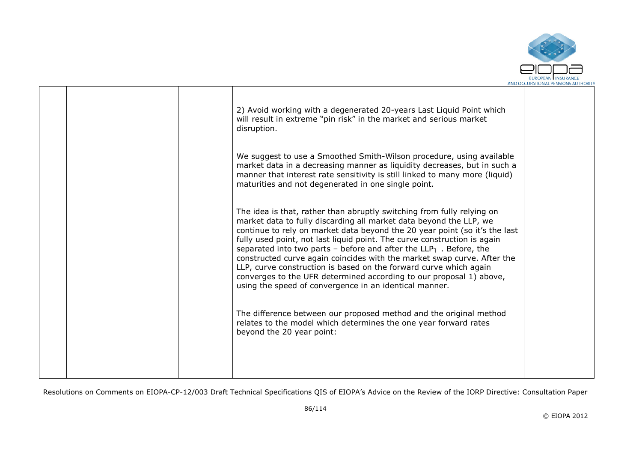

|  | 2) Avoid working with a degenerated 20-years Last Liquid Point which<br>will result in extreme "pin risk" in the market and serious market<br>disruption.                                                                                                                                                                                                                                                                                                                                                                                                                                                                                                        |  |
|--|------------------------------------------------------------------------------------------------------------------------------------------------------------------------------------------------------------------------------------------------------------------------------------------------------------------------------------------------------------------------------------------------------------------------------------------------------------------------------------------------------------------------------------------------------------------------------------------------------------------------------------------------------------------|--|
|  | We suggest to use a Smoothed Smith-Wilson procedure, using available<br>market data in a decreasing manner as liquidity decreases, but in such a<br>manner that interest rate sensitivity is still linked to many more (liquid)<br>maturities and not degenerated in one single point.                                                                                                                                                                                                                                                                                                                                                                           |  |
|  | The idea is that, rather than abruptly switching from fully relying on<br>market data to fully discarding all market data beyond the LLP, we<br>continue to rely on market data beyond the 20 year point (so it's the last<br>fully used point, not last liquid point. The curve construction is again<br>separated into two parts - before and after the $LLP_1$ . Before, the<br>constructed curve again coincides with the market swap curve. After the<br>LLP, curve construction is based on the forward curve which again<br>converges to the UFR determined according to our proposal 1) above,<br>using the speed of convergence in an identical manner. |  |
|  | The difference between our proposed method and the original method<br>relates to the model which determines the one year forward rates<br>beyond the 20 year point:                                                                                                                                                                                                                                                                                                                                                                                                                                                                                              |  |
|  |                                                                                                                                                                                                                                                                                                                                                                                                                                                                                                                                                                                                                                                                  |  |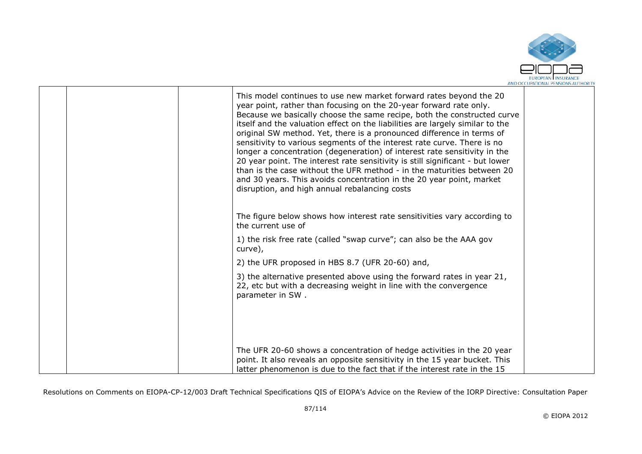

|  | This model continues to use new market forward rates beyond the 20<br>year point, rather than focusing on the 20-year forward rate only.<br>Because we basically choose the same recipe, both the constructed curve<br>itself and the valuation effect on the liabilities are largely similar to the<br>original SW method. Yet, there is a pronounced difference in terms of<br>sensitivity to various segments of the interest rate curve. There is no<br>longer a concentration (degeneration) of interest rate sensitivity in the<br>20 year point. The interest rate sensitivity is still significant - but lower<br>than is the case without the UFR method - in the maturities between 20<br>and 30 years. This avoids concentration in the 20 year point, market<br>disruption, and high annual rebalancing costs |  |
|--|---------------------------------------------------------------------------------------------------------------------------------------------------------------------------------------------------------------------------------------------------------------------------------------------------------------------------------------------------------------------------------------------------------------------------------------------------------------------------------------------------------------------------------------------------------------------------------------------------------------------------------------------------------------------------------------------------------------------------------------------------------------------------------------------------------------------------|--|
|  | The figure below shows how interest rate sensitivities vary according to<br>the current use of                                                                                                                                                                                                                                                                                                                                                                                                                                                                                                                                                                                                                                                                                                                            |  |
|  | 1) the risk free rate (called "swap curve"; can also be the AAA gov<br>curve),                                                                                                                                                                                                                                                                                                                                                                                                                                                                                                                                                                                                                                                                                                                                            |  |
|  | 2) the UFR proposed in HBS 8.7 (UFR 20-60) and,                                                                                                                                                                                                                                                                                                                                                                                                                                                                                                                                                                                                                                                                                                                                                                           |  |
|  | 3) the alternative presented above using the forward rates in year 21,<br>22, etc but with a decreasing weight in line with the convergence<br>parameter in SW.                                                                                                                                                                                                                                                                                                                                                                                                                                                                                                                                                                                                                                                           |  |
|  | The UFR 20-60 shows a concentration of hedge activities in the 20 year<br>point. It also reveals an opposite sensitivity in the 15 year bucket. This<br>latter phenomenon is due to the fact that if the interest rate in the 15                                                                                                                                                                                                                                                                                                                                                                                                                                                                                                                                                                                          |  |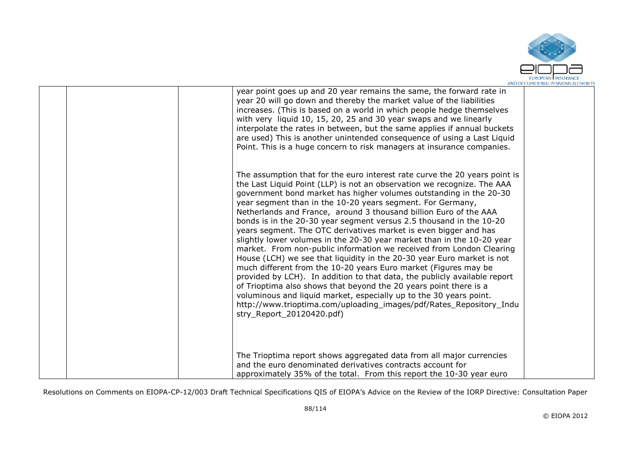

|  | year point goes up and 20 year remains the same, the forward rate in<br>year 20 will go down and thereby the market value of the liabilities<br>increases. (This is based on a world in which people hedge themselves<br>with very liquid 10, 15, 20, 25 and 30 year swaps and we linearly<br>interpolate the rates in between, but the same applies if annual buckets<br>are used) This is another unintended consequence of using a Last Liquid<br>Point. This is a huge concern to risk managers at insurance companies.                                                                                                                                                                                                                                                                                                                                                                                                                                                                                                                                                                                                          |  |
|--|--------------------------------------------------------------------------------------------------------------------------------------------------------------------------------------------------------------------------------------------------------------------------------------------------------------------------------------------------------------------------------------------------------------------------------------------------------------------------------------------------------------------------------------------------------------------------------------------------------------------------------------------------------------------------------------------------------------------------------------------------------------------------------------------------------------------------------------------------------------------------------------------------------------------------------------------------------------------------------------------------------------------------------------------------------------------------------------------------------------------------------------|--|
|  | The assumption that for the euro interest rate curve the 20 years point is<br>the Last Liquid Point (LLP) is not an observation we recognize. The AAA<br>government bond market has higher volumes outstanding in the 20-30<br>year segment than in the 10-20 years segment. For Germany,<br>Netherlands and France, around 3 thousand billion Euro of the AAA<br>bonds is in the 20-30 year segment versus 2.5 thousand in the 10-20<br>years segment. The OTC derivatives market is even bigger and has<br>slightly lower volumes in the 20-30 year market than in the 10-20 year<br>market. From non-public information we received from London Clearing<br>House (LCH) we see that liquidity in the 20-30 year Euro market is not<br>much different from the 10-20 years Euro market (Figures may be<br>provided by LCH). In addition to that data, the publicly available report<br>of Trioptima also shows that beyond the 20 years point there is a<br>voluminous and liquid market, especially up to the 30 years point.<br>http://www.trioptima.com/uploading_images/pdf/Rates_Repository_Indu<br>stry Report 20120420.pdf) |  |
|  | The Trioptima report shows aggregated data from all major currencies<br>and the euro denominated derivatives contracts account for<br>approximately 35% of the total. From this report the 10-30 year euro                                                                                                                                                                                                                                                                                                                                                                                                                                                                                                                                                                                                                                                                                                                                                                                                                                                                                                                           |  |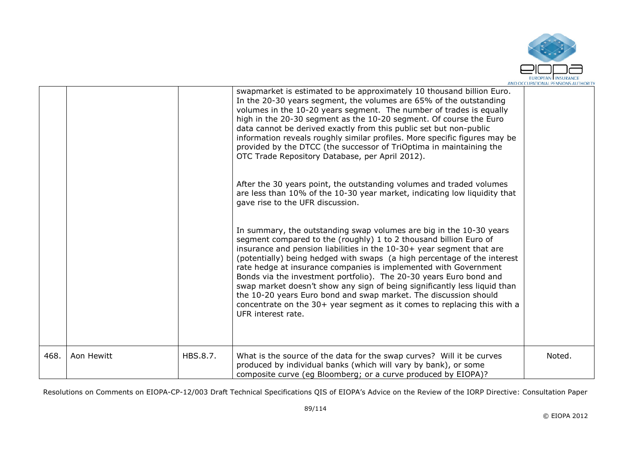

|      |            |          | swapmarket is estimated to be approximately 10 thousand billion Euro.<br>In the 20-30 years segment, the volumes are 65% of the outstanding<br>volumes in the 10-20 years segment. The number of trades is equally<br>high in the 20-30 segment as the 10-20 segment. Of course the Euro<br>data cannot be derived exactly from this public set but non-public<br>information reveals roughly similar profiles. More specific figures may be<br>provided by the DTCC (the successor of TriOptima in maintaining the<br>OTC Trade Repository Database, per April 2012).<br>After the 30 years point, the outstanding volumes and traded volumes<br>are less than 10% of the 10-30 year market, indicating low liquidity that<br>gave rise to the UFR discussion.<br>In summary, the outstanding swap volumes are big in the 10-30 years<br>segment compared to the (roughly) 1 to 2 thousand billion Euro of<br>insurance and pension liabilities in the 10-30+ year segment that are<br>(potentially) being hedged with swaps (a high percentage of the interest<br>rate hedge at insurance companies is implemented with Government<br>Bonds via the investment portfolio). The 20-30 years Euro bond and<br>swap market doesn't show any sign of being significantly less liquid than<br>the 10-20 years Euro bond and swap market. The discussion should<br>concentrate on the 30+ year segment as it comes to replacing this with a<br>UFR interest rate. |        |
|------|------------|----------|---------------------------------------------------------------------------------------------------------------------------------------------------------------------------------------------------------------------------------------------------------------------------------------------------------------------------------------------------------------------------------------------------------------------------------------------------------------------------------------------------------------------------------------------------------------------------------------------------------------------------------------------------------------------------------------------------------------------------------------------------------------------------------------------------------------------------------------------------------------------------------------------------------------------------------------------------------------------------------------------------------------------------------------------------------------------------------------------------------------------------------------------------------------------------------------------------------------------------------------------------------------------------------------------------------------------------------------------------------------------------------------------------------------------------------------------------------------|--------|
| 468. | Aon Hewitt | HBS.8.7. | What is the source of the data for the swap curves? Will it be curves<br>produced by individual banks (which will vary by bank), or some<br>composite curve (eq Bloomberg; or a curve produced by EIOPA)?                                                                                                                                                                                                                                                                                                                                                                                                                                                                                                                                                                                                                                                                                                                                                                                                                                                                                                                                                                                                                                                                                                                                                                                                                                                     | Noted. |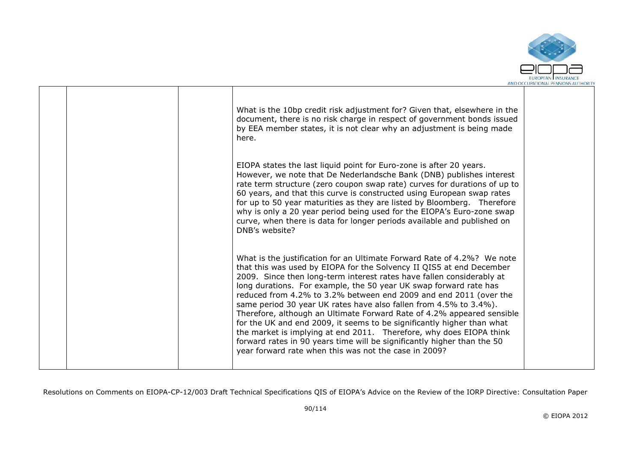

|  | What is the 10bp credit risk adjustment for? Given that, elsewhere in the<br>document, there is no risk charge in respect of government bonds issued<br>by EEA member states, it is not clear why an adjustment is being made<br>here.                                                                                                                                                                                                                                                                                                                                                                                                                                                                                                                                                                 |  |
|--|--------------------------------------------------------------------------------------------------------------------------------------------------------------------------------------------------------------------------------------------------------------------------------------------------------------------------------------------------------------------------------------------------------------------------------------------------------------------------------------------------------------------------------------------------------------------------------------------------------------------------------------------------------------------------------------------------------------------------------------------------------------------------------------------------------|--|
|  | EIOPA states the last liquid point for Euro-zone is after 20 years.<br>However, we note that De Nederlandsche Bank (DNB) publishes interest<br>rate term structure (zero coupon swap rate) curves for durations of up to<br>60 years, and that this curve is constructed using European swap rates<br>for up to 50 year maturities as they are listed by Bloomberg. Therefore<br>why is only a 20 year period being used for the EIOPA's Euro-zone swap<br>curve, when there is data for longer periods available and published on<br>DNB's website?                                                                                                                                                                                                                                                   |  |
|  | What is the justification for an Ultimate Forward Rate of 4.2%? We note<br>that this was used by EIOPA for the Solvency II QIS5 at end December<br>2009. Since then long-term interest rates have fallen considerably at<br>long durations. For example, the 50 year UK swap forward rate has<br>reduced from 4.2% to 3.2% between end 2009 and end 2011 (over the<br>same period 30 year UK rates have also fallen from 4.5% to 3.4%).<br>Therefore, although an Ultimate Forward Rate of 4.2% appeared sensible<br>for the UK and end 2009, it seems to be significantly higher than what<br>the market is implying at end 2011. Therefore, why does EIOPA think<br>forward rates in 90 years time will be significantly higher than the 50<br>year forward rate when this was not the case in 2009? |  |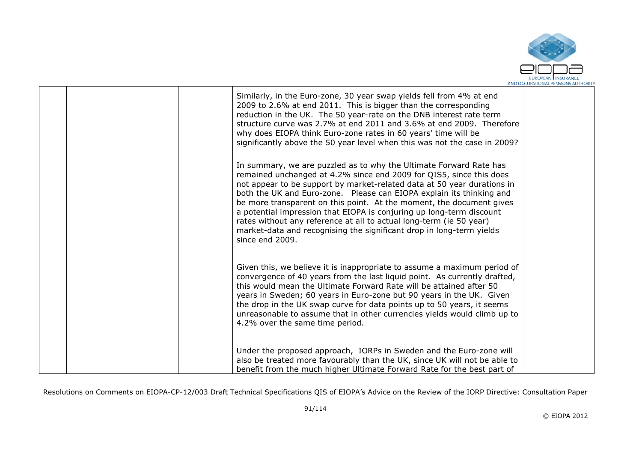

|  | Similarly, in the Euro-zone, 30 year swap yields fell from 4% at end<br>2009 to 2.6% at end 2011. This is bigger than the corresponding<br>reduction in the UK. The 50 year-rate on the DNB interest rate term<br>structure curve was 2.7% at end 2011 and 3.6% at end 2009. Therefore<br>why does EIOPA think Euro-zone rates in 60 years' time will be<br>significantly above the 50 year level when this was not the case in 2009?<br>In summary, we are puzzled as to why the Ultimate Forward Rate has<br>remained unchanged at 4.2% since end 2009 for QIS5, since this does<br>not appear to be support by market-related data at 50 year durations in<br>both the UK and Euro-zone.  Please can EIOPA explain its thinking and<br>be more transparent on this point. At the moment, the document gives<br>a potential impression that EIOPA is conjuring up long-term discount<br>rates without any reference at all to actual long-term (ie 50 year)<br>market-data and recognising the significant drop in long-term yields<br>since end 2009. |  |
|--|----------------------------------------------------------------------------------------------------------------------------------------------------------------------------------------------------------------------------------------------------------------------------------------------------------------------------------------------------------------------------------------------------------------------------------------------------------------------------------------------------------------------------------------------------------------------------------------------------------------------------------------------------------------------------------------------------------------------------------------------------------------------------------------------------------------------------------------------------------------------------------------------------------------------------------------------------------------------------------------------------------------------------------------------------------|--|
|  | Given this, we believe it is inappropriate to assume a maximum period of<br>convergence of 40 years from the last liquid point. As currently drafted,<br>this would mean the Ultimate Forward Rate will be attained after 50<br>years in Sweden; 60 years in Euro-zone but 90 years in the UK. Given<br>the drop in the UK swap curve for data points up to 50 years, it seems<br>unreasonable to assume that in other currencies yields would climb up to<br>4.2% over the same time period.                                                                                                                                                                                                                                                                                                                                                                                                                                                                                                                                                            |  |
|  | Under the proposed approach, IORPs in Sweden and the Euro-zone will<br>also be treated more favourably than the UK, since UK will not be able to<br>benefit from the much higher Ultimate Forward Rate for the best part of                                                                                                                                                                                                                                                                                                                                                                                                                                                                                                                                                                                                                                                                                                                                                                                                                              |  |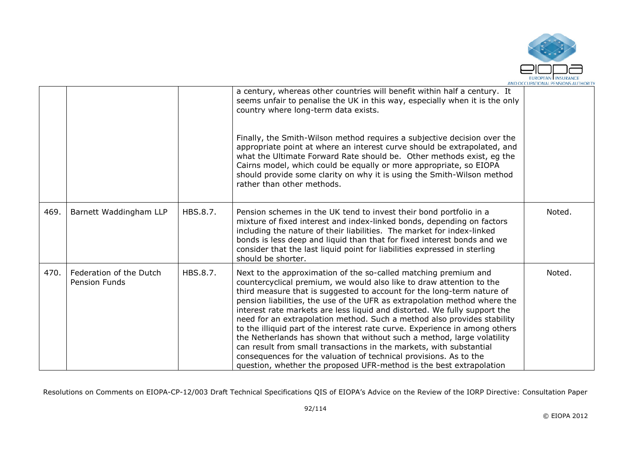

|      |                                                 |          | a century, whereas other countries will benefit within half a century. It<br>seems unfair to penalise the UK in this way, especially when it is the only<br>country where long-term data exists.                                                                                                                                                                                                                                                                                                                                                                                                                                                                                                                                                                                                                                   |        |
|------|-------------------------------------------------|----------|------------------------------------------------------------------------------------------------------------------------------------------------------------------------------------------------------------------------------------------------------------------------------------------------------------------------------------------------------------------------------------------------------------------------------------------------------------------------------------------------------------------------------------------------------------------------------------------------------------------------------------------------------------------------------------------------------------------------------------------------------------------------------------------------------------------------------------|--------|
|      |                                                 |          | Finally, the Smith-Wilson method requires a subjective decision over the<br>appropriate point at where an interest curve should be extrapolated, and<br>what the Ultimate Forward Rate should be. Other methods exist, eg the<br>Cairns model, which could be equally or more appropriate, so EIOPA<br>should provide some clarity on why it is using the Smith-Wilson method<br>rather than other methods.                                                                                                                                                                                                                                                                                                                                                                                                                        |        |
| 469. | Barnett Waddingham LLP                          | HBS.8.7. | Pension schemes in the UK tend to invest their bond portfolio in a<br>mixture of fixed interest and index-linked bonds, depending on factors<br>including the nature of their liabilities. The market for index-linked<br>bonds is less deep and liquid than that for fixed interest bonds and we<br>consider that the last liquid point for liabilities expressed in sterling<br>should be shorter.                                                                                                                                                                                                                                                                                                                                                                                                                               | Noted. |
| 470. | Federation of the Dutch<br><b>Pension Funds</b> | HBS.8.7. | Next to the approximation of the so-called matching premium and<br>countercyclical premium, we would also like to draw attention to the<br>third measure that is suggested to account for the long-term nature of<br>pension liabilities, the use of the UFR as extrapolation method where the<br>interest rate markets are less liquid and distorted. We fully support the<br>need for an extrapolation method. Such a method also provides stability<br>to the illiquid part of the interest rate curve. Experience in among others<br>the Netherlands has shown that without such a method, large volatility<br>can result from small transactions in the markets, with substantial<br>consequences for the valuation of technical provisions. As to the<br>question, whether the proposed UFR-method is the best extrapolation | Noted. |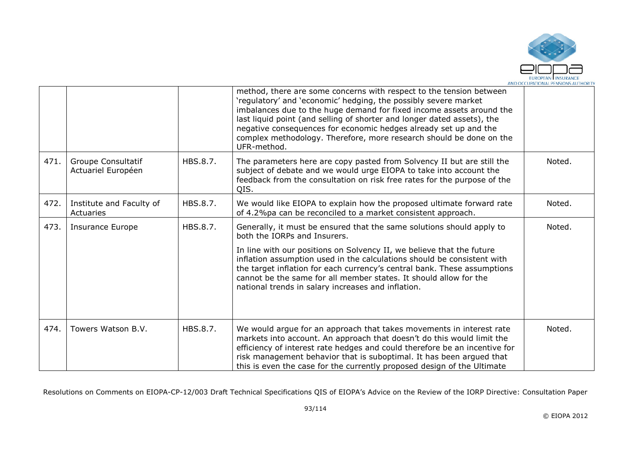

|      |                                                 |          | method, there are some concerns with respect to the tension between<br>'regulatory' and 'economic' hedging, the possibly severe market<br>imbalances due to the huge demand for fixed income assets around the<br>last liquid point (and selling of shorter and longer dated assets), the<br>negative consequences for economic hedges already set up and the<br>complex methodology. Therefore, more research should be done on the<br>UFR-method.              |        |
|------|-------------------------------------------------|----------|------------------------------------------------------------------------------------------------------------------------------------------------------------------------------------------------------------------------------------------------------------------------------------------------------------------------------------------------------------------------------------------------------------------------------------------------------------------|--------|
| 471. | <b>Groupe Consultatif</b><br>Actuariel Européen | HBS.8.7. | The parameters here are copy pasted from Solvency II but are still the<br>subject of debate and we would urge EIOPA to take into account the<br>feedback from the consultation on risk free rates for the purpose of the<br>QIS.                                                                                                                                                                                                                                 | Noted. |
| 472. | Institute and Faculty of<br>Actuaries           | HBS.8.7. | We would like EIOPA to explain how the proposed ultimate forward rate<br>of 4.2%pa can be reconciled to a market consistent approach.                                                                                                                                                                                                                                                                                                                            | Noted. |
| 473. | Insurance Europe                                | HBS.8.7. | Generally, it must be ensured that the same solutions should apply to<br>both the IORPs and Insurers.<br>In line with our positions on Solvency II, we believe that the future<br>inflation assumption used in the calculations should be consistent with<br>the target inflation for each currency's central bank. These assumptions<br>cannot be the same for all member states. It should allow for the<br>national trends in salary increases and inflation. | Noted. |
| 474. | Towers Watson B.V.                              | HBS.8.7. | We would argue for an approach that takes movements in interest rate<br>markets into account. An approach that doesn't do this would limit the<br>efficiency of interest rate hedges and could therefore be an incentive for<br>risk management behavior that is suboptimal. It has been argued that<br>this is even the case for the currently proposed design of the Ultimate                                                                                  | Noted. |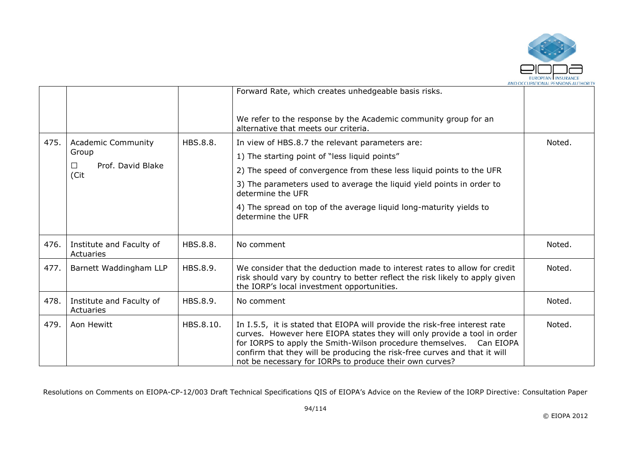

|      |                                       |           | Forward Rate, which creates unhedgeable basis risks.                                                                                                                                                                                                                                                                                                                  |        |
|------|---------------------------------------|-----------|-----------------------------------------------------------------------------------------------------------------------------------------------------------------------------------------------------------------------------------------------------------------------------------------------------------------------------------------------------------------------|--------|
|      |                                       |           | We refer to the response by the Academic community group for an<br>alternative that meets our criteria.                                                                                                                                                                                                                                                               |        |
| 475. | <b>Academic Community</b>             | HBS.8.8.  | In view of HBS.8.7 the relevant parameters are:                                                                                                                                                                                                                                                                                                                       | Noted. |
|      | Group                                 |           | 1) The starting point of "less liquid points"                                                                                                                                                                                                                                                                                                                         |        |
|      | Prof. David Blake<br>$\Box$<br>(Cit   |           | 2) The speed of convergence from these less liquid points to the UFR                                                                                                                                                                                                                                                                                                  |        |
|      |                                       |           | 3) The parameters used to average the liquid yield points in order to<br>determine the UFR                                                                                                                                                                                                                                                                            |        |
|      |                                       |           | 4) The spread on top of the average liquid long-maturity yields to<br>determine the UFR                                                                                                                                                                                                                                                                               |        |
| 476. | Institute and Faculty of<br>Actuaries | HBS.8.8.  | No comment                                                                                                                                                                                                                                                                                                                                                            | Noted. |
| 477. | Barnett Waddingham LLP                | HBS.8.9.  | We consider that the deduction made to interest rates to allow for credit<br>risk should vary by country to better reflect the risk likely to apply given<br>the IORP's local investment opportunities.                                                                                                                                                               | Noted. |
| 478. | Institute and Faculty of<br>Actuaries | HBS.8.9.  | No comment                                                                                                                                                                                                                                                                                                                                                            | Noted. |
| 479. | Aon Hewitt                            | HBS.8.10. | In I.5.5, it is stated that EIOPA will provide the risk-free interest rate<br>curves. However here EIOPA states they will only provide a tool in order<br>for IORPS to apply the Smith-Wilson procedure themselves. Can EIOPA<br>confirm that they will be producing the risk-free curves and that it will<br>not be necessary for IORPs to produce their own curves? | Noted. |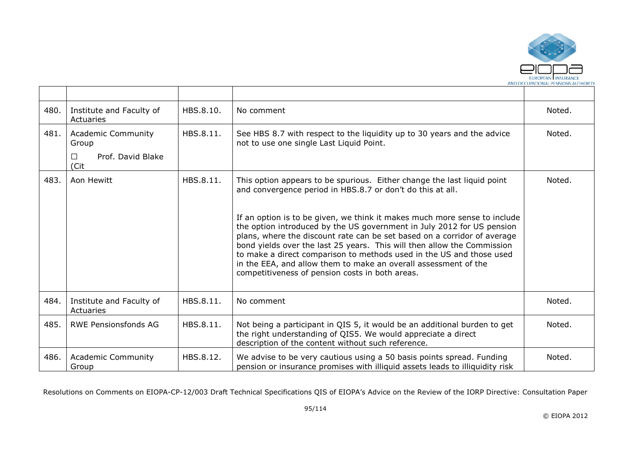

| 480. | Institute and Faculty of<br>Actuaries                        | HBS.8.10. | No comment                                                                                                                                                                                                                                                                                                                                                                                                                                                                                               | Noted. |
|------|--------------------------------------------------------------|-----------|----------------------------------------------------------------------------------------------------------------------------------------------------------------------------------------------------------------------------------------------------------------------------------------------------------------------------------------------------------------------------------------------------------------------------------------------------------------------------------------------------------|--------|
| 481. | <b>Academic Community</b><br>Group<br>Prof. David Blake<br>П | HBS.8.11. | See HBS 8.7 with respect to the liquidity up to 30 years and the advice<br>not to use one single Last Liquid Point.                                                                                                                                                                                                                                                                                                                                                                                      | Noted. |
|      | (Cit                                                         |           |                                                                                                                                                                                                                                                                                                                                                                                                                                                                                                          |        |
| 483. | Aon Hewitt                                                   | HBS.8.11. | This option appears to be spurious. Either change the last liquid point<br>and convergence period in HBS.8.7 or don't do this at all.                                                                                                                                                                                                                                                                                                                                                                    | Noted. |
|      |                                                              |           | If an option is to be given, we think it makes much more sense to include<br>the option introduced by the US government in July 2012 for US pension<br>plans, where the discount rate can be set based on a corridor of average<br>bond yields over the last 25 years. This will then allow the Commission<br>to make a direct comparison to methods used in the US and those used<br>in the EEA, and allow them to make an overall assessment of the<br>competitiveness of pension costs in both areas. |        |
| 484. | Institute and Faculty of<br>Actuaries                        | HBS.8.11. | No comment                                                                                                                                                                                                                                                                                                                                                                                                                                                                                               | Noted. |
| 485. | <b>RWE Pensionsfonds AG</b>                                  | HBS.8.11. | Not being a participant in QIS 5, it would be an additional burden to get<br>the right understanding of QIS5. We would appreciate a direct<br>description of the content without such reference.                                                                                                                                                                                                                                                                                                         | Noted. |
| 486. | <b>Academic Community</b><br>Group                           | HBS.8.12. | We advise to be very cautious using a 50 basis points spread. Funding<br>pension or insurance promises with illiquid assets leads to illiquidity risk                                                                                                                                                                                                                                                                                                                                                    | Noted. |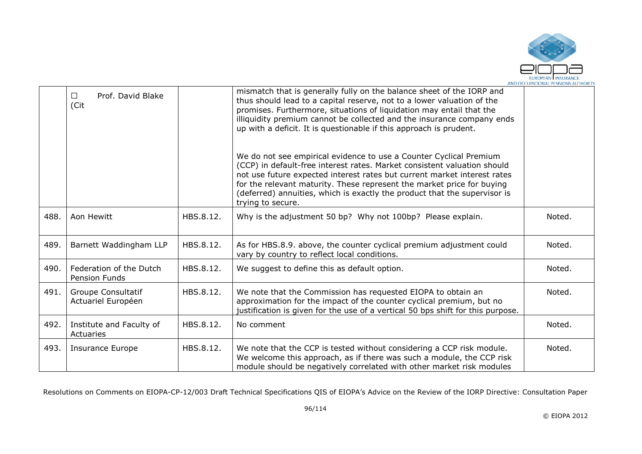

|      | Prof. David Blake<br>$\Box$<br>(Cit      |           | mismatch that is generally fully on the balance sheet of the IORP and<br>thus should lead to a capital reserve, not to a lower valuation of the<br>promises. Furthermore, situations of liquidation may entail that the<br>illiquidity premium cannot be collected and the insurance company ends<br>up with a deficit. It is questionable if this approach is prudent.                                |        |
|------|------------------------------------------|-----------|--------------------------------------------------------------------------------------------------------------------------------------------------------------------------------------------------------------------------------------------------------------------------------------------------------------------------------------------------------------------------------------------------------|--------|
|      |                                          |           | We do not see empirical evidence to use a Counter Cyclical Premium<br>(CCP) in default-free interest rates. Market consistent valuation should<br>not use future expected interest rates but current market interest rates<br>for the relevant maturity. These represent the market price for buying<br>(deferred) annuities, which is exactly the product that the supervisor is<br>trying to secure. |        |
| 488. | Aon Hewitt                               | HBS.8.12. | Why is the adjustment 50 bp? Why not 100bp? Please explain.                                                                                                                                                                                                                                                                                                                                            | Noted. |
| 489. | Barnett Waddingham LLP                   | HBS.8.12. | As for HBS.8.9. above, the counter cyclical premium adjustment could<br>vary by country to reflect local conditions.                                                                                                                                                                                                                                                                                   | Noted. |
| 490. | Federation of the Dutch<br>Pension Funds | HBS.8.12. | We suggest to define this as default option.                                                                                                                                                                                                                                                                                                                                                           | Noted. |
| 491. | Groupe Consultatif<br>Actuariel Européen | HBS.8.12. | We note that the Commission has requested EIOPA to obtain an<br>approximation for the impact of the counter cyclical premium, but no<br>justification is given for the use of a vertical 50 bps shift for this purpose.                                                                                                                                                                                | Noted. |
| 492. | Institute and Faculty of<br>Actuaries    | HBS.8.12. | No comment                                                                                                                                                                                                                                                                                                                                                                                             | Noted. |
| 493. | <b>Insurance Europe</b>                  | HBS.8.12. | We note that the CCP is tested without considering a CCP risk module.<br>We welcome this approach, as if there was such a module, the CCP risk<br>module should be negatively correlated with other market risk modules                                                                                                                                                                                | Noted. |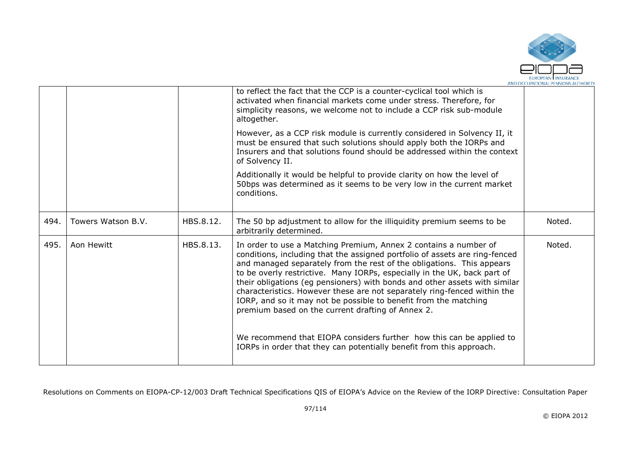

|      |                    |           | to reflect the fact that the CCP is a counter-cyclical tool which is<br>activated when financial markets come under stress. Therefore, for<br>simplicity reasons, we welcome not to include a CCP risk sub-module<br>altogether.                                                                                                                                                                                                                                                                                                                                                        |        |
|------|--------------------|-----------|-----------------------------------------------------------------------------------------------------------------------------------------------------------------------------------------------------------------------------------------------------------------------------------------------------------------------------------------------------------------------------------------------------------------------------------------------------------------------------------------------------------------------------------------------------------------------------------------|--------|
|      |                    |           | However, as a CCP risk module is currently considered in Solvency II, it<br>must be ensured that such solutions should apply both the IORPs and<br>Insurers and that solutions found should be addressed within the context<br>of Solvency II.                                                                                                                                                                                                                                                                                                                                          |        |
|      |                    |           | Additionally it would be helpful to provide clarity on how the level of<br>50bps was determined as it seems to be very low in the current market<br>conditions.                                                                                                                                                                                                                                                                                                                                                                                                                         |        |
| 494. | Towers Watson B.V. | HBS.8.12. | The 50 bp adjustment to allow for the illiquidity premium seems to be<br>arbitrarily determined.                                                                                                                                                                                                                                                                                                                                                                                                                                                                                        | Noted. |
| 495. | Aon Hewitt         | HBS.8.13. | In order to use a Matching Premium, Annex 2 contains a number of<br>conditions, including that the assigned portfolio of assets are ring-fenced<br>and managed separately from the rest of the obligations. This appears<br>to be overly restrictive. Many IORPs, especially in the UK, back part of<br>their obligations (eg pensioners) with bonds and other assets with similar<br>characteristics. However these are not separately ring-fenced within the<br>IORP, and so it may not be possible to benefit from the matching<br>premium based on the current drafting of Annex 2. | Noted. |
|      |                    |           | We recommend that EIOPA considers further how this can be applied to<br>IORPs in order that they can potentially benefit from this approach.                                                                                                                                                                                                                                                                                                                                                                                                                                            |        |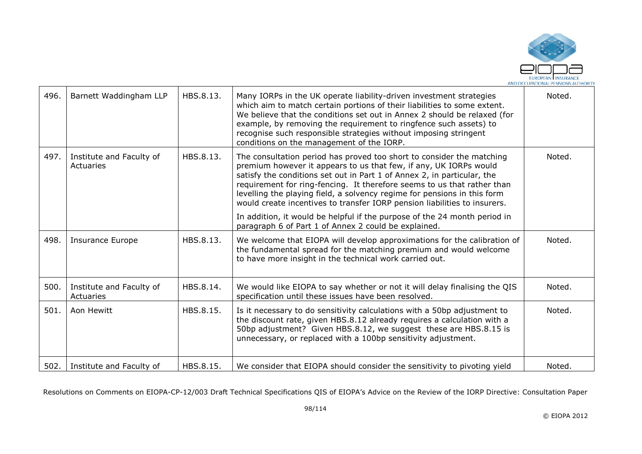

| 496. | Barnett Waddingham LLP                | HBS.8.13. | Many IORPs in the UK operate liability-driven investment strategies<br>which aim to match certain portions of their liabilities to some extent.<br>We believe that the conditions set out in Annex 2 should be relaxed (for<br>example, by removing the requirement to ringfence such assets) to<br>recognise such responsible strategies without imposing stringent<br>conditions on the management of the IORP.                                         | Noted. |
|------|---------------------------------------|-----------|-----------------------------------------------------------------------------------------------------------------------------------------------------------------------------------------------------------------------------------------------------------------------------------------------------------------------------------------------------------------------------------------------------------------------------------------------------------|--------|
| 497. | Institute and Faculty of<br>Actuaries | HBS.8.13. | The consultation period has proved too short to consider the matching<br>premium however it appears to us that few, if any, UK IORPs would<br>satisfy the conditions set out in Part 1 of Annex 2, in particular, the<br>requirement for ring-fencing. It therefore seems to us that rather than<br>levelling the playing field, a solvency regime for pensions in this form<br>would create incentives to transfer IORP pension liabilities to insurers. | Noted. |
|      |                                       |           | In addition, it would be helpful if the purpose of the 24 month period in<br>paragraph 6 of Part 1 of Annex 2 could be explained.                                                                                                                                                                                                                                                                                                                         |        |
| 498. | <b>Insurance Europe</b>               | HBS.8.13. | We welcome that EIOPA will develop approximations for the calibration of<br>the fundamental spread for the matching premium and would welcome<br>to have more insight in the technical work carried out.                                                                                                                                                                                                                                                  | Noted. |
| 500. | Institute and Faculty of<br>Actuaries | HBS.8.14. | We would like EIOPA to say whether or not it will delay finalising the QIS<br>specification until these issues have been resolved.                                                                                                                                                                                                                                                                                                                        | Noted. |
| 501. | Aon Hewitt                            | HBS.8.15. | Is it necessary to do sensitivity calculations with a 50bp adjustment to<br>the discount rate, given HBS.8.12 already requires a calculation with a<br>50bp adjustment? Given HBS.8.12, we suggest these are HBS.8.15 is<br>unnecessary, or replaced with a 100bp sensitivity adjustment.                                                                                                                                                                 | Noted. |
| 502. | Institute and Faculty of              | HBS.8.15. | We consider that EIOPA should consider the sensitivity to pivoting yield                                                                                                                                                                                                                                                                                                                                                                                  | Noted. |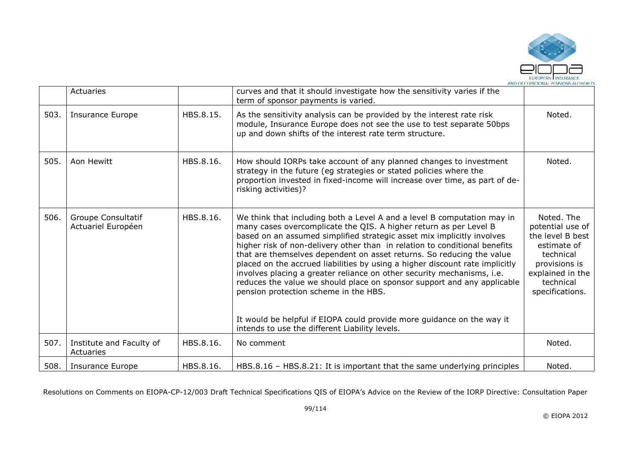

|      | Actuaries                                       |           | curves and that it should investigate how the sensitivity varies if the<br>term of sponsor payments is varied.                                                                                                                                                                                                                                                                                                                                                                                                                                                                                                                                                                                                                                                                          |                                                                                                                                                     |
|------|-------------------------------------------------|-----------|-----------------------------------------------------------------------------------------------------------------------------------------------------------------------------------------------------------------------------------------------------------------------------------------------------------------------------------------------------------------------------------------------------------------------------------------------------------------------------------------------------------------------------------------------------------------------------------------------------------------------------------------------------------------------------------------------------------------------------------------------------------------------------------------|-----------------------------------------------------------------------------------------------------------------------------------------------------|
| 503. | <b>Insurance Europe</b>                         | HBS.8.15. | As the sensitivity analysis can be provided by the interest rate risk<br>module, Insurance Europe does not see the use to test separate 50bps<br>up and down shifts of the interest rate term structure.                                                                                                                                                                                                                                                                                                                                                                                                                                                                                                                                                                                | Noted.                                                                                                                                              |
| 505. | Aon Hewitt                                      | HBS.8.16. | How should IORPs take account of any planned changes to investment<br>strategy in the future (eg strategies or stated policies where the<br>proportion invested in fixed-income will increase over time, as part of de-<br>risking activities)?                                                                                                                                                                                                                                                                                                                                                                                                                                                                                                                                         | Noted.                                                                                                                                              |
| 506. | <b>Groupe Consultatif</b><br>Actuariel Européen | HBS.8.16. | We think that including both a Level A and a level B computation may in<br>many cases overcomplicate the QIS. A higher return as per Level B<br>based on an assumed simplified strategic asset mix implicitly involves<br>higher risk of non-delivery other than in relation to conditional benefits<br>that are themselves dependent on asset returns. So reducing the value<br>placed on the accrued liabilities by using a higher discount rate implicitly<br>involves placing a greater reliance on other security mechanisms, i.e.<br>reduces the value we should place on sponsor support and any applicable<br>pension protection scheme in the HBS.<br>It would be helpful if EIOPA could provide more guidance on the way it<br>intends to use the different Liability levels. | Noted. The<br>potential use of<br>the level B best<br>estimate of<br>technical<br>provisions is<br>explained in the<br>technical<br>specifications. |
| 507. | Institute and Faculty of<br>Actuaries           | HBS.8.16. | No comment                                                                                                                                                                                                                                                                                                                                                                                                                                                                                                                                                                                                                                                                                                                                                                              | Noted.                                                                                                                                              |
| 508. | Insurance Europe                                | HBS.8.16. | HBS.8.16 - HBS.8.21: It is important that the same underlying principles                                                                                                                                                                                                                                                                                                                                                                                                                                                                                                                                                                                                                                                                                                                | Noted.                                                                                                                                              |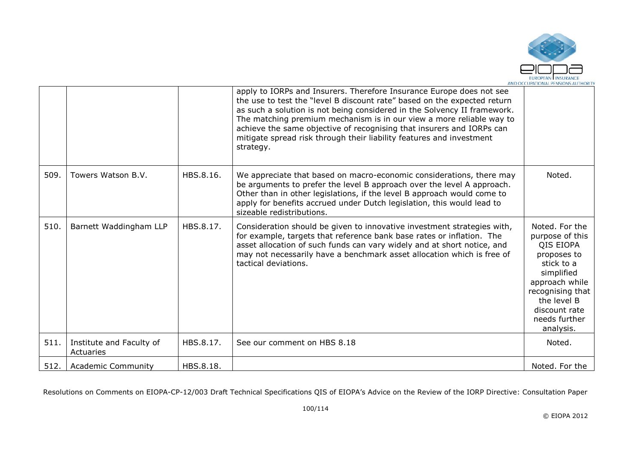

| 512. | Actuaries<br><b>Academic Community</b> | HBS.8.18. |                                                                                                                                                                                                                                                                                                                                                                                                                                                                    | Noted. For the                                                                                                                                                                                |
|------|----------------------------------------|-----------|--------------------------------------------------------------------------------------------------------------------------------------------------------------------------------------------------------------------------------------------------------------------------------------------------------------------------------------------------------------------------------------------------------------------------------------------------------------------|-----------------------------------------------------------------------------------------------------------------------------------------------------------------------------------------------|
| 511. | Institute and Faculty of               | HBS.8.17. | See our comment on HBS 8.18                                                                                                                                                                                                                                                                                                                                                                                                                                        | Noted.                                                                                                                                                                                        |
| 510. | Barnett Waddingham LLP                 | HBS.8.17. | Consideration should be given to innovative investment strategies with,<br>for example, targets that reference bank base rates or inflation. The<br>asset allocation of such funds can vary widely and at short notice, and<br>may not necessarily have a benchmark asset allocation which is free of<br>tactical deviations.                                                                                                                                      | Noted. For the<br>purpose of this<br>QIS EIOPA<br>proposes to<br>stick to a<br>simplified<br>approach while<br>recognising that<br>the level B<br>discount rate<br>needs further<br>analysis. |
| 509. | Towers Watson B.V.                     | HBS.8.16. | We appreciate that based on macro-economic considerations, there may<br>be arguments to prefer the level B approach over the level A approach.<br>Other than in other legislations, if the level B approach would come to<br>apply for benefits accrued under Dutch legislation, this would lead to<br>sizeable redistributions.                                                                                                                                   | Noted.                                                                                                                                                                                        |
|      |                                        |           | apply to IORPs and Insurers. Therefore Insurance Europe does not see<br>the use to test the "level B discount rate" based on the expected return<br>as such a solution is not being considered in the Solvency II framework.<br>The matching premium mechanism is in our view a more reliable way to<br>achieve the same objective of recognising that insurers and IORPs can<br>mitigate spread risk through their liability features and investment<br>strategy. |                                                                                                                                                                                               |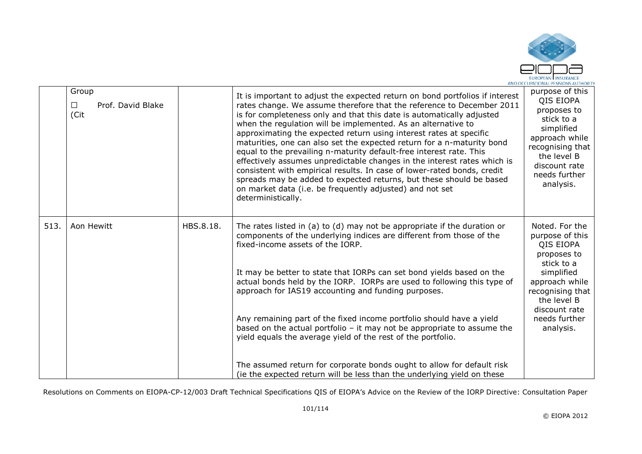

|      | Group<br>Prof. David Blake<br>$\Box$<br>(Cit |           | It is important to adjust the expected return on bond portfolios if interest<br>rates change. We assume therefore that the reference to December 2011<br>is for completeness only and that this date is automatically adjusted<br>when the regulation will be implemented. As an alternative to<br>approximating the expected return using interest rates at specific<br>maturities, one can also set the expected return for a n-maturity bond<br>equal to the prevailing n-maturity default-free interest rate. This<br>effectively assumes unpredictable changes in the interest rates which is<br>consistent with empirical results. In case of lower-rated bonds, credit<br>spreads may be added to expected returns, but these should be based<br>on market data (i.e. be frequently adjusted) and not set<br>deterministically. | purpose of this<br>QIS EIOPA<br>proposes to<br>stick to a<br>simplified<br>approach while<br>recognising that<br>the level B<br>discount rate<br>needs further<br>analysis. |
|------|----------------------------------------------|-----------|----------------------------------------------------------------------------------------------------------------------------------------------------------------------------------------------------------------------------------------------------------------------------------------------------------------------------------------------------------------------------------------------------------------------------------------------------------------------------------------------------------------------------------------------------------------------------------------------------------------------------------------------------------------------------------------------------------------------------------------------------------------------------------------------------------------------------------------|-----------------------------------------------------------------------------------------------------------------------------------------------------------------------------|
| 513. | Aon Hewitt                                   | HBS.8.18. | The rates listed in $(a)$ to $(d)$ may not be appropriate if the duration or<br>components of the underlying indices are different from those of the<br>fixed-income assets of the IORP.                                                                                                                                                                                                                                                                                                                                                                                                                                                                                                                                                                                                                                               | Noted. For the<br>purpose of this<br>QIS EIOPA<br>proposes to<br>stick to a                                                                                                 |
|      |                                              |           | It may be better to state that IORPs can set bond yields based on the<br>actual bonds held by the IORP. IORPs are used to following this type of<br>approach for IAS19 accounting and funding purposes.                                                                                                                                                                                                                                                                                                                                                                                                                                                                                                                                                                                                                                | simplified<br>approach while<br>recognising that<br>the level B<br>discount rate                                                                                            |
|      |                                              |           | Any remaining part of the fixed income portfolio should have a yield<br>based on the actual portfolio $-$ it may not be appropriate to assume the<br>yield equals the average yield of the rest of the portfolio.                                                                                                                                                                                                                                                                                                                                                                                                                                                                                                                                                                                                                      | needs further<br>analysis.                                                                                                                                                  |
|      |                                              |           | The assumed return for corporate bonds ought to allow for default risk<br>(ie the expected return will be less than the underlying yield on these                                                                                                                                                                                                                                                                                                                                                                                                                                                                                                                                                                                                                                                                                      |                                                                                                                                                                             |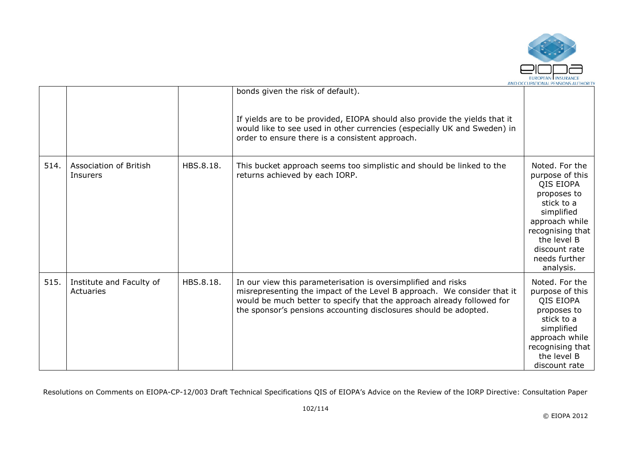

|      |                                       |           | bonds given the risk of default).<br>If yields are to be provided, EIOPA should also provide the yields that it<br>would like to see used in other currencies (especially UK and Sweden) in<br>order to ensure there is a consistent approach.                                         |                                                                                                                                                                                               |
|------|---------------------------------------|-----------|----------------------------------------------------------------------------------------------------------------------------------------------------------------------------------------------------------------------------------------------------------------------------------------|-----------------------------------------------------------------------------------------------------------------------------------------------------------------------------------------------|
| 514. | Association of British<br>Insurers    | HBS.8.18. | This bucket approach seems too simplistic and should be linked to the<br>returns achieved by each IORP.                                                                                                                                                                                | Noted. For the<br>purpose of this<br>QIS EIOPA<br>proposes to<br>stick to a<br>simplified<br>approach while<br>recognising that<br>the level B<br>discount rate<br>needs further<br>analysis. |
| 515. | Institute and Faculty of<br>Actuaries | HBS.8.18. | In our view this parameterisation is oversimplified and risks<br>misrepresenting the impact of the Level B approach. We consider that it<br>would be much better to specify that the approach already followed for<br>the sponsor's pensions accounting disclosures should be adopted. | Noted. For the<br>purpose of this<br>QIS EIOPA<br>proposes to<br>stick to a<br>simplified<br>approach while<br>recognising that<br>the level B<br>discount rate                               |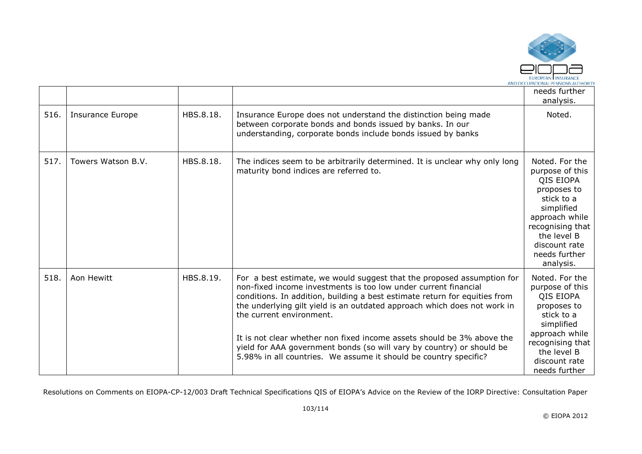

|      |                    |           |                                                                                                                                                                                                                                                                                                                                                                                                                                                                                                                                                        | needs further<br>analysis.                                                                                                                                                                    |
|------|--------------------|-----------|--------------------------------------------------------------------------------------------------------------------------------------------------------------------------------------------------------------------------------------------------------------------------------------------------------------------------------------------------------------------------------------------------------------------------------------------------------------------------------------------------------------------------------------------------------|-----------------------------------------------------------------------------------------------------------------------------------------------------------------------------------------------|
| 516. | Insurance Europe   | HBS.8.18. | Insurance Europe does not understand the distinction being made<br>between corporate bonds and bonds issued by banks. In our<br>understanding, corporate bonds include bonds issued by banks                                                                                                                                                                                                                                                                                                                                                           | Noted.                                                                                                                                                                                        |
| 517. | Towers Watson B.V. | HBS.8.18. | The indices seem to be arbitrarily determined. It is unclear why only long<br>maturity bond indices are referred to.                                                                                                                                                                                                                                                                                                                                                                                                                                   | Noted. For the<br>purpose of this<br>QIS EIOPA<br>proposes to<br>stick to a<br>simplified<br>approach while<br>recognising that<br>the level B<br>discount rate<br>needs further<br>analysis. |
| 518. | Aon Hewitt         | HBS.8.19. | For a best estimate, we would suggest that the proposed assumption for<br>non-fixed income investments is too low under current financial<br>conditions. In addition, building a best estimate return for equities from<br>the underlying gilt yield is an outdated approach which does not work in<br>the current environment.<br>It is not clear whether non fixed income assets should be 3% above the<br>yield for AAA government bonds (so will vary by country) or should be<br>5.98% in all countries. We assume it should be country specific? | Noted. For the<br>purpose of this<br>QIS EIOPA<br>proposes to<br>stick to a<br>simplified<br>approach while<br>recognising that<br>the level B<br>discount rate<br>needs further              |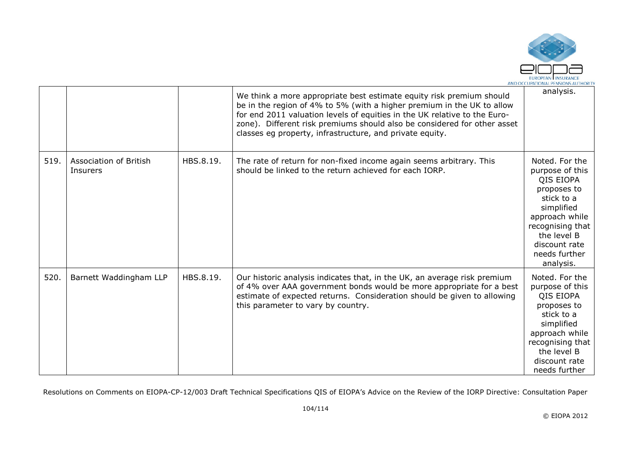

|      |                                    |           | We think a more appropriate best estimate equity risk premium should<br>be in the region of 4% to 5% (with a higher premium in the UK to allow<br>for end 2011 valuation levels of equities in the UK relative to the Euro-<br>zone). Different risk premiums should also be considered for other asset<br>classes eg property, infrastructure, and private equity. | analysis.                                                                                                                                                                                     |
|------|------------------------------------|-----------|---------------------------------------------------------------------------------------------------------------------------------------------------------------------------------------------------------------------------------------------------------------------------------------------------------------------------------------------------------------------|-----------------------------------------------------------------------------------------------------------------------------------------------------------------------------------------------|
| 519. | Association of British<br>Insurers | HBS.8.19. | The rate of return for non-fixed income again seems arbitrary. This<br>should be linked to the return achieved for each IORP.                                                                                                                                                                                                                                       | Noted. For the<br>purpose of this<br>QIS EIOPA<br>proposes to<br>stick to a<br>simplified<br>approach while<br>recognising that<br>the level B<br>discount rate<br>needs further<br>analysis. |
| 520. | Barnett Waddingham LLP             | HBS.8.19. | Our historic analysis indicates that, in the UK, an average risk premium<br>of 4% over AAA government bonds would be more appropriate for a best<br>estimate of expected returns. Consideration should be given to allowing<br>this parameter to vary by country.                                                                                                   | Noted. For the<br>purpose of this<br>QIS EIOPA<br>proposes to<br>stick to a<br>simplified<br>approach while<br>recognising that<br>the level B<br>discount rate<br>needs further              |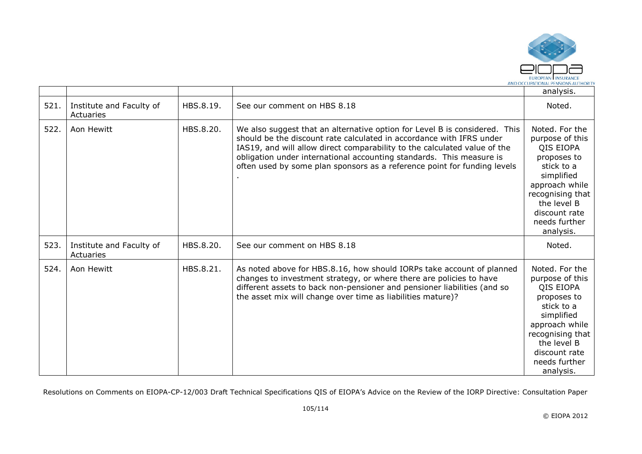

|      |                                       |           |                                                                                                                                                                                                                                                                                                                                                                                     | analysis.                                                                                                                                                                                     |
|------|---------------------------------------|-----------|-------------------------------------------------------------------------------------------------------------------------------------------------------------------------------------------------------------------------------------------------------------------------------------------------------------------------------------------------------------------------------------|-----------------------------------------------------------------------------------------------------------------------------------------------------------------------------------------------|
| 521  | Institute and Faculty of<br>Actuaries | HBS.8.19. | See our comment on HBS 8.18                                                                                                                                                                                                                                                                                                                                                         | Noted.                                                                                                                                                                                        |
| 522. | Aon Hewitt                            | HBS.8.20. | We also suggest that an alternative option for Level B is considered. This<br>should be the discount rate calculated in accordance with IFRS under<br>IAS19, and will allow direct comparability to the calculated value of the<br>obligation under international accounting standards. This measure is<br>often used by some plan sponsors as a reference point for funding levels | Noted. For the<br>purpose of this<br>QIS EIOPA<br>proposes to<br>stick to a<br>simplified<br>approach while<br>recognising that<br>the level B<br>discount rate<br>needs further<br>analysis. |
| 523. | Institute and Faculty of<br>Actuaries | HBS.8.20. | See our comment on HBS 8.18                                                                                                                                                                                                                                                                                                                                                         | Noted.                                                                                                                                                                                        |
| 524. | Aon Hewitt                            | HBS.8.21. | As noted above for HBS.8.16, how should IORPs take account of planned<br>changes to investment strategy, or where there are policies to have<br>different assets to back non-pensioner and pensioner liabilities (and so<br>the asset mix will change over time as liabilities mature)?                                                                                             | Noted. For the<br>purpose of this<br>QIS EIOPA<br>proposes to<br>stick to a<br>simplified<br>approach while<br>recognising that<br>the level B<br>discount rate<br>needs further<br>analysis. |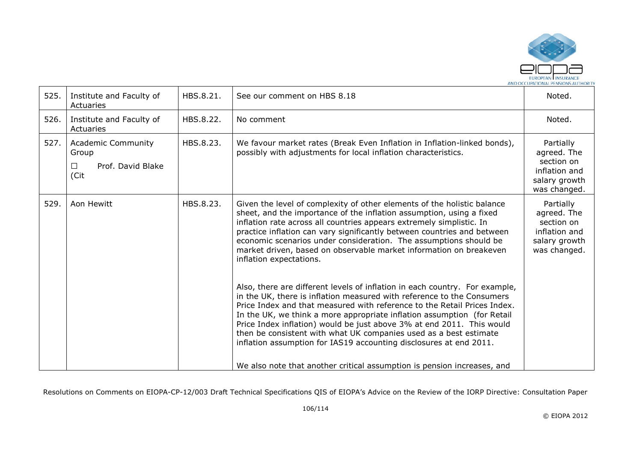

| 525. | Institute and Faculty of<br>Actuaries                                      | HBS.8.21. | See our comment on HBS 8.18                                                                                                                                                                                                                                                                                                                                                                                                                                                                                                                                                                                                                                                                                                                                                                                                                                                                                                                                                                                  | Noted.                                                                                   |
|------|----------------------------------------------------------------------------|-----------|--------------------------------------------------------------------------------------------------------------------------------------------------------------------------------------------------------------------------------------------------------------------------------------------------------------------------------------------------------------------------------------------------------------------------------------------------------------------------------------------------------------------------------------------------------------------------------------------------------------------------------------------------------------------------------------------------------------------------------------------------------------------------------------------------------------------------------------------------------------------------------------------------------------------------------------------------------------------------------------------------------------|------------------------------------------------------------------------------------------|
| 526. | Institute and Faculty of<br>Actuaries                                      | HBS.8.22. | No comment                                                                                                                                                                                                                                                                                                                                                                                                                                                                                                                                                                                                                                                                                                                                                                                                                                                                                                                                                                                                   | Noted.                                                                                   |
| 527. | <b>Academic Community</b><br>Group<br>Prof. David Blake<br>$\perp$<br>(Cit | HBS.8.23. | We favour market rates (Break Even Inflation in Inflation-linked bonds),<br>possibly with adjustments for local inflation characteristics.                                                                                                                                                                                                                                                                                                                                                                                                                                                                                                                                                                                                                                                                                                                                                                                                                                                                   | Partially<br>agreed. The<br>section on<br>inflation and<br>salary growth<br>was changed. |
| 529. | Aon Hewitt                                                                 | HBS.8.23. | Given the level of complexity of other elements of the holistic balance<br>sheet, and the importance of the inflation assumption, using a fixed<br>inflation rate across all countries appears extremely simplistic. In<br>practice inflation can vary significantly between countries and between<br>economic scenarios under consideration. The assumptions should be<br>market driven, based on observable market information on breakeven<br>inflation expectations.<br>Also, there are different levels of inflation in each country. For example,<br>in the UK, there is inflation measured with reference to the Consumers<br>Price Index and that measured with reference to the Retail Prices Index.<br>In the UK, we think a more appropriate inflation assumption (for Retail<br>Price Index inflation) would be just above 3% at end 2011. This would<br>then be consistent with what UK companies used as a best estimate<br>inflation assumption for IAS19 accounting disclosures at end 2011. | Partially<br>agreed. The<br>section on<br>inflation and<br>salary growth<br>was changed. |
|      |                                                                            |           | We also note that another critical assumption is pension increases, and                                                                                                                                                                                                                                                                                                                                                                                                                                                                                                                                                                                                                                                                                                                                                                                                                                                                                                                                      |                                                                                          |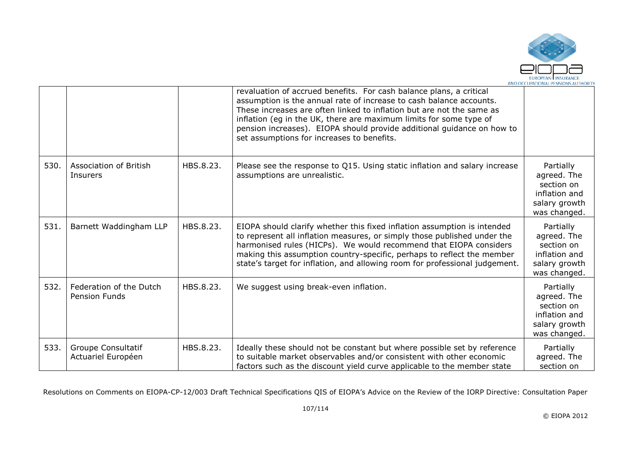

|      |                                                 |           | revaluation of accrued benefits. For cash balance plans, a critical<br>assumption is the annual rate of increase to cash balance accounts.<br>These increases are often linked to inflation but are not the same as<br>inflation (eg in the UK, there are maximum limits for some type of<br>pension increases). EIOPA should provide additional guidance on how to<br>set assumptions for increases to benefits. |                                                                                          |
|------|-------------------------------------------------|-----------|-------------------------------------------------------------------------------------------------------------------------------------------------------------------------------------------------------------------------------------------------------------------------------------------------------------------------------------------------------------------------------------------------------------------|------------------------------------------------------------------------------------------|
| 530. | Association of British<br><b>Insurers</b>       | HBS.8.23. | Please see the response to Q15. Using static inflation and salary increase<br>assumptions are unrealistic.                                                                                                                                                                                                                                                                                                        | Partially<br>agreed. The<br>section on<br>inflation and<br>salary growth<br>was changed. |
| 531. | Barnett Waddingham LLP                          | HBS.8.23. | EIOPA should clarify whether this fixed inflation assumption is intended<br>to represent all inflation measures, or simply those published under the<br>harmonised rules (HICPs). We would recommend that EIOPA considers<br>making this assumption country-specific, perhaps to reflect the member<br>state's target for inflation, and allowing room for professional judgement.                                | Partially<br>agreed. The<br>section on<br>inflation and<br>salary growth<br>was changed. |
| 532. | Federation of the Dutch<br><b>Pension Funds</b> | HBS.8.23. | We suggest using break-even inflation.                                                                                                                                                                                                                                                                                                                                                                            | Partially<br>agreed. The<br>section on<br>inflation and<br>salary growth<br>was changed. |
| 533. | Groupe Consultatif<br>Actuariel Européen        | HBS.8.23. | Ideally these should not be constant but where possible set by reference<br>to suitable market observables and/or consistent with other economic<br>factors such as the discount yield curve applicable to the member state                                                                                                                                                                                       | Partially<br>agreed. The<br>section on                                                   |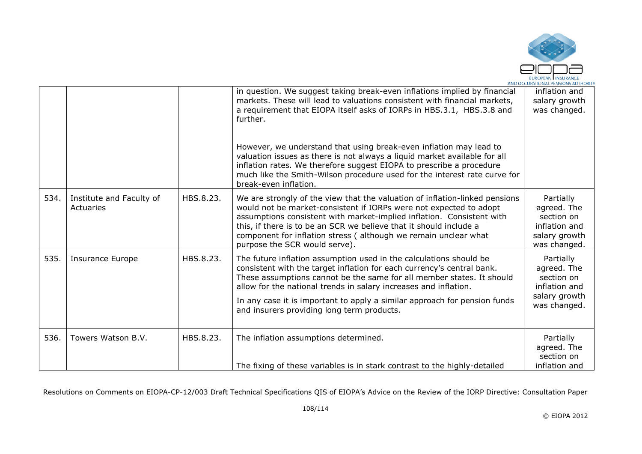

|      |                                       |           | in question. We suggest taking break-even inflations implied by financial<br>markets. These will lead to valuations consistent with financial markets,<br>a requirement that EIOPA itself asks of IORPs in HBS.3.1, HBS.3.8 and<br>further.<br>However, we understand that using break-even inflation may lead to<br>valuation issues as there is not always a liquid market available for all<br>inflation rates. We therefore suggest EIOPA to prescribe a procedure<br>much like the Smith-Wilson procedure used for the interest rate curve for<br>break-even inflation. | inflation and<br>salary growth<br>was changed.                                           |
|------|---------------------------------------|-----------|------------------------------------------------------------------------------------------------------------------------------------------------------------------------------------------------------------------------------------------------------------------------------------------------------------------------------------------------------------------------------------------------------------------------------------------------------------------------------------------------------------------------------------------------------------------------------|------------------------------------------------------------------------------------------|
| 534. | Institute and Faculty of<br>Actuaries | HBS.8.23. | We are strongly of the view that the valuation of inflation-linked pensions<br>would not be market-consistent if IORPs were not expected to adopt<br>assumptions consistent with market-implied inflation. Consistent with<br>this, if there is to be an SCR we believe that it should include a<br>component for inflation stress (although we remain unclear what<br>purpose the SCR would serve).                                                                                                                                                                         | Partially<br>agreed. The<br>section on<br>inflation and<br>salary growth<br>was changed. |
| 535. | Insurance Europe                      | HBS.8.23. | The future inflation assumption used in the calculations should be<br>consistent with the target inflation for each currency's central bank.<br>These assumptions cannot be the same for all member states. It should<br>allow for the national trends in salary increases and inflation.<br>In any case it is important to apply a similar approach for pension funds<br>and insurers providing long term products.                                                                                                                                                         | Partially<br>agreed. The<br>section on<br>inflation and<br>salary growth<br>was changed. |
| 536. | Towers Watson B.V.                    | HBS.8.23. | The inflation assumptions determined.<br>The fixing of these variables is in stark contrast to the highly-detailed                                                                                                                                                                                                                                                                                                                                                                                                                                                           | Partially<br>agreed. The<br>section on<br>inflation and                                  |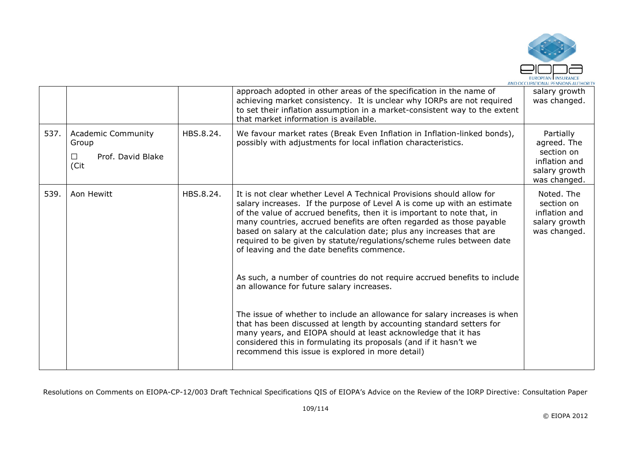

|      |                                                                           |           | approach adopted in other areas of the specification in the name of<br>achieving market consistency. It is unclear why IORPs are not required<br>to set their inflation assumption in a market-consistent way to the extent<br>that market information is available.                                                                                                                                                                                                                               | salary growth<br>was changed.                                                            |
|------|---------------------------------------------------------------------------|-----------|----------------------------------------------------------------------------------------------------------------------------------------------------------------------------------------------------------------------------------------------------------------------------------------------------------------------------------------------------------------------------------------------------------------------------------------------------------------------------------------------------|------------------------------------------------------------------------------------------|
| 537. | <b>Academic Community</b><br>Group<br>Prof. David Blake<br>$\Box$<br>(Cit | HBS.8.24. | We favour market rates (Break Even Inflation in Inflation-linked bonds),<br>possibly with adjustments for local inflation characteristics.                                                                                                                                                                                                                                                                                                                                                         | Partially<br>agreed. The<br>section on<br>inflation and<br>salary growth<br>was changed. |
| 539. | Aon Hewitt                                                                | HBS.8.24. | It is not clear whether Level A Technical Provisions should allow for<br>salary increases. If the purpose of Level A is come up with an estimate<br>of the value of accrued benefits, then it is important to note that, in<br>many countries, accrued benefits are often regarded as those payable<br>based on salary at the calculation date; plus any increases that are<br>required to be given by statute/regulations/scheme rules between date<br>of leaving and the date benefits commence. | Noted. The<br>section on<br>inflation and<br>salary growth<br>was changed.               |
|      |                                                                           |           | As such, a number of countries do not require accrued benefits to include<br>an allowance for future salary increases.                                                                                                                                                                                                                                                                                                                                                                             |                                                                                          |
|      |                                                                           |           | The issue of whether to include an allowance for salary increases is when<br>that has been discussed at length by accounting standard setters for<br>many years, and EIOPA should at least acknowledge that it has<br>considered this in formulating its proposals (and if it hasn't we<br>recommend this issue is explored in more detail)                                                                                                                                                        |                                                                                          |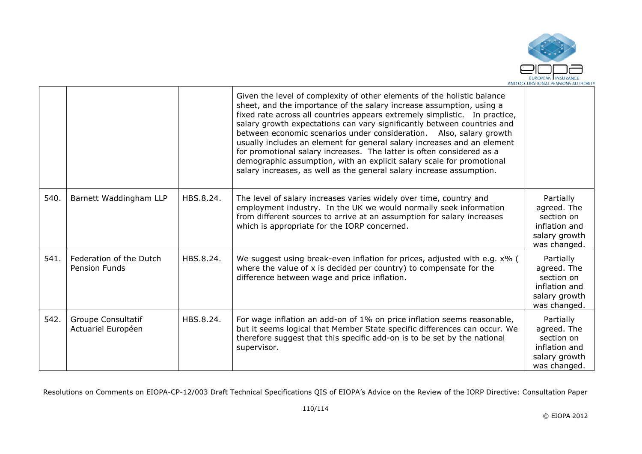

|      |                                                 |           | Given the level of complexity of other elements of the holistic balance<br>sheet, and the importance of the salary increase assumption, using a<br>fixed rate across all countries appears extremely simplistic. In practice,<br>salary growth expectations can vary significantly between countries and<br>between economic scenarios under consideration. Also, salary growth<br>usually includes an element for general salary increases and an element<br>for promotional salary increases. The latter is often considered as a<br>demographic assumption, with an explicit salary scale for promotional<br>salary increases, as well as the general salary increase assumption. |                                                                                          |
|------|-------------------------------------------------|-----------|--------------------------------------------------------------------------------------------------------------------------------------------------------------------------------------------------------------------------------------------------------------------------------------------------------------------------------------------------------------------------------------------------------------------------------------------------------------------------------------------------------------------------------------------------------------------------------------------------------------------------------------------------------------------------------------|------------------------------------------------------------------------------------------|
| 540. | Barnett Waddingham LLP                          | HBS.8.24. | The level of salary increases varies widely over time, country and<br>employment industry. In the UK we would normally seek information<br>from different sources to arrive at an assumption for salary increases<br>which is appropriate for the IORP concerned.                                                                                                                                                                                                                                                                                                                                                                                                                    | Partially<br>agreed. The<br>section on<br>inflation and<br>salary growth<br>was changed. |
| 541. | Federation of the Dutch<br><b>Pension Funds</b> | HBS.8.24. | We suggest using break-even inflation for prices, adjusted with e.g. x% (<br>where the value of $x$ is decided per country) to compensate for the<br>difference between wage and price inflation.                                                                                                                                                                                                                                                                                                                                                                                                                                                                                    | Partially<br>agreed. The<br>section on<br>inflation and<br>salary growth<br>was changed. |
| 542. | Groupe Consultatif<br>Actuariel Européen        | HBS.8.24. | For wage inflation an add-on of 1% on price inflation seems reasonable,<br>but it seems logical that Member State specific differences can occur. We<br>therefore suggest that this specific add-on is to be set by the national<br>supervisor.                                                                                                                                                                                                                                                                                                                                                                                                                                      | Partially<br>agreed. The<br>section on<br>inflation and<br>salary growth<br>was changed. |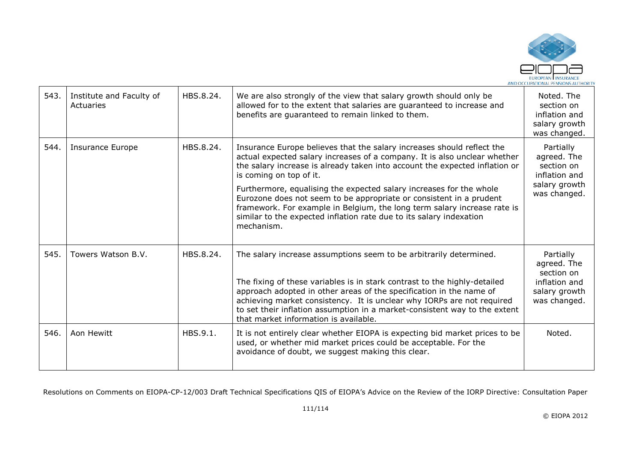

| 543. | Institute and Faculty of<br>Actuaries | HBS.8.24. | We are also strongly of the view that salary growth should only be<br>allowed for to the extent that salaries are guaranteed to increase and<br>benefits are guaranteed to remain linked to them.                                                                                                                                                                                                                                                                                                                                                                            | Noted. The<br>section on<br>inflation and<br>salary growth<br>was changed.               |
|------|---------------------------------------|-----------|------------------------------------------------------------------------------------------------------------------------------------------------------------------------------------------------------------------------------------------------------------------------------------------------------------------------------------------------------------------------------------------------------------------------------------------------------------------------------------------------------------------------------------------------------------------------------|------------------------------------------------------------------------------------------|
| 544. | <b>Insurance Europe</b>               | HBS.8.24. | Insurance Europe believes that the salary increases should reflect the<br>actual expected salary increases of a company. It is also unclear whether<br>the salary increase is already taken into account the expected inflation or<br>is coming on top of it.<br>Furthermore, equalising the expected salary increases for the whole<br>Eurozone does not seem to be appropriate or consistent in a prudent<br>framework. For example in Belgium, the long term salary increase rate is<br>similar to the expected inflation rate due to its salary indexation<br>mechanism. | Partially<br>agreed. The<br>section on<br>inflation and<br>salary growth<br>was changed. |
| 545. | Towers Watson B.V.                    | HBS.8.24. | The salary increase assumptions seem to be arbitrarily determined.<br>The fixing of these variables is in stark contrast to the highly-detailed<br>approach adopted in other areas of the specification in the name of<br>achieving market consistency. It is unclear why IORPs are not required<br>to set their inflation assumption in a market-consistent way to the extent<br>that market information is available.                                                                                                                                                      | Partially<br>agreed. The<br>section on<br>inflation and<br>salary growth<br>was changed. |
| 546. | Aon Hewitt                            | HBS.9.1.  | It is not entirely clear whether EIOPA is expecting bid market prices to be<br>used, or whether mid market prices could be acceptable. For the<br>avoidance of doubt, we suggest making this clear.                                                                                                                                                                                                                                                                                                                                                                          | Noted.                                                                                   |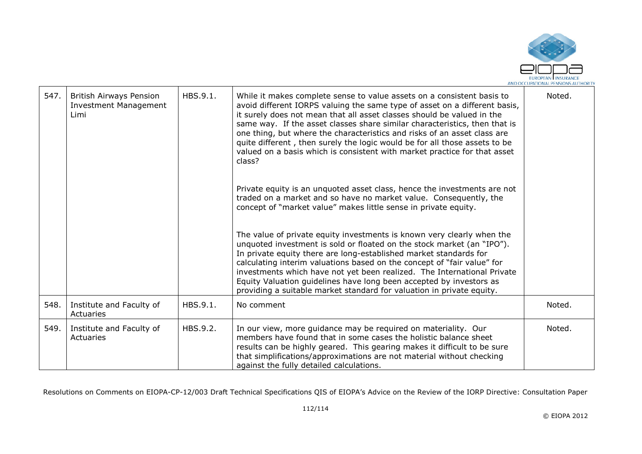

| 547. | <b>British Airways Pension</b><br><b>Investment Management</b><br>Limi | HBS.9.1. | While it makes complete sense to value assets on a consistent basis to<br>avoid different IORPS valuing the same type of asset on a different basis,<br>it surely does not mean that all asset classes should be valued in the<br>same way. If the asset classes share similar characteristics, then that is<br>one thing, but where the characteristics and risks of an asset class are<br>quite different, then surely the logic would be for all those assets to be<br>valued on a basis which is consistent with market practice for that asset<br>class? | Noted. |
|------|------------------------------------------------------------------------|----------|---------------------------------------------------------------------------------------------------------------------------------------------------------------------------------------------------------------------------------------------------------------------------------------------------------------------------------------------------------------------------------------------------------------------------------------------------------------------------------------------------------------------------------------------------------------|--------|
|      |                                                                        |          | Private equity is an unquoted asset class, hence the investments are not<br>traded on a market and so have no market value. Consequently, the<br>concept of "market value" makes little sense in private equity.                                                                                                                                                                                                                                                                                                                                              |        |
|      |                                                                        |          | The value of private equity investments is known very clearly when the<br>unquoted investment is sold or floated on the stock market (an "IPO").<br>In private equity there are long-established market standards for<br>calculating interim valuations based on the concept of "fair value" for<br>investments which have not yet been realized. The International Private<br>Equity Valuation guidelines have long been accepted by investors as<br>providing a suitable market standard for valuation in private equity.                                   |        |
| 548. | Institute and Faculty of<br>Actuaries                                  | HBS.9.1. | No comment                                                                                                                                                                                                                                                                                                                                                                                                                                                                                                                                                    | Noted. |
| 549. | Institute and Faculty of<br>Actuaries                                  | HBS.9.2. | In our view, more guidance may be required on materiality. Our<br>members have found that in some cases the holistic balance sheet<br>results can be highly geared. This gearing makes it difficult to be sure<br>that simplifications/approximations are not material without checking<br>against the fully detailed calculations.                                                                                                                                                                                                                           | Noted. |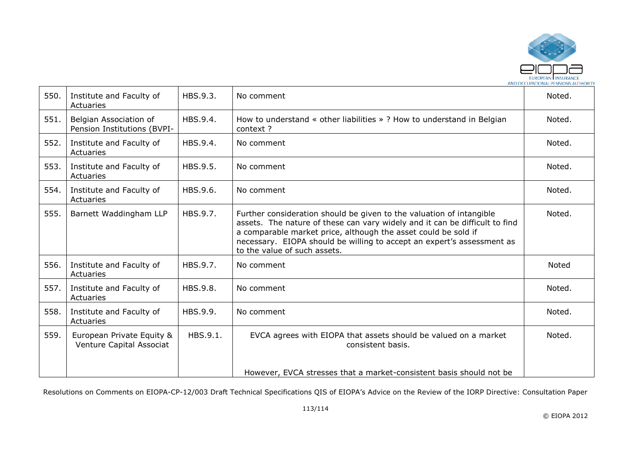

| 550. | Institute and Faculty of<br>Actuaries                 | HBS.9.3. | No comment                                                                                                                                                                                                                                                                                                                      | Noted. |
|------|-------------------------------------------------------|----------|---------------------------------------------------------------------------------------------------------------------------------------------------------------------------------------------------------------------------------------------------------------------------------------------------------------------------------|--------|
| 551. | Belgian Association of<br>Pension Institutions (BVPI- | HBS.9.4. | How to understand « other liabilities » ? How to understand in Belgian<br>context?                                                                                                                                                                                                                                              | Noted. |
| 552. | Institute and Faculty of<br>Actuaries                 | HBS.9.4. | No comment                                                                                                                                                                                                                                                                                                                      | Noted. |
| 553. | Institute and Faculty of<br>Actuaries                 | HBS.9.5. | No comment                                                                                                                                                                                                                                                                                                                      | Noted. |
| 554. | Institute and Faculty of<br>Actuaries                 | HBS.9.6. | No comment                                                                                                                                                                                                                                                                                                                      | Noted. |
| 555. | Barnett Waddingham LLP                                | HBS.9.7. | Further consideration should be given to the valuation of intangible<br>assets. The nature of these can vary widely and it can be difficult to find<br>a comparable market price, although the asset could be sold if<br>necessary. EIOPA should be willing to accept an expert's assessment as<br>to the value of such assets. | Noted. |
| 556. | Institute and Faculty of<br>Actuaries                 | HBS.9.7. | No comment                                                                                                                                                                                                                                                                                                                      | Noted  |
| 557. | Institute and Faculty of<br>Actuaries                 | HBS.9.8. | No comment                                                                                                                                                                                                                                                                                                                      | Noted. |
| 558. | Institute and Faculty of<br>Actuaries                 | HBS.9.9. | No comment                                                                                                                                                                                                                                                                                                                      | Noted. |
| 559. | European Private Equity &<br>Venture Capital Associat | HBS.9.1. | EVCA agrees with EIOPA that assets should be valued on a market<br>consistent basis.                                                                                                                                                                                                                                            | Noted. |
|      |                                                       |          | However, EVCA stresses that a market-consistent basis should not be                                                                                                                                                                                                                                                             |        |